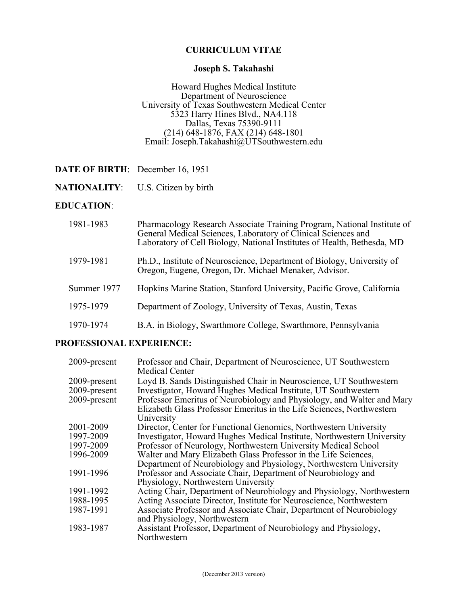## **CURRICULUM VITAE**

## **Joseph S. Takahashi**

Howard Hughes Medical Institute Department of Neuroscience University of Texas Southwestern Medical Center 5323 Harry Hines Blvd., NA4.118 Dallas, Texas 75390-9111 (214) 648-1876, FAX (214) 648-1801 Email: Joseph.Takahashi@UTSouthwestern.edu

- **DATE OF BIRTH**: December 16, 1951
- **NATIONALITY**: U.S. Citizen by birth

### **EDUCATION**:

| 1981-1983   | Pharmacology Research Associate Training Program, National Institute of<br>General Medical Sciences, Laboratory of Clinical Sciences and<br>Laboratory of Cell Biology, National Institutes of Health, Bethesda, MD |
|-------------|---------------------------------------------------------------------------------------------------------------------------------------------------------------------------------------------------------------------|
| 1979-1981   | Ph.D., Institute of Neuroscience, Department of Biology, University of<br>Oregon, Eugene, Oregon, Dr. Michael Menaker, Advisor.                                                                                     |
| Summer 1977 | Hopkins Marine Station, Stanford University, Pacific Grove, California                                                                                                                                              |
| 1975-1979   | Department of Zoology, University of Texas, Austin, Texas                                                                                                                                                           |
| 1970-1974   | B.A. in Biology, Swarthmore College, Swarthmore, Pennsylvania                                                                                                                                                       |

#### **PROFESSIONAL EXPERIENCE:**

| 2009-present | Professor and Chair, Department of Neuroscience, UT Southwestern<br><b>Medical Center</b>           |
|--------------|-----------------------------------------------------------------------------------------------------|
| 2009-present | Loyd B. Sands Distinguished Chair in Neuroscience, UT Southwestern                                  |
| 2009-present | Investigator, Howard Hughes Medical Institute, UT Southwestern                                      |
| 2009-present | Professor Emeritus of Neurobiology and Physiology, and Walter and Mary                              |
|              | Elizabeth Glass Professor Emeritus in the Life Sciences, Northwestern                               |
|              | University                                                                                          |
| 2001-2009    | Director, Center for Functional Genomics, Northwestern University                                   |
| 1997-2009    | Investigator, Howard Hughes Medical Institute, Northwestern University                              |
| 1997-2009    | Professor of Neurology, Northwestern University Medical School                                      |
| 1996-2009    | Walter and Mary Elizabeth Glass Professor in the Life Sciences,                                     |
|              | Department of Neurobiology and Physiology, Northwestern University                                  |
| 1991-1996    | Professor and Associate Chair, Department of Neurobiology and                                       |
|              | Physiology, Northwestern University                                                                 |
| 1991-1992    | Acting Chair, Department of Neurobiology and Physiology, Northwestern                               |
| 1988-1995    | Acting Associate Director, Institute for Neuroscience, Northwestern                                 |
| 1987-1991    | Associate Professor and Associate Chair, Department of Neurobiology<br>and Physiology, Northwestern |
| 1983-1987    | Assistant Professor, Department of Neurobiology and Physiology,<br>Northwestern                     |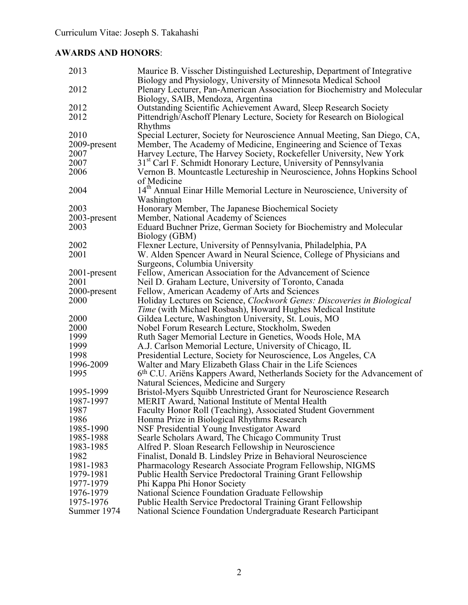# **AWARDS AND HONORS**:

| 2013         | Maurice B. Visscher Distinguished Lectureship, Department of Integrative                                              |
|--------------|-----------------------------------------------------------------------------------------------------------------------|
|              | Biology and Physiology, University of Minnesota Medical School                                                        |
| 2012         | Plenary Lecturer, Pan-American Association for Biochemistry and Molecular<br>Biology, SAIB, Mendoza, Argentina        |
| 2012         | <b>Outstanding Scientific Achievement Award, Sleep Research Society</b>                                               |
| 2012         | Pittendrigh/Aschoff Plenary Lecture, Society for Research on Biological                                               |
|              | Rhythms                                                                                                               |
| 2010         | Special Lecturer, Society for Neuroscience Annual Meeting, San Diego, CA,                                             |
| 2009-present | Member, The Academy of Medicine, Engineering and Science of Texas                                                     |
| 2007         | Harvey Lecture, The Harvey Society, Rockefeller University, New York                                                  |
| 2007         | 31 <sup>st</sup> Carl F. Schmidt Honorary Lecture, University of Pennsylvania                                         |
| 2006         | Vernon B. Mountcastle Lectureship in Neuroscience, Johns Hopkins School                                               |
|              | of Medicine                                                                                                           |
| 2004         | 14 <sup>th</sup> Annual Einar Hille Memorial Lecture in Neuroscience, University of                                   |
|              | Washington                                                                                                            |
| 2003         | Honorary Member, The Japanese Biochemical Society                                                                     |
| 2003-present | Member, National Academy of Sciences                                                                                  |
| 2003         | Eduard Buchner Prize, German Society for Biochemistry and Molecular                                                   |
|              | Biology (GBM)                                                                                                         |
| 2002         | Flexner Lecture, University of Pennsylvania, Philadelphia, PA                                                         |
| 2001         | W. Alden Spencer Award in Neural Science, College of Physicians and                                                   |
|              | Surgeons, Columbia University                                                                                         |
| 2001-present | Fellow, American Association for the Advancement of Science                                                           |
| 2001         | Neil D. Graham Lecture, University of Toronto, Canada                                                                 |
| 2000-present | Fellow, American Academy of Arts and Sciences                                                                         |
| 2000         | Holiday Lectures on Science, Clockwork Genes: Discoveries in Biological                                               |
|              | <i>Time</i> (with Michael Rosbash), Howard Hughes Medical Institute                                                   |
| 2000         | Gildea Lecture, Washington University, St. Louis, MO                                                                  |
| 2000         | Nobel Forum Research Lecture, Stockholm, Sweden                                                                       |
| 1999         | Ruth Sager Memorial Lecture in Genetics, Woods Hole, MA                                                               |
| 1999         | A.J. Carlson Memorial Lecture, University of Chicago, IL                                                              |
| 1998         | Presidential Lecture, Society for Neuroscience, Los Angeles, CA                                                       |
| 1996-2009    | Walter and Mary Elizabeth Glass Chair in the Life Sciences                                                            |
| 1995         | 6th C.U. Ariëns Kappers Award, Netherlands Society for the Advancement of                                             |
| 1995-1999    | Natural Sciences, Medicine and Surgery                                                                                |
| 1987-1997    | Bristol-Myers Squibb Unrestricted Grant for Neuroscience Research<br>MERIT Award, National Institute of Mental Health |
| 1987         | Faculty Honor Roll (Teaching), Associated Student Government                                                          |
| 1986         | Honma Prize in Biological Rhythms Research                                                                            |
| 1985-1990    | NSF Presidential Young Investigator Award                                                                             |
| 1985-1988    | Searle Scholars Award, The Chicago Community Trust                                                                    |
| 1983-1985    | Alfred P. Sloan Research Fellowship in Neuroscience                                                                   |
| 1982         | Finalist, Donald B. Lindsley Prize in Behavioral Neuroscience                                                         |
| 1981-1983    | Pharmacology Research Associate Program Fellowship, NIGMS                                                             |
| 1979-1981    | <b>Public Health Service Predoctoral Training Grant Fellowship</b>                                                    |
| 1977-1979    | Phi Kappa Phi Honor Society                                                                                           |
| 1976-1979    | National Science Foundation Graduate Fellowship                                                                       |
| 1975-1976    | <b>Public Health Service Predoctoral Training Grant Fellowship</b>                                                    |
| Summer 1974  | National Science Foundation Undergraduate Research Participant                                                        |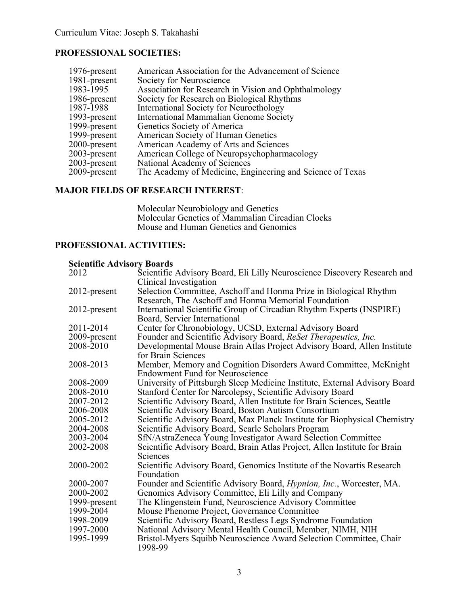## **PROFESSIONAL SOCIETIES:**

| 1976-present | American Association for the Advancement of Science       |
|--------------|-----------------------------------------------------------|
| 1981-present | Society for Neuroscience                                  |
| 1983-1995    | Association for Research in Vision and Ophthalmology      |
| 1986-present | Society for Research on Biological Rhythms                |
| 1987-1988    | International Society for Neuroethology                   |
| 1993-present | International Mammalian Genome Society                    |
| 1999-present | Genetics Society of America                               |
| 1999-present | American Society of Human Genetics                        |
| 2000-present | American Academy of Arts and Sciences                     |
| 2003-present | American College of Neuropsychopharmacology               |
| 2003-present | National Academy of Sciences                              |
| 2009-present | The Academy of Medicine, Engineering and Science of Texas |

## **MAJOR FIELDS OF RESEARCH INTEREST**:

Molecular Neurobiology and Genetics Molecular Genetics of Mammalian Circadian Clocks Mouse and Human Genetics and Genomics

## **PROFESSIONAL ACTIVITIES:**

## **Scientific Advisory Boards**

| 2012         | Scientific Advisory Board, Eli Lilly Neuroscience Discovery Research and<br>Clinical Investigation                       |
|--------------|--------------------------------------------------------------------------------------------------------------------------|
| 2012-present | Selection Committee, Aschoff and Honma Prize in Biological Rhythm<br>Research, The Aschoff and Honma Memorial Foundation |
| 2012-present | International Scientific Group of Circadian Rhythm Experts (INSPIRE)<br>Board, Servier International                     |
| 2011-2014    | Center for Chronobiology, UCSD, External Advisory Board                                                                  |
| 2009-present | Founder and Scientific Advisory Board, ReSet Therapeutics, Inc.                                                          |
| 2008-2010    | Developmental Mouse Brain Atlas Project Advisory Board, Allen Institute<br>for Brain Sciences                            |
| 2008-2013    | Member, Memory and Cognition Disorders Award Committee, McKnight<br><b>Endowment Fund for Neuroscience</b>               |
| 2008-2009    | University of Pittsburgh Sleep Medicine Institute, External Advisory Board                                               |
| 2008-2010    | Stanford Center for Narcolepsy, Scientific Advisory Board                                                                |
| 2007-2012    | Scientific Advisory Board, Allen Institute for Brain Sciences, Seattle                                                   |
| 2006-2008    | Scientific Advisory Board, Boston Autism Consortium                                                                      |
| 2005-2012    | Scientific Advisory Board, Max Planck Institute for Biophysical Chemistry                                                |
| 2004-2008    | Scientific Advisory Board, Searle Scholars Program                                                                       |
| 2003-2004    | SfN/AstraZeneca Young Investigator Award Selection Committee                                                             |
| 2002-2008    | Scientific Advisory Board, Brain Atlas Project, Allen Institute for Brain<br>Sciences                                    |
| 2000-2002    | Scientific Advisory Board, Genomics Institute of the Novartis Research<br>Foundation                                     |
| 2000-2007    | Founder and Scientific Advisory Board, <i>Hypnion, Inc.</i> , Worcester, MA.                                             |
| 2000-2002    | Genomics Advisory Committee, Eli Lilly and Company                                                                       |
| 1999-present | The Klingenstein Fund, Neuroscience Advisory Committee                                                                   |
| 1999-2004    | Mouse Phenome Project, Governance Committee                                                                              |
| 1998-2009    | Scientific Advisory Board, Restless Legs Syndrome Foundation                                                             |
| 1997-2000    | National Advisory Mental Health Council, Member, NIMH, NIH                                                               |
| 1995-1999    | Bristol-Myers Squibb Neuroscience Award Selection Committee, Chair<br>1998-99                                            |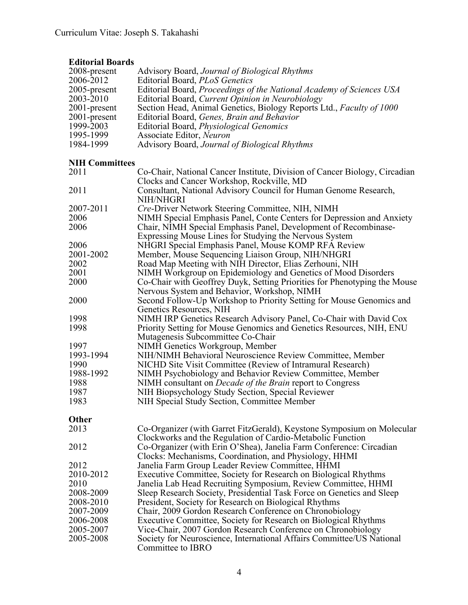## **Editorial Boards**

| 2008-present                                                                 | Advisory Board, Journal of Biological Rhythms                              |  |
|------------------------------------------------------------------------------|----------------------------------------------------------------------------|--|
| 2006-2012                                                                    | Editorial Board, PLoS Genetics                                             |  |
| 2005-present                                                                 | Editorial Board, Proceedings of the National Academy of Sciences USA       |  |
| 2003-2010                                                                    | Editorial Board, Current Opinion in Neurobiology                           |  |
| 2001-present                                                                 | Section Head, Animal Genetics, Biology Reports Ltd., Faculty of 1000       |  |
| 2001-present                                                                 | Editorial Board, Genes, Brain and Behavior                                 |  |
| 1999-2003                                                                    | Editorial Board, <i>Physiological Genomics</i>                             |  |
| 1995-1999                                                                    | Associate Editor, Neuron                                                   |  |
| 1984-1999                                                                    | Advisory Board, Journal of Biological Rhythms                              |  |
| <b>NIH Committees</b>                                                        |                                                                            |  |
| 2011                                                                         | Co-Chair, National Cancer Institute, Division of Cancer Biology, Circadian |  |
|                                                                              | Clocks and Cancer Workshop, Rockville, MD                                  |  |
| 2011                                                                         | Consultant, National Advisory Council for Human Genome Research,           |  |
|                                                                              | NIH/NHGRI                                                                  |  |
| 2007-2011                                                                    | Cre-Driver Network Steering Committee, NIH, NIMH                           |  |
| 2006                                                                         | NIMH Special Emphasis Panel, Conte Centers for Depression and Anxiety      |  |
| 2006                                                                         | Chair, NIMH Special Emphasis Panel, Development of Recombinase-            |  |
|                                                                              | Expressing Mouse Lines for Studying the Nervous System                     |  |
| 2006                                                                         | NHGRI Special Emphasis Panel, Mouse KOMP RFA Review                        |  |
| 2001-2002                                                                    | Member, Mouse Sequencing Liaison Group, NIH/NHGRI                          |  |
| 2002                                                                         | Road Map Meeting with NIH Director, Elias Zerhouni, NIH                    |  |
| 2001                                                                         | NIMH Workgroup on Epidemiology and Genetics of Mood Disorders              |  |
| 2000                                                                         | Co-Chair with Geoffrey Duyk, Setting Priorities for Phenotyping the Mouse  |  |
|                                                                              | Nervous System and Behavior, Workshop, NIMH                                |  |
| 2000                                                                         | Second Follow-Up Workshop to Priority Setting for Mouse Genomics and       |  |
|                                                                              | Genetics Resources, NIH                                                    |  |
| 1998                                                                         | NIMH IRP Genetics Research Advisory Panel, Co-Chair with David Cox         |  |
| 1998<br>Priority Setting for Mouse Genomics and Genetics Resources, NIH, ENU |                                                                            |  |
|                                                                              | Mutagenesis Subcommittee Co-Chair                                          |  |
| 1997                                                                         | NIMH Genetics Workgroup, Member                                            |  |
| 1993-1994                                                                    | NIH/NIMH Behavioral Neuroscience Review Committee, Member                  |  |
| 1990                                                                         | NICHD Site Visit Committee (Review of Intramural Research)                 |  |
| 1988-1992                                                                    | NIMH Psychobiology and Behavior Review Committee, Member                   |  |
| 1988                                                                         | NIMH consultant on <i>Decade of the Brain</i> report to Congress           |  |
| 1987                                                                         | NIH Biopsychology Study Section, Special Reviewer                          |  |
| 1983                                                                         | NIH Special Study Section, Committee Member                                |  |
| Other                                                                        |                                                                            |  |
| 2013                                                                         | Co-Organizer (with Garret FitzGerald), Keystone Symposium on Molecular     |  |
|                                                                              | Clockworks and the Regulation of Cardio-Metabolic Function                 |  |
| 2012                                                                         | Co-Organizer (with Erin O'Shea), Janelia Farm Conference: Circadian        |  |
|                                                                              | Clocks: Mechanisms, Coordination, and Physiology, HHMI                     |  |
| 2012                                                                         | Janelia Farm Group Leader Review Committee, HHMI                           |  |
| 2010-2012                                                                    | Executive Committee, Society for Research on Biological Rhythms            |  |
| 2010                                                                         | Janelia Lab Head Recruiting Symposium, Review Committee, HHMI              |  |
| 2008-2009                                                                    | Sleep Research Society, Presidential Task Force on Genetics and Sleep      |  |
| 2008-2010                                                                    | President, Society for Research on Biological Rhythms                      |  |
| 2007-2009                                                                    | Chair, 2009 Gordon Research Conference on Chronobiology                    |  |
| 2006-2008                                                                    | Executive Committee, Society for Research on Biological Rhythms            |  |
| 2005-2007                                                                    | Vice-Chair, 2007 Gordon Research Conference on Chronobiology               |  |
| 2005-2008                                                                    | Society for Neuroscience, International Affairs Committee/US National      |  |
|                                                                              | Committee to IBRO                                                          |  |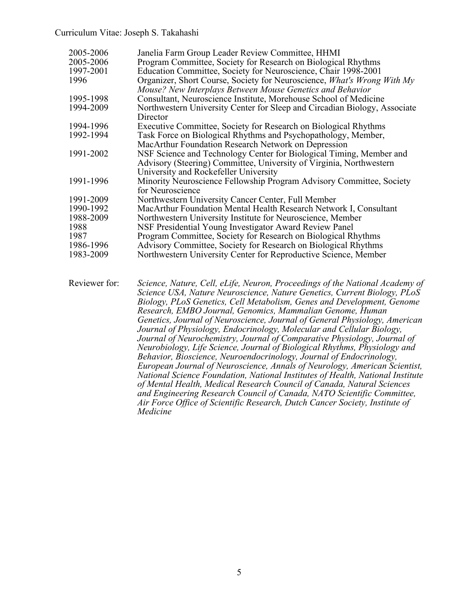| 2005-2006<br>2005-2006<br>1997-2001<br>1996 | Janelia Farm Group Leader Review Committee, HHMI<br>Program Committee, Society for Research on Biological Rhythms<br>Education Committee, Society for Neuroscience, Chair 1998-2001<br>Organizer, Short Course, Society for Neuroscience, What's Wrong With My<br>Mouse? New Interplays Between Mouse Genetics and Behavior |
|---------------------------------------------|-----------------------------------------------------------------------------------------------------------------------------------------------------------------------------------------------------------------------------------------------------------------------------------------------------------------------------|
| 1995-1998                                   | Consultant, Neuroscience Institute, Morehouse School of Medicine                                                                                                                                                                                                                                                            |
| 1994-2009                                   | Northwestern University Center for Sleep and Circadian Biology, Associate<br>Director                                                                                                                                                                                                                                       |
| 1994-1996                                   | Executive Committee, Society for Research on Biological Rhythms                                                                                                                                                                                                                                                             |
| 1992-1994                                   | Task Force on Biological Rhythms and Psychopathology, Member,                                                                                                                                                                                                                                                               |
|                                             | MacArthur Foundation Research Network on Depression                                                                                                                                                                                                                                                                         |
| 1991-2002                                   | NSF Science and Technology Center for Biological Timing, Member and<br>Advisory (Steering) Committee, University of Virginia, Northwestern<br>University and Rockefeller University                                                                                                                                         |
| 1991-1996                                   | Minority Neuroscience Fellowship Program Advisory Committee, Society<br>for Neuroscience                                                                                                                                                                                                                                    |
| 1991-2009                                   | Northwestern University Cancer Center, Full Member                                                                                                                                                                                                                                                                          |
| 1990-1992                                   | MacArthur Foundation Mental Health Research Network I, Consultant                                                                                                                                                                                                                                                           |
| 1988-2009                                   | Northwestern University Institute for Neuroscience, Member                                                                                                                                                                                                                                                                  |
| 1988                                        | NSF Presidential Young Investigator Award Review Panel                                                                                                                                                                                                                                                                      |
| 1987                                        | Program Committee, Society for Research on Biological Rhythms                                                                                                                                                                                                                                                               |
| 1986-1996                                   | Advisory Committee, Society for Research on Biological Rhythms                                                                                                                                                                                                                                                              |
| 1983-2009                                   | Northwestern University Center for Reproductive Science, Member                                                                                                                                                                                                                                                             |

Reviewer for: *Science, Nature, Cell, eLife, Neuron, Proceedings of the National Academy of Science USA, Nature Neuroscience, Nature Genetics, Current Biology, PLoS Biology, PLoS Genetics, Cell Metabolism, Genes and Development, Genome Research, EMBO Journal, Genomics, Mammalian Genome, Human Genetics, Journal of Neuroscience, Journal of General Physiology, American Journal of Physiology, Endocrinology, Molecular and Cellular Biology,*  Journal of Neurochemistry, Journal of Comparative Physiology, Journal of *Neurobiology, Life Science, Journal of Biological Rhythms, Physiology and Behavior, Bioscience, Neuroendocrinology, Journal of Endocrinology, European Journal of Neuroscience, Annals of Neurology, American Scientist, National Science Foundation, National Institutes of Health, National Institute of Mental Health, Medical Research Council of Canada, Natural Sciences and Engineering Research Council of Canada, NATO Scientific Committee, Air Force Office of Scientific Research, Dutch Cancer Society, Institute of Medicine*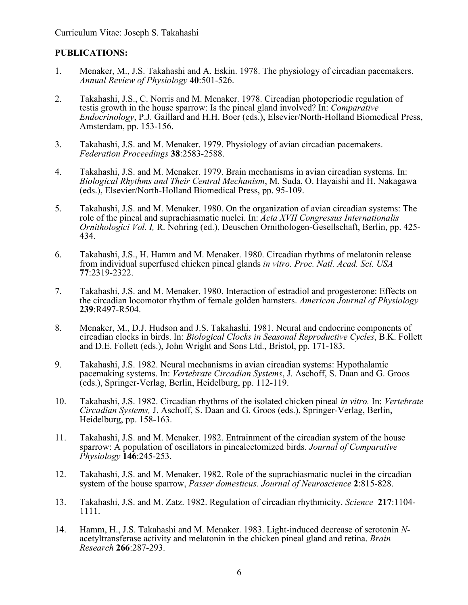## **PUBLICATIONS:**

- 1. Menaker, M., J.S. Takahashi and A. Eskin. 1978. The physiology of circadian pacemakers. *Annual Review of Physiology* **40**:501-526.
- 2. Takahashi, J.S., C. Norris and M. Menaker. 1978. Circadian photoperiodic regulation of testis growth in the house sparrow: Is the pineal gland involved? In: *Comparative Endocrinology*, P.J. Gaillard and H.H. Boer (eds.), Elsevier/North-Holland Biomedical Press, Amsterdam, pp. 153-156.
- 3. Takahashi, J.S. and M. Menaker. 1979. Physiology of avian circadian pacemakers. *Federation Proceedings* **38**:2583-2588.
- 4. Takahashi, J.S. and M. Menaker. 1979. Brain mechanisms in avian circadian systems. In: *Biological Rhythms and Their Central Mechanism*, M. Suda, O. Hayaishi and H. Nakagawa (eds.), Elsevier/North-Holland Biomedical Press, pp. 95-109.
- 5. Takahashi, J.S. and M. Menaker. 1980. On the organization of avian circadian systems: The role of the pineal and suprachiasmatic nuclei. In: *Acta XVII Congressus Internationalis Ornithologici Vol. I,* R. Nohring (ed.), Deuschen Ornithologen-Gesellschaft, Berlin, pp. 425- 434.
- 6. Takahashi, J.S., H. Hamm and M. Menaker. 1980. Circadian rhythms of melatonin release from individual superfused chicken pineal glands *in vitro. Proc. Natl. Acad. Sci. USA* **77**:2319-2322.
- 7. Takahashi, J.S. and M. Menaker. 1980. Interaction of estradiol and progesterone: Effects on the circadian locomotor rhythm of female golden hamsters. *American Journal of Physiology*  **239**:R497-R504.
- 8. Menaker, M., D.J. Hudson and J.S. Takahashi. 1981. Neural and endocrine components of circadian clocks in birds. In: *Biological Clocks in Seasonal Reproductive Cycles*, B.K. Follett and D.E. Follett (eds.), John Wright and Sons Ltd., Bristol, pp. 171-183.
- 9. Takahashi, J.S. 1982. Neural mechanisms in avian circadian systems: Hypothalamic pacemaking systems. In: *Vertebrate Circadian Systems*, J. Aschoff, S. Daan and G. Groos (eds.), Springer-Verlag, Berlin, Heidelburg, pp. 112-119.
- 10. Takahashi, J.S. 1982. Circadian rhythms of the isolated chicken pineal *in vitro.* In: *Vertebrate Circadian Systems,* J. Aschoff, S. Daan and G. Groos (eds.), Springer-Verlag, Berlin, Heidelburg, pp. 158-163.
- 11. Takahashi, J.S. and M. Menaker. 1982. Entrainment of the circadian system of the house sparrow: A population of oscillators in pinealectomized birds. *Journal of Comparative Physiology* **146**:245-253.
- 12. Takahashi, J.S. and M. Menaker. 1982. Role of the suprachiasmatic nuclei in the circadian system of the house sparrow, *Passer domesticus. Journal of Neuroscience* **2**:815-828.
- 13. Takahashi, J.S. and M. Zatz. 1982. Regulation of circadian rhythmicity. *Science* **217**:1104- 1111.
- 14. Hamm, H., J.S. Takahashi and M. Menaker. 1983. Light-induced decrease of serotonin *N* acetyltransferase activity and melatonin in the chicken pineal gland and retina. *Brain Research* **266**:287-293.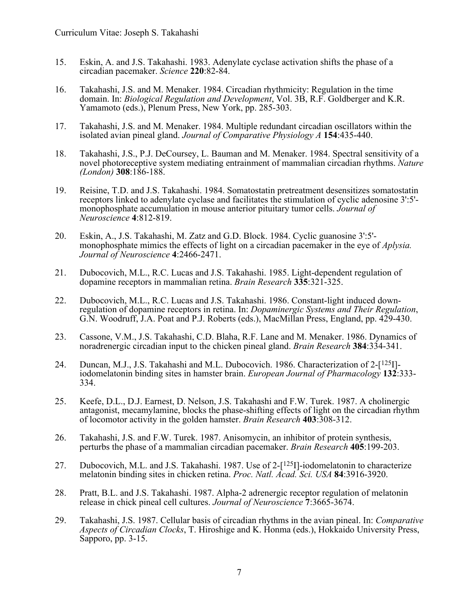- 15. Eskin, A. and J.S. Takahashi. 1983. Adenylate cyclase activation shifts the phase of a circadian pacemaker. *Science* **220**:82-84.
- 16. Takahashi, J.S. and M. Menaker. 1984. Circadian rhythmicity: Regulation in the time domain. In: *Biological Regulation and Development*, Vol. 3B, R.F. Goldberger and K.R. Yamamoto (eds.), Plenum Press, New York, pp. 285-303.
- 17. Takahashi, J.S. and M. Menaker. 1984. Multiple redundant circadian oscillators within the isolated avian pineal gland. *Journal of Comparative Physiology A* **154**:435-440.
- 18. Takahashi, J.S., P.J. DeCoursey, L. Bauman and M. Menaker. 1984. Spectral sensitivity of a novel photoreceptive system mediating entrainment of mammalian circadian rhythms. *Nature (London)* **308**:186-188.
- 19. Reisine, T.D. and J.S. Takahashi. 1984. Somatostatin pretreatment desensitizes somatostatin receptors linked to adenylate cyclase and facilitates the stimulation of cyclic adenosine 3':5' monophosphate accumulation in mouse anterior pituitary tumor cells. *Journal of Neuroscience* **4**:812-819.
- 20. Eskin, A., J.S. Takahashi, M. Zatz and G.D. Block. 1984. Cyclic guanosine 3':5' monophosphate mimics the effects of light on a circadian pacemaker in the eye of *Aplysia. Journal of Neuroscience* **4**:2466-2471.
- 21. Dubocovich, M.L., R.C. Lucas and J.S. Takahashi. 1985. Light-dependent regulation of dopamine receptors in mammalian retina. *Brain Research* **335**:321-325.
- 22. Dubocovich, M.L., R.C. Lucas and J.S. Takahashi. 1986. Constant-light induced downregulation of dopamine receptors in retina. In: *Dopaminergic Systems and Their Regulation*, G.N. Woodruff, J.A. Poat and P.J. Roberts (eds.), MacMillan Press, England, pp. 429-430.
- 23. Cassone, V.M., J.S. Takahashi, C.D. Blaha, R.F. Lane and M. Menaker. 1986. Dynamics of noradrenergic circadian input to the chicken pineal gland. *Brain Research* **384**:334-341.
- 24. Duncan, M.J., J.S. Takahashi and M.L. Dubocovich. 1986. Characterization of 2-[125I]- iodomelatonin binding sites in hamster brain. *European Journal of Pharmacology* **<sup>132</sup>**:333- 334.
- 25. Keefe, D.L., D.J. Earnest, D. Nelson, J.S. Takahashi and F.W. Turek. 1987. A cholinergic antagonist, mecamylamine, blocks the phase-shifting effects of light on the circadian rhythm of locomotor activity in the golden hamster. *Brain Research* **403**:308-312.
- 26. Takahashi, J.S. and F.W. Turek. 1987. Anisomycin, an inhibitor of protein synthesis, perturbs the phase of a mammalian circadian pacemaker. *Brain Research* **405**:199-203.
- 27. Dubocovich, M.L. and J.S. Takahashi. 1987. Use of  $2-[125]$ -iodomelatonin to characterize melatonin binding sites in chicken retina. *Proc. Natl. Acad. Sci. USA* **84**:3916-3920.
- 28. Pratt, B.L. and J.S. Takahashi. 1987. Alpha-2 adrenergic receptor regulation of melatonin release in chick pineal cell cultures. *Journal of Neuroscience* **7**:3665-3674.
- 29. Takahashi, J.S. 1987. Cellular basis of circadian rhythms in the avian pineal. In: *Comparative Aspects of Circadian Clocks*, T. Hiroshige and K. Honma (eds.), Hokkaido University Press, Sapporo, pp. 3-15.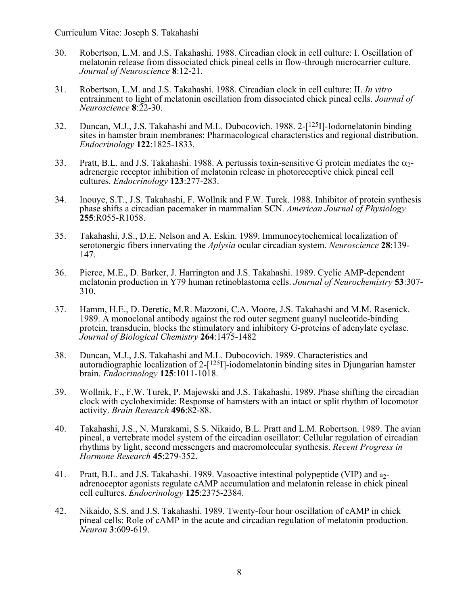- 30. Robertson, L.M. and J.S. Takahashi. 1988. Circadian clock in cell culture: I. Oscillation of melatonin release from dissociated chick pineal cells in flow-through microcarrier culture. *Journal of Neuroscience* **8**:12-21.
- 31. Robertson, L.M. and J.S. Takahashi. 1988. Circadian clock in cell culture: II. *In vitro* entrainment to light of melatonin oscillation from dissociated chick pineal cells. *Journal of Neuroscience* **8**:22-30.
- 32. Duncan, M.J., J.S. Takahashi and M.L. Dubocovich. 1988. 2-[125I]-Iodomelatonin binding sites in hamster brain membranes: Pharmacological characteristics and regional distribution. *Endocrinology* **122**:1825-1833.
- 33. Pratt, B.L. and J.S. Takahashi. 1988. A pertussis toxin-sensitive G protein mediates the  $\alpha$ <sub>2</sub>adrenergic receptor inhibition of melatonin release in photoreceptive chick pineal cell cultures. *Endocrinology* **123**:277-283.
- 34. Inouye, S.T., J.S. Takahashi, F. Wollnik and F.W. Turek. 1988. Inhibitor of protein synthesis phase shifts a circadian pacemaker in mammalian SCN. *American Journal of Physiology* **255**:R055-R1058.
- 35. Takahashi, J.S., D.E. Nelson and A. Eskin. 1989. Immunocytochemical localization of serotonergic fibers innervating the *Aplysia* ocular circadian system. *Neuroscience* **28**:139- 147.
- 36. Pierce, M.E., D. Barker, J. Harrington and J.S. Takahashi. 1989. Cyclic AMP-dependent melatonin production in Y79 human retinoblastoma cells. *Journal of Neurochemistry* **53**:307- 310.
- 37. Hamm, H.E., D. Deretic, M.R. Mazzoni, C.A. Moore, J.S. Takahashi and M.M. Rasenick. 1989. A monoclonal antibody against the rod outer segment guanyl nucleotide-binding protein, transducin, blocks the stimulatory and inhibitory G-proteins of adenylate cyclase. *Journal of Biological Chemistry* **264**:1475-1482
- 38. Duncan, M.J., J.S. Takahashi and M.L. Dubocovich. 1989. Characteristics and autoradiographic localization of  $2-[125]$ -iodomelatonin binding sites in Djungarian hamster brain. *Endocrinology* **125**:1011-1018.
- 39. Wollnik, F., F.W. Turek, P. Majewski and J.S. Takahashi. 1989. Phase shifting the circadian clock with cycloheximide: Response of hamsters with an intact or split rhythm of locomotor activity. *Brain Research* **496**:82-88.
- 40. Takahashi, J.S., N. Murakami, S.S. Nikaido, B.L. Pratt and L.M. Robertson. 1989. The avian pineal, a vertebrate model system of the circadian oscillator: Cellular regulation of circadian rhythms by light, second messengers and macromolecular synthesis. *Recent Progress in Hormone Research* **45**:279-352.
- 41. Pratt, B.L. and J.S. Takahashi. 1989. Vasoactive intestinal polypeptide (VIP) and a<sub>2</sub>adrenoceptor agonists regulate cAMP accumulation and melatonin release in chick pineal cell cultures. *Endocrinology* **125**:2375-2384.
- 42. Nikaido, S.S. and J.S. Takahashi. 1989. Twenty-four hour oscillation of cAMP in chick pineal cells: Role of cAMP in the acute and circadian regulation of melatonin production. *Neuron* **3**:609-619.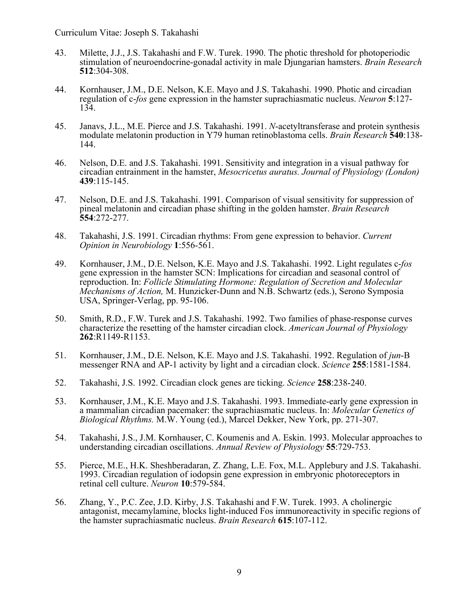- 43. Milette, J.J., J.S. Takahashi and F.W. Turek. 1990. The photic threshold for photoperiodic stimulation of neuroendocrine-gonadal activity in male Djungarian hamsters. *Brain Research* **512**:304-308.
- 44. Kornhauser, J.M., D.E. Nelson, K.E. Mayo and J.S. Takahashi. 1990. Photic and circadian regulation of c-*fos* gene expression in the hamster suprachiasmatic nucleus. *Neuron* **5**:127- 134.
- 45. Janavs, J.L., M.E. Pierce and J.S. Takahashi. 1991. *N*-acetyltransferase and protein synthesis modulate melatonin production in Y79 human retinoblastoma cells. *Brain Research* **540**:138- 144.
- 46. Nelson, D.E. and J.S. Takahashi. 1991. Sensitivity and integration in a visual pathway for circadian entrainment in the hamster, *Mesocricetus auratus. Journal of Physiology (London)*  **439**:115-145.
- 47. Nelson, D.E. and J.S. Takahashi. 1991. Comparison of visual sensitivity for suppression of pineal melatonin and circadian phase shifting in the golden hamster. *Brain Research* **554**:272-277.
- 48. Takahashi, J.S. 1991. Circadian rhythms: From gene expression to behavior. *Current Opinion in Neurobiology* **1**:556-561.
- 49. Kornhauser, J.M., D.E. Nelson, K.E. Mayo and J.S. Takahashi. 1992. Light regulates c-*fos* gene expression in the hamster SCN: Implications for circadian and seasonal control of reproduction. In: *Follicle Stimulating Hormone: Regulation of Secretion and Molecular Mechanisms of Action,* M. Hunzicker-Dunn and N.B. Schwartz (eds.), Serono Symposia USA, Springer-Verlag, pp. 95-106.
- 50. Smith, R.D., F.W. Turek and J.S. Takahashi. 1992. Two families of phase-response curves characterize the resetting of the hamster circadian clock. *American Journal of Physiology* **262**:R1149-R1153.
- 51. Kornhauser, J.M., D.E. Nelson, K.E. Mayo and J.S. Takahashi. 1992. Regulation of *jun*-B messenger RNA and AP-1 activity by light and a circadian clock. *Science* **255**:1581-1584.
- 52. Takahashi, J.S. 1992. Circadian clock genes are ticking. *Science* **258**:238-240.
- 53. Kornhauser, J.M., K.E. Mayo and J.S. Takahashi. 1993. Immediate-early gene expression in a mammalian circadian pacemaker: the suprachiasmatic nucleus. In: *Molecular Genetics of Biological Rhythms.* M.W. Young (ed.), Marcel Dekker, New York, pp. 271-307.
- 54. Takahashi, J.S., J.M. Kornhauser, C. Koumenis and A. Eskin. 1993. Molecular approaches to understanding circadian oscillations. *Annual Review of Physiology* **55**:729-753.
- 55. Pierce, M.E., H.K. Sheshberadaran, Z. Zhang, L.E. Fox, M.L. Applebury and J.S. Takahashi. 1993. Circadian regulation of iodopsin gene expression in embryonic photoreceptors in retinal cell culture. *Neuron* **10**:579-584.
- 56. Zhang, Y., P.C. Zee, J.D. Kirby, J.S. Takahashi and F.W. Turek. 1993. A cholinergic antagonist, mecamylamine, blocks light-induced Fos immunoreactivity in specific regions of the hamster suprachiasmatic nucleus. *Brain Research* **615**:107-112.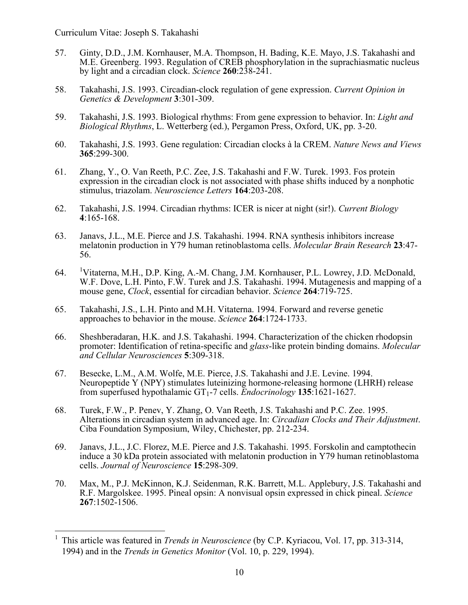- 57. Ginty, D.D., J.M. Kornhauser, M.A. Thompson, H. Bading, K.E. Mayo, J.S. Takahashi and M.E. Greenberg. 1993. Regulation of CREB phosphorylation in the suprachiasmatic nucleus by light and a circadian clock. *Science* **260**:238-241.
- 58. Takahashi, J.S. 1993. Circadian-clock regulation of gene expression. *Current Opinion in Genetics & Development* **3**:301-309.
- 59. Takahashi, J.S. 1993. Biological rhythms: From gene expression to behavior. In: *Light and Biological Rhythms*, L. Wetterberg (ed.), Pergamon Press, Oxford, UK, pp. 3-20.
- 60. Takahashi, J.S. 1993. Gene regulation: Circadian clocks à la CREM. *Nature News and Views* **365**:299-300.
- 61. Zhang, Y., O. Van Reeth, P.C. Zee, J.S. Takahashi and F.W. Turek. 1993. Fos protein expression in the circadian clock is not associated with phase shifts induced by a nonphotic stimulus, triazolam. *Neuroscience Letters* **164**:203-208.
- 62. Takahashi, J.S. 1994. Circadian rhythms: ICER is nicer at night (sir!). *Current Biology* **4**:165-168.
- 63. Janavs, J.L., M.E. Pierce and J.S. Takahashi. 1994. RNA synthesis inhibitors increase melatonin production in Y79 human retinoblastoma cells. *Molecular Brain Research* **23**:47- 56.
- 64. Vitaterna, M.H., D.P. King, A.-M. Chang, J.M. Kornhauser, P.L. Lowrey, J.D. McDonald, W.F. Dove, L.H. Pinto, F.W. Turek and J.S. Takahashi. 1994. Mutagenesis and mapping of a mouse gene, *Clock*, essential for circadian behavior. *Science* **264**:719-725.
- 65. Takahashi, J.S., L.H. Pinto and M.H. Vitaterna. 1994. Forward and reverse genetic approaches to behavior in the mouse. *Science* **264**:1724-1733.
- 66. Sheshberadaran, H.K. and J.S. Takahashi. 1994. Characterization of the chicken rhodopsin promoter: Identification of retina-specific and *glass*-like protein binding domains. *Molecular and Cellular Neurosciences* **5**:309-318.
- 67. Besecke, L.M., A.M. Wolfe, M.E. Pierce, J.S. Takahashi and J.E. Levine. 1994. Neuropeptide Y (NPY) stimulates luteinizing hormone-releasing hormone (LHRH) release from superfused hypothalamic GT1-7 cells. *Endocrinology* **135**:1621-1627.
- 68. Turek, F.W., P. Penev, Y. Zhang, O. Van Reeth, J.S. Takahashi and P.C. Zee. 1995. Alterations in circadian system in advanced age. In: *Circadian Clocks and Their Adjustment*. Ciba Foundation Symposium, Wiley, Chichester, pp. 212-234.
- 69. Janavs, J.L., J.C. Florez, M.E. Pierce and J.S. Takahashi. 1995. Forskolin and camptothecin induce a 30 kDa protein associated with melatonin production in Y79 human retinoblastoma cells. *Journal of Neuroscience* **15**:298-309.
- 70. Max, M., P.J. McKinnon, K.J. Seidenman, R.K. Barrett, M.L. Applebury, J.S. Takahashi and R.F. Margolskee. 1995. Pineal opsin: A nonvisual opsin expressed in chick pineal. *Science* **267**:1502-1506.

 <sup>1</sup> This article was featured in *Trends in Neuroscience* (by C.P. Kyriacou, Vol. 17, pp. 313-314, 1994) and in the *Trends in Genetics Monitor* (Vol. 10, p. 229, 1994).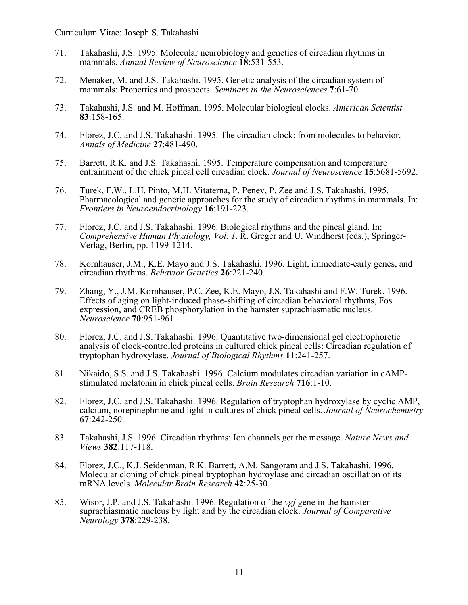- 71. Takahashi, J.S. 1995. Molecular neurobiology and genetics of circadian rhythms in mammals. *Annual Review of Neuroscience* **18**:531-553.
- 72. Menaker, M. and J.S. Takahashi. 1995. Genetic analysis of the circadian system of mammals: Properties and prospects. *Seminars in the Neurosciences* **7**:61-70.
- 73. Takahashi, J.S. and M. Hoffman. 1995. Molecular biological clocks. *American Scientist* **83**:158-165.
- 74. Florez, J.C. and J.S. Takahashi. 1995. The circadian clock: from molecules to behavior. *Annals of Medicine* **27**:481-490.
- 75. Barrett, R.K. and J.S. Takahashi. 1995. Temperature compensation and temperature entrainment of the chick pineal cell circadian clock. *Journal of Neuroscience* **15**:5681-5692.
- 76. Turek, F.W., L.H. Pinto, M.H. Vitaterna, P. Penev, P. Zee and J.S. Takahashi. 1995. Pharmacological and genetic approaches for the study of circadian rhythms in mammals. In: *Frontiers in Neuroendocrinology* **16**:191-223.
- 77. Florez, J.C. and J.S. Takahashi. 1996. Biological rhythms and the pineal gland. In: *Comprehensive Human Physiology, Vol. 1*. R. Greger and U. Windhorst (eds.), Springer-Verlag, Berlin, pp. 1199-1214.
- 78. Kornhauser, J.M., K.E. Mayo and J.S. Takahashi. 1996. Light, immediate-early genes, and circadian rhythms. *Behavior Genetics* **26**:221-240.
- 79. Zhang, Y., J.M. Kornhauser, P.C. Zee, K.E. Mayo, J.S. Takahashi and F.W. Turek. 1996. Effects of aging on light-induced phase-shifting of circadian behavioral rhythms, Fos expression, and CREB phosphorylation in the hamster suprachiasmatic nucleus. *Neuroscience* **70**:951-961.
- 80. Florez, J.C. and J.S. Takahashi. 1996. Quantitative two-dimensional gel electrophoretic analysis of clock-controlled proteins in cultured chick pineal cells: Circadian regulation of tryptophan hydroxylase. *Journal of Biological Rhythms* **11**:241-257.
- 81. Nikaido, S.S. and J.S. Takahashi. 1996. Calcium modulates circadian variation in cAMP- stimulated melatonin in chick pineal cells. *Brain Research* **<sup>716</sup>**:1-10.
- 82. Florez, J.C. and J.S. Takahashi. 1996. Regulation of tryptophan hydroxylase by cyclic AMP, calcium, norepinephrine and light in cultures of chick pineal cells. *Journal of Neurochemistry* **67**:242-250.
- 83. Takahashi, J.S. 1996. Circadian rhythms: Ion channels get the message. *Nature News and Views* **382**:117-118.
- 84. Florez, J.C., K.J. Seidenman, R.K. Barrett, A.M. Sangoram and J.S. Takahashi. 1996. Molecular cloning of chick pineal tryptophan hydroylase and circadian oscillation of its mRNA levels. *Molecular Brain Research* **42**:25-30.
- 85. Wisor, J.P. and J.S. Takahashi. 1996. Regulation of the *vgf* gene in the hamster suprachiasmatic nucleus by light and by the circadian clock. *Journal of Comparative Neurology* **378**:229-238.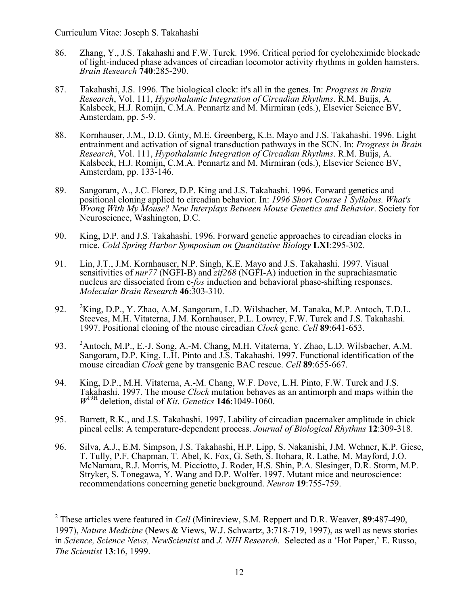- 86. Zhang, Y., J.S. Takahashi and F.W. Turek. 1996. Critical period for cycloheximide blockade of light-induced phase advances of circadian locomotor activity rhythms in golden hamsters. *Brain Research* **740**:285-290.
- 87. Takahashi, J.S. 1996. The biological clock: it's all in the genes. In: *Progress in Brain Research*, Vol. 111, *Hypothalamic Integration of Circadian Rhythms*. R.M. Buijs, A. Kalsbeck, H.J. Romijn, C.M.A. Pennartz and M. Mirmiran (eds.), Elsevier Science BV, Amsterdam, pp. 5-9.
- 88. Kornhauser, J.M., D.D. Ginty, M.E. Greenberg, K.E. Mayo and J.S. Takahashi. 1996. Light entrainment and activation of signal transduction pathways in the SCN. In: *Progress in Brain Research*, Vol. 111, *Hypothalamic Integration of Circadian Rhythms*. R.M. Buijs, A. Kalsbeck, H.J. Romijn, C.M.A. Pennartz and M. Mirmiran (eds.), Elsevier Science BV, Amsterdam, pp. 133-146.
- 89. Sangoram, A., J.C. Florez, D.P. King and J.S. Takahashi. 1996. Forward genetics and positional cloning applied to circadian behavior. In: *1996 Short Course 1 Syllabus. What's Wrong With My Mouse? New Interplays Between Mouse Genetics and Behavior*. Society for Neuroscience, Washington, D.C.
- 90. King, D.P. and J.S. Takahashi. 1996. Forward genetic approaches to circadian clocks in mice. *Cold Spring Harbor Symposium on Quantitative Biology* **LXI**:295-302.
- 91. Lin, J.T., J.M. Kornhauser, N.P. Singh, K.E. Mayo and J.S. Takahashi. 1997. Visual sensitivities of *nur77* (NGFI-B) and *zif268* (NGFI-A) induction in the suprachiasmatic nucleus are dissociated from c-*fos* induction and behavioral phase-shifting responses. *Molecular Brain Research* **46**:303-310.
- 92. <sup>2</sup>King, D.P., Y. Zhao, A.M. Sangoram, L.D. Wilsbacher, M. Tanaka, M.P. Antoch, T.D.L. Steeves, M.H. Vitaterna, J.M. Kornhauser, P.L. Lowrey, F.W. Turek and J.S. Takahashi. 1997. Positional cloning of the mouse circadian *Clock* gene. *Cell* **89**:641-653.
- 93. <sup>2</sup> Antoch, M.P., E.-J. Song, A.-M. Chang, M.H. Vitaterna, Y. Zhao, L.D. Wilsbacher, A.M. Sangoram, D.P. King, L.H. Pinto and J.S. Takahashi. 1997. Functional identification of the mouse circadian *Clock* gene by transgenic BAC rescue. *Cell* **89**:655-667.
- 94. King, D.P., M.H. Vitaterna, A.-M. Chang, W.F. Dove, L.H. Pinto, F.W. Turek and J.S. Takahashi. 1997. The mouse *Clock* mutation behaves as an antimorph and maps within the *W*19H deletion, distal of *Kit*. *Genetics* **146**:1049-1060.
- 95. Barrett, R.K., and J.S. Takahashi. 1997. Lability of circadian pacemaker amplitude in chick pineal cells: A temperature-dependent process. *Journal of Biological Rhythms* **12**:309-318.
- 96. Silva, A.J., E.M. Simpson, J.S. Takahashi, H.P. Lipp, S. Nakanishi, J.M. Wehner, K.P. Giese, T. Tully, P.F. Chapman, T. Abel, K. Fox, G. Seth, S. Itohara, R. Lathe, M. Mayford, J.O. McNamara, R.J. Morris, M. Picciotto, J. Roder, H.S. Shin, P.A. Slesinger, D.R. Storm, M.P. Stryker, S. Tonegawa, Y. Wang and D.P. Wolfer. 1997. Mutant mice and neuroscience: recommendations concerning genetic background. *Neuron* **19**:755-759.

 <sup>2</sup> These articles were featured in *Cell* (Minireview, S.M. Reppert and D.R. Weaver, **89**:487-490, 1997), *Nature Medicine* (News & Views, W.J. Schwartz, **3**:718-719, 1997), as well as news stories in *Science, Science News, NewScientist* and *J. NIH Research.* Selected as a 'Hot Paper,' E. Russo, *The Scientist* **13**:16, 1999.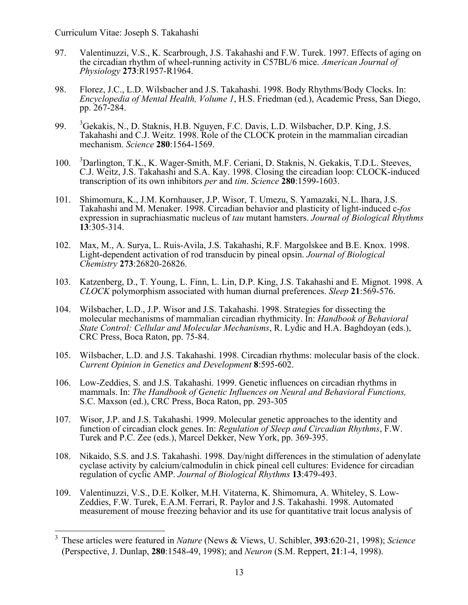- 97. Valentinuzzi, V.S., K. Scarbrough, J.S. Takahashi and F.W. Turek. 1997. Effects of aging on the circadian rhythm of wheel-running activity in C57BL/6 mice. *American Journal of Physiology* **273**:R1957-R1964.
- 98. Florez, J.C., L.D. Wilsbacher and J.S. Takahashi. 1998. Body Rhythms/Body Clocks. In: *Encyclopedia of Mental Health, Volume 1*, H.S. Friedman (ed.), Academic Press, San Diego, pp. 267-284.
- 99.  ${}^{3}$ Gekakis, N., D. Staknis, H.B. Nguyen, F.C. Davis, L.D. Wilsbacher, D.P. King, J.S. Takahashi and C.J. Weitz. 1998. Role of the CLOCK protein in the mammalian circadian mechanism. *Science* **280**:1564-1569.
- $100.$ Darlington, T.K., K. Wager-Smith, M.F. Ceriani, D. Staknis, N. Gekakis, T.D.L. Steeves, C.J. Weitz, J.S. Takahashi and S.A. Kay. 1998. Closing the circadian loop: CLOCK-induced transcription of its own inhibitors *per* and *tim*. *Science* **280**:1599-1603.
- 101. Shimomura, K., J.M. Kornhauser, J.P. Wisor, T. Umezu, S. Yamazaki, N.L. Ihara, J.S. Takahashi and M. Menaker. 1998. Circadian behavior and plasticity of light-induced c-*fos* expression in suprachiasmatic nucleus of *tau* mutant hamsters. *Journal of Biological Rhythms* **13**:305-314.
- 102. Max, M., A. Surya, L. Ruis-Avila, J.S. Takahashi, R.F. Margolskee and B.E. Knox. 1998. Light-dependent activation of rod transducin by pineal opsin. *Journal of Biological Chemistry* **273**:26820-26826.
- 103. Katzenberg, D., T. Young, L. Finn, L. Lin, D.P. King, J.S. Takahashi and E. Mignot. 1998. A *CLOCK* polymorphism associated with human diurnal preferences. *Sleep* **21**:569-576.
- 104. Wilsbacher, L.D., J.P. Wisor and J.S. Takahashi. 1998. Strategies for dissecting the molecular mechanisms of mammalian circadian rhythmicity. In: *Handbook of Behavioral State Control: Cellular and Molecular Mechanisms*, R. Lydic and H.A. Baghdoyan (eds.), CRC Press, Boca Raton, pp. 75-84.
- 105. Wilsbacher, L.D. and J.S. Takahashi. 1998. Circadian rhythms: molecular basis of the clock. *Current Opinion in Genetics and Development* **8**:595-602.
- 106. Low-Zeddies, S. and J.S. Takahashi. 1999. Genetic influences on circadian rhythms in mammals. In: *The Handbook of Genetic Influences on Neural and Behavioral Functions,*  S.C. Maxson (ed.), CRC Press, Boca Raton, pp. 293-305
- 107. Wisor, J.P. and J.S. Takahashi. 1999. Molecular genetic approaches to the identity and function of circadian clock genes. In: *Regulation of Sleep and Circadian Rhythms*, F.W. Turek and P.C. Zee (eds.), Marcel Dekker, New York, pp. 369-395.
- 108. Nikaido, S.S. and J.S. Takahashi. 1998. Day/night differences in the stimulation of adenylate cyclase activity by calcium/calmodulin in chick pineal cell cultures: Evidence for circadian regulation of cyclic AMP. *Journal of Biological Rhythms* **13**:479-493.
- 109. Valentinuzzi, V.S., D.E. Kolker, M.H. Vitaterna, K. Shimomura, A. Whiteley, S. Low-Zeddies, F.W. Turek, E.A.M. Ferrari, R. Paylor and J.S. Takahashi. 1998. Automated measurement of mouse freezing behavior and its use for quantitative trait locus analysis of

 <sup>3</sup> These articles were featured in *Nature* (News & Views, U. Schibler, **393**:620-21, 1998); *Science* (Perspective, J. Dunlap, **280**:1548-49, 1998); and *Neuron* (S.M. Reppert, **21**:1-4, 1998).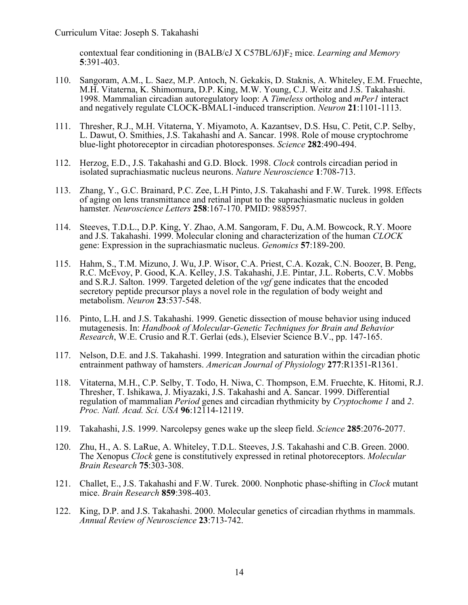contextual fear conditioning in (BALB/cJ X C57BL/6J)F2 mice. *Learning and Memory* **5**:391-403.

- 110. Sangoram, A.M., L. Saez, M.P. Antoch, N. Gekakis, D. Staknis, A. Whiteley, E.M. Fruechte, M.H. Vitaterna, K. Shimomura, D.P. King, M.W. Young, C.J. Weitz and J.S. Takahashi. 1998. Mammalian circadian autoregulatory loop: A *Timeless* ortholog and *mPer1* interact and negatively regulate CLOCK-BMAL1-induced transcription. *Neuron* **21**:1101-1113.
- 111. Thresher, R.J., M.H. Vitaterna, Y. Miyamoto, A. Kazantsev, D.S. Hsu, C. Petit, C.P. Selby, L. Dawut, O. Smithies, J.S. Takahashi and A. Sancar. 1998. Role of mouse cryptochrome blue-light photoreceptor in circadian photoresponses. *Science* **282**:490-494.
- 112. Herzog, E.D., J.S. Takahashi and G.D. Block. 1998. *Clock* controls circadian period in isolated suprachiasmatic nucleus neurons. *Nature Neuroscience* **1**:708-713.
- 113. Zhang, Y., G.C. Brainard, P.C. Zee, L.H Pinto, J.S. Takahashi and F.W. Turek. 1998. Effects of aging on lens transmittance and retinal input to the suprachiasmatic nucleus in golden hamster*. Neuroscience Letters* **258**:167-170. PMID: 9885957.
- 114. Steeves, T.D.L., D.P. King, Y. Zhao, A.M. Sangoram, F. Du, A.M. Bowcock, R.Y. Moore and J.S. Takahashi. 1999. Molecular cloning and characterization of the human *CLOCK* gene: Expression in the suprachiasmatic nucleus. *Genomics* **57**:189-200.
- 115. Hahm, S., T.M. Mizuno, J. Wu, J.P. Wisor, C.A. Priest, C.A. Kozak, C.N. Boozer, B. Peng, R.C. McEvoy, P. Good, K.A. Kelley, J.S. Takahashi, J.E. Pintar, J.L. Roberts, C.V. Mobbs and S.R.J. Salton. 1999. Targeted deletion of the *vgf* gene indicates that the encoded secretory peptide precursor plays a novel role in the regulation of body weight and metabolism. *Neuron* **23**:537-548.
- 116. Pinto, L.H. and J.S. Takahashi. 1999. Genetic dissection of mouse behavior using induced mutagenesis. In: *Handbook of Molecular-Genetic Techniques for Brain and Behavior Research*, W.E. Crusio and R.T. Gerlai (eds.), Elsevier Science B.V., pp. 147-165.
- 117. Nelson, D.E. and J.S. Takahashi. 1999. Integration and saturation within the circadian photic entrainment pathway of hamsters. *American Journal of Physiology* **277**:R1351-R1361.
- 118. Vitaterna, M.H., C.P. Selby, T. Todo, H. Niwa, C. Thompson, E.M. Fruechte, K. Hitomi, R.J. Thresher, T. Ishikawa, J. Miyazaki, J.S. Takahashi and A. Sancar. 1999. Differential regulation of mammalian *Period* genes and circadian rhythmicity by *Cryptochome 1* and *2*. *Proc. Natl. Acad. Sci. USA* **<sup>96</sup>**:12114-12119.
- 119. Takahashi, J.S. 1999. Narcolepsy genes wake up the sleep field. *Science* **285**:2076-2077.
- 120. Zhu, H., A. S. LaRue, A. Whiteley, T.D.L. Steeves, J.S. Takahashi and C.B. Green. 2000. The Xenopus *Clock* gene is constitutively expressed in retinal photoreceptors. *Molecular Brain Research* **75**:303-308.
- 121. Challet, E., J.S. Takahashi and F.W. Turek. 2000. Nonphotic phase-shifting in *Clock* mutant mice. *Brain Research* **859**:398-403.
- 122. King, D.P. and J.S. Takahashi. 2000. Molecular genetics of circadian rhythms in mammals. *Annual Review of Neuroscience* **23**:713-742.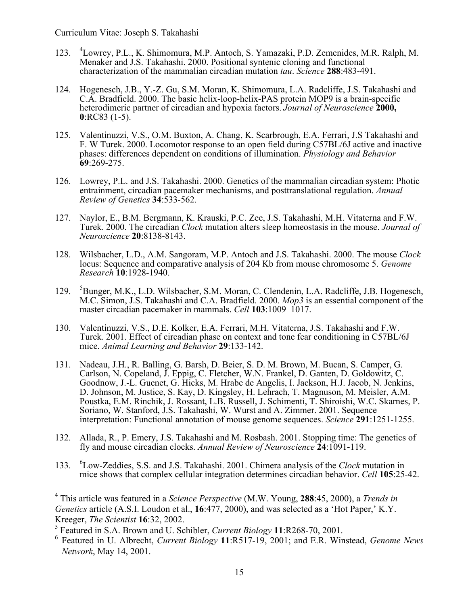- 123. <sup>4</sup> Lowrey, P.L., K. Shimomura, M.P. Antoch, S. Yamazaki, P.D. Zemenides, M.R. Ralph, M. Menaker and J.S. Takahashi. 2000. Positional syntenic cloning and functional characterization of the mammalian circadian mutation *tau*. *Science* **288**:483-491.
- 124. Hogenesch, J.B., Y.-Z. Gu, S.M. Moran, K. Shimomura, L.A. Radcliffe, J.S. Takahashi and C.A. Bradfield. 2000. The basic helix-loop-helix-PAS protein MOP9 is a brain-specific heterodimeric partner of circadian and hypoxia factors. *Journal of Neuroscience* **2000, 0**:RC83 (1-5).
- 125. Valentinuzzi, V.S., O.M. Buxton, A. Chang, K. Scarbrough, E.A. Ferrari, J.S Takahashi and F. W Turek. 2000. Locomotor response to an open field during C57BL/6J active and inactive phases: differences dependent on conditions of illumination. *Physiology and Behavior* **69**:269-275.
- 126. Lowrey, P.L. and J.S. Takahashi. 2000. Genetics of the mammalian circadian system: Photic entrainment, circadian pacemaker mechanisms, and posttranslational regulation. *Annual Review of Genetics* **34**:533-562.
- 127. Naylor, E., B.M. Bergmann, K. Krauski, P.C. Zee, J.S. Takahashi, M.H. Vitaterna and F.W. Turek. 2000. The circadian *Clock* mutation alters sleep homeostasis in the mouse. *Journal of Neuroscience* **20**:8138-8143.
- 128. Wilsbacher, L.D., A.M. Sangoram, M.P. Antoch and J.S. Takahashi. 2000. The mouse *Clock*  locus: Sequence and comparative analysis of 204 Kb from mouse chromosome 5. *Genome Research* **10**:1928-1940.
- 129. <sup>5</sup>  ${}^{5}$ Bunger, M.K., L.D. Wilsbacher, S.M. Moran, C. Clendenin, L.A. Radcliffe, J.B. Hogenesch, M.C. Simon, J.S. Takahashi and C.A. Bradfield. 2000. *Mop3* is an essential component of the master circadian pacemaker in mammals. *Cell* **103**:1009–1017.
- 130. Valentinuzzi, V.S., D.E. Kolker, E.A. Ferrari, M.H. Vitaterna, J.S. Takahashi and F.W. Turek. 2001. Effect of circadian phase on context and tone fear conditioning in C57BL/6J mice. *Animal Learning and Behavior* **29**:133-142.
- 131. Nadeau, J.H., R. Balling, G. Barsh, D. Beier, S. D. M. Brown, M. Bucan, S. Camper, G. Goodnow, J.-L. Guenet, G. Hicks, M. Hrabe de Angelis, I. Jackson, H.J. Jacob, N. Jenkins, D. Johnson, M. Justice, S. Kay, D. Kingsley, H. Lehrach, T. Magnuson, M. Meisler, A.M. Poustka, E.M. Rinchik, J. Rossant, L.B. Russell, J. Schimenti, T. Shiroishi, W.C. Skarnes, P. Soriano, W. Stanford, J.S. Takahashi, W. Wurst and A. Zimmer. 2001. Sequence interpretation: Functional annotation of mouse genome sequences. *Science* **291**:1251-1255.
- 132. Allada, R., P. Emery, J.S. Takahashi and M. Rosbash. 2001. Stopping time: The genetics of fly and mouse circadian clocks. *Annual Review of Neuroscience* **24**:1091-119.
- 133. <sup>6</sup> Low-Zeddies, S.S. and J.S. Takahashi. 2001. Chimera analysis of the *Clock* mutation in mice shows that complex cellular integration determines circadian behavior. *Cell* **105**:25-42.

 <sup>4</sup> This article was featured in a *Science Perspective* (M.W. Young, **288**:45, 2000), a *Trends in Genetics* article (A.S.I. Loudon et al., **16**:477, 2000), and was selected as a 'Hot Paper,' K.Y. Kreeger, *The Scientist* **16**:32, 2002.<br><sup>5</sup> Featured in S.A. Brown and H. Sc.

<sup>5</sup> Featured in S.A. Brown and U. Schibler, *Current Biology* **11**:R268-70, 2001.

<sup>6</sup> Featured in U. Albrecht, *Current Biology* **11**:R517-19, 2001; and E.R. Winstead, *Genome News Network*, May 14, 2001.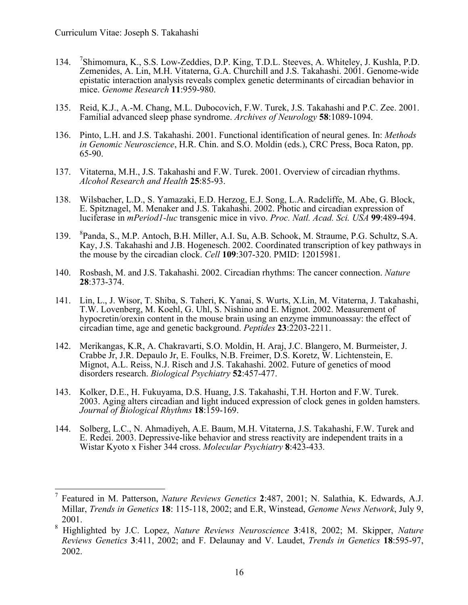- 134. <sup>7</sup> Shimomura, K., S.S. Low-Zeddies, D.P. King, T.D.L. Steeves, A. Whiteley, J. Kushla, P.D. Zemenides, A. Lin, M.H. Vitaterna, G.A. Churchill and J.S. Takahashi. 2001. Genome-wide epistatic interaction analysis reveals complex genetic determinants of circadian behavior in mice. *Genome Research* **11**:959-980.
- 135. Reid, K.J., A.-M. Chang, M.L. Dubocovich, F.W. Turek, J.S. Takahashi and P.C. Zee. 2001. Familial advanced sleep phase syndrome. *Archives of Neurology* **58**:1089-1094.
- 136. Pinto, L.H. and J.S. Takahashi. 2001. Functional identification of neural genes. In: *Methods in Genomic Neuroscience*, H.R. Chin. and S.O. Moldin (eds.), CRC Press, Boca Raton, pp. 65-90.
- 137. Vitaterna, M.H., J.S. Takahashi and F.W. Turek. 2001. Overview of circadian rhythms. *Alcohol Research and Health* **25**:85-93.
- 138. Wilsbacher, L.D., S. Yamazaki, E.D. Herzog, E.J. Song, L.A. Radcliffe, M. Abe, G. Block, E. Spitznagel, M. Menaker and J.S. Takahashi. 2002. Photic and circadian expression of luciferase in *mPeriod1-luc* transgenic mice in vivo. *Proc. Natl. Acad. Sci. USA* **99**:489-494.
- 139. Panda, S., M.P. Antoch, B.H. Miller, A.I. Su, A.B. Schook, M. Straume, P.G. Schultz, S.A. Kay, J.S. Takahashi and J.B. Hogenesch. 2002. Coordinated transcription of key pathways in the mouse by the circadian clock. *Cell* **109**:307-320. PMID: 12015981.
- 140. Rosbash, M. and J.S. Takahashi. 2002. Circadian rhythms: The cancer connection. *Nature* **28**:373-374.
- 141. Lin, L., J. Wisor, T. Shiba, S. Taheri, K. Yanai, S. Wurts, X.Lin, M. Vitaterna, J. Takahashi, T.W. Lovenberg, M. Koehl, G. Uhl, S. Nishino and E. Mignot. 2002. Measurement of hypocretin/orexin content in the mouse brain using an enzyme immunoassay: the effect of circadian time, age and genetic background. *Peptides* **23**:2203-2211.
- 142. Merikangas, K.R, A. Chakravarti, S.O. Moldin, H. Araj, J.C. Blangero, M. Burmeister, J. Crabbe Jr, J.R. Depaulo Jr, E. Foulks, N.B. Freimer, D.S. Koretz, W. Lichtenstein, E. Mignot, A.L. Reiss, N.J. Risch and J.S. Takahashi. 2002. Future of genetics of mood disorders research. *Biological Psychiatry* **52**:457-477.
- 143. Kolker, D.E., H. Fukuyama, D.S. Huang, J.S. Takahashi, T.H. Horton and F.W. Turek. 2003. Aging alters circadian and light induced expression of clock genes in golden hamsters. *Journal of Biological Rhythms* **18**:159-169.
- 144. Solberg, L.C., N. Ahmadiyeh, A.E. Baum, M.H. Vitaterna, J.S. Takahashi, F.W. Turek and E. Redei. 2003. Depressive-like behavior and stress reactivity are independent traits in a Wistar Kyoto x Fisher 344 cross. *Molecular Psychiatry* **8**:423-433*.*

 <sup>7</sup> Featured in M. Patterson, *Nature Reviews Genetics* **<sup>2</sup>**:487, 2001; N. Salathia, K. Edwards, A.J. Millar, *Trends in Genetics* **18**: 115-118, 2002; and E.R, Winstead, *Genome News Network*, July 9, 2001.

<sup>8</sup> Highlighted by J.C. Lopez, *Nature Reviews Neuroscience* **3**:418, 2002; M. Skipper, *Nature Reviews Genetics* **3**:411, 2002; and F. Delaunay and V. Laudet, *Trends in Genetics* **18**:595-97, 2002.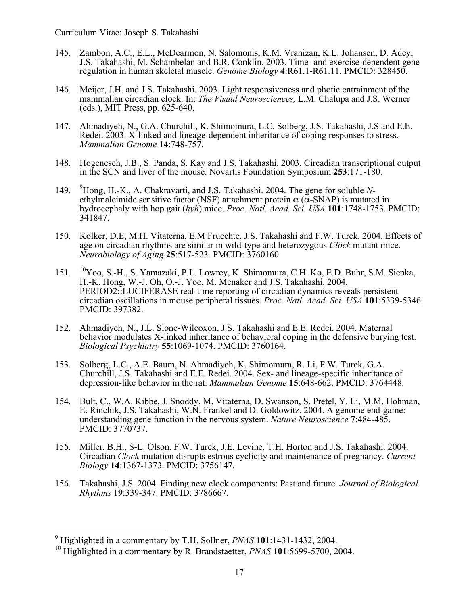- 145. Zambon, A.C., E.L., McDearmon, N. Salomonis, K.M. Vranizan, K.L. Johansen, D. Adey, J.S. Takahashi, M. Schambelan and B.R. Conklin. 2003. Time- and exercise-dependent gene regulation in human skeletal muscle. *Genome Biology* **4**:R61.1-R61.11. PMCID: 328450.
- 146. Meijer, J.H. and J.S. Takahashi. 2003. Light responsiveness and photic entrainment of the mammalian circadian clock. In: *The Visual Neurosciences,* L.M. Chalupa and J.S. Werner (eds.), MIT Press, pp. 625-640.
- 147. Ahmadiyeh, N., G.A. Churchill, K. Shimomura, L.C. Solberg, J.S. Takahashi, J.S and E.E. Redei. 2003. X-linked and lineage-dependent inheritance of coping responses to stress. *Mammalian Genome* **14**:748-757.
- 148. Hogenesch, J.B., S. Panda, S. Kay and J.S. Takahashi. 2003. Circadian transcriptional output in the SCN and liver of the mouse. Novartis Foundation Symposium **253**:171-180.
- $149.$ Hong, H.-K., A. Chakravarti, and J.S. Takahashi. 2004. The gene for soluble *N*ethylmaleimide sensitive factor (NSF) attachment protein  $\alpha$  ( $\alpha$ -SNAP) is mutated in hydrocephaly with hop gait (*hyh*) mice. *Proc. Natl. Acad. Sci. USA* **101**:1748-1753. PMCID: 341847.
- 150. Kolker, D.E, M.H. Vitaterna, E.M Fruechte, J.S. Takahashi and F.W. Turek. 2004. Effects of age on circadian rhythms are similar in wild-type and heterozygous *Clock* mutant mice. *Neurobiology of Aging* **25**:517-523. PMCID: 3760160.
- 151. 10Yoo, S.-H., S. Yamazaki, P.L. Lowrey, K. Shimomura, C.H. Ko, E.D. Buhr, S.M. Siepka, H.-K. Hong, W.-J. Oh, O.-J. Yoo, M. Menaker and J.S. Takahashi. 2004. PERIOD2::LUCIFERASE real-time reporting of circadian dynamics reveals persistent circadian oscillations in mouse peripheral tissues. *Proc. Natl. Acad. Sci. USA* **101**:5339-5346. PMCID: 397382.
- 152. Ahmadiyeh, N., J.L. Slone-Wilcoxon, J.S. Takahashi and E.E. Redei. 2004. Maternal behavior modulates X-linked inheritance of behavioral coping in the defensive burying test. *Biological Psychiatry* **55**:1069-1074. PMCID: 3760164.
- 153. Solberg, L.C., A.E. Baum, N. Ahmadiyeh, K. Shimomura, R. Li, F.W. Turek, G.A. Churchill, J.S. Takahashi and E.E. Redei. 2004. Sex- and lineage-specific inheritance of depression-like behavior in the rat. *Mammalian Genome* **15**:648-662. PMCID: 3764448.
- 154. Bult, C., W.A. Kibbe, J. Snoddy, M. Vitaterna, D. Swanson, S. Pretel, Y. Li, M.M. Hohman, E. Rinchik, J.S. Takahashi, W.N. Frankel and D. Goldowitz. 2004. A genome end-game: understanding gene function in the nervous system. *Nature Neuroscience* **7**:484-485. PMCID: 3770737.
- 155. Miller, B.H., S-L. Olson, F.W. Turek, J.E. Levine, T.H. Horton and J.S. Takahashi. 2004. Circadian *Clock* mutation disrupts estrous cyclicity and maintenance of pregnancy. *Current Biology* **14**:1367-1373. PMCID: 3756147.
- 156. Takahashi, J.S. 2004. Finding new clock components: Past and future. *Journal of Biological Rhythms* 1**9**:339-347. PMCID: 3786667.

 <sup>9</sup> Highlighted in a commentary by T.H. Sollner, *PNAS* **<sup>101</sup>**:1431-1432, 2004.

<sup>10</sup> Highlighted in a commentary by R. Brandstaetter, *PNAS* **101**:5699-5700, 2004.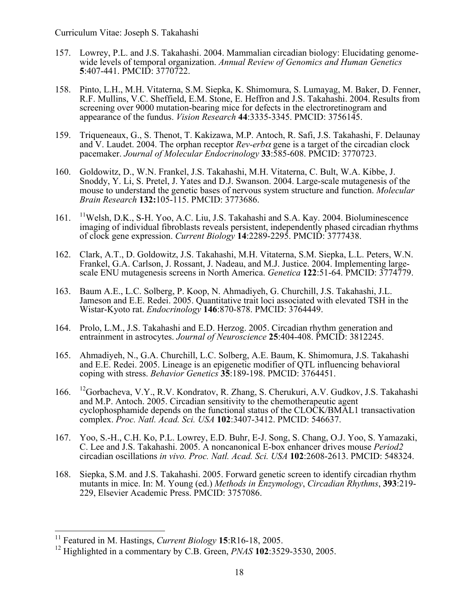- 157. Lowrey, P.L. and J.S. Takahashi. 2004. Mammalian circadian biology: Elucidating genomewide levels of temporal organization. *Annual Review of Genomics and Human Genetics* **5**:407-441. PMCID: 3770722.
- 158. Pinto, L.H., M.H. Vitaterna, S.M. Siepka, K. Shimomura, S. Lumayag, M. Baker, D. Fenner, R.F. Mullins, V.C. Sheffield, E.M. Stone, E. Heffron and J.S. Takahashi. 2004. Results from screening over 9000 mutation-bearing mice for defects in the electroretinogram and appearance of the fundus. *Vision Research* **44**:3335-3345. PMCID: 3756145.
- 159. Triqueneaux, G., S. Thenot, T. Kakizawa, M.P. Antoch, R. Safi, J.S. Takahashi, F. Delaunay and V. Laudet. 2004. The orphan receptor *Rev-erb*<sup>α</sup> gene is a target of the circadian clock pacemaker. *Journal of Molecular Endocrinology* **33**:585-608. PMCID: 3770723.
- 160. Goldowitz, D., W.N. Frankel, J.S. Takahashi, M.H. Vitaterna, C. Bult, W.A. Kibbe, J. Snoddy, Y. Li, S. Pretel, J. Yates and D.J. Swanson. 2004. Large-scale mutagenesis of the mouse to understand the genetic bases of nervous system structure and function. *Molecular Brain Research* **132:**105-115. PMCID: 3773686.
- 161. 11Welsh, D.K., S-H. Yoo, A.C. Liu, J.S. Takahashi and S.A. Kay. 2004. Bioluminescence imaging of individual fibroblasts reveals persistent, independently phased circadian rhythms of clock gene expression. *Current Biology* **14**:2289-2295. PMCID: 3777438.
- 162. Clark, A.T., D. Goldowitz, J.S. Takahashi, M.H. Vitaterna, S.M. Siepka, L.L. Peters, W.N. Frankel, G.A. Carlson, J. Rossant, J. Nadeau, and M.J. Justice. 2004. Implementing largescale ENU mutagenesis screens in North America. *Genetica* **122**:51-64. PMCID: 3774779.
- 163. Baum A.E., L.C. Solberg, P. Koop, N. Ahmadiyeh, G. Churchill, J.S. Takahashi, J.L. Jameson and E.E. Redei. 2005. Quantitative trait loci associated with elevated TSH in the Wistar-Kyoto rat. *Endocrinology* **146**:870-878. PMCID: 3764449.
- 164. Prolo, L.M., J.S. Takahashi and E.D. Herzog. 2005. Circadian rhythm generation and entrainment in astrocytes. *Journal of Neuroscience* **25**:404-408. PMCID: 3812245.
- 165. Ahmadiyeh, N., G.A. Churchill, L.C. Solberg, A.E. Baum, K. Shimomura, J.S. Takahashi and E.E. Redei. 2005. Lineage is an epigenetic modifier of QTL influencing behavioral coping with stress. *Behavior Genetics* **35**:189-198. PMCID: 3764451.
- 166. 12Gorbacheva, V.Y., R.V. Kondratov, R. Zhang, S. Cherukuri, A.V. Gudkov, J.S. Takahashi and M.P. Antoch. 2005. Circadian sensitivity to the chemotherapeutic agent cyclophosphamide depends on the functional status of the CLOCK/BMAL1 transactivation complex. *Proc. Natl. Acad. Sci. USA* **102**:3407-3412. PMCID: 546637.
- 167. Yoo, S.-H., C.H. Ko, P.L. Lowrey, E.D. Buhr, E-J. Song, S. Chang, O.J. Yoo, S. Yamazaki, C. Lee and J.S. Takahashi. 2005. A noncanonical E-box enhancer drives mouse *Period2* circadian oscillations *in vivo. Proc. Natl. Acad. Sci. USA* **102**:2608-2613. PMCID: 548324.
- 168. Siepka, S.M. and J.S. Takahashi. 2005. Forward genetic screen to identify circadian rhythm mutants in mice. In: M. Young (ed.) *Methods in Enzymology*, *Circadian Rhythms*, **393**:219- 229, Elsevier Academic Press. PMCID: 3757086.

 <sup>11</sup> Featured in M. Hastings, *Current Biology* **<sup>15</sup>**:R16-18, 2005.

<sup>12</sup> Highlighted in a commentary by C.B. Green, *PNAS* **102**:3529-3530, 2005.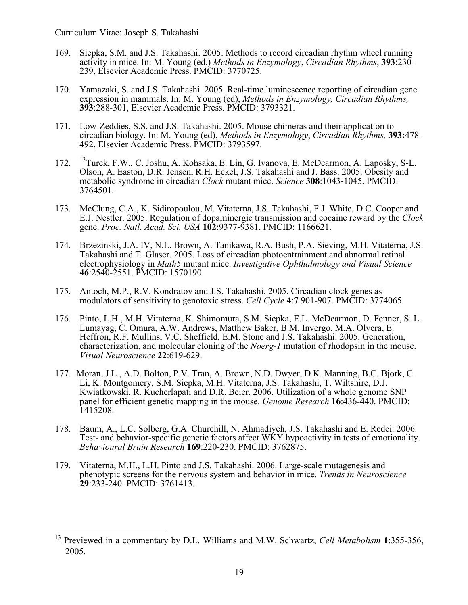- 169. Siepka, S.M. and J.S. Takahashi. 2005. Methods to record circadian rhythm wheel running activity in mice. In: M. Young (ed.) *Methods in Enzymology*, *Circadian Rhythms*, **393**:230- 239, Elsevier Academic Press. PMCID: 3770725.
- 170. Yamazaki, S. and J.S. Takahashi. 2005. Real-time luminescence reporting of circadian gene expression in mammals. In: M. Young (ed), *Methods in Enzymology, Circadian Rhythms,* **393**:288-301, Elsevier Academic Press. PMCID: 3793321.
- 171. Low-Zeddies, S.S. and J.S. Takahashi. 2005. Mouse chimeras and their application to circadian biology. In: M. Young (ed), *Methods in Enzymology*, *Circadian Rhythms,* **393:**478- 492, Elsevier Academic Press. PMCID: 3793597.
- 172. 13Turek, F.W., C. Joshu, A. Kohsaka, E. Lin, G. Ivanova, E. McDearmon, A. Laposky, S-L. Olson, A. Easton, D.R. Jensen, R.H. Eckel, J.S. Takahashi and J. Bass. 2005. Obesity and metabolic syndrome in circadian *Clock* mutant mice. *Science* **308**:1043-1045. PMCID: 3764501.
- 173. McClung, C.A., K. Sidiropoulou, M. Vitaterna, J.S. Takahashi, F.J. White, D.C. Cooper and E.J. Nestler. 2005. Regulation of dopaminergic transmission and cocaine reward by the *Clock* gene. *Proc. Natl. Acad. Sci. USA* **102**:9377-9381. PMCID: 1166621.
- 174. Brzezinski, J.A. IV, N.L. Brown, A. Tanikawa, R.A. Bush, P.A. Sieving, M.H. Vitaterna, J.S. Takahashi and T. Glaser. 2005. Loss of circadian photoentrainment and abnormal retinal electrophysiology in *Math5* mutant mice. *Investigative Ophthalmology and Visual Science* **46**:2540-2551. PMCID: 1570190.
- 175. Antoch, M.P., R.V. Kondratov and J.S. Takahashi. 2005. Circadian clock genes as modulators of sensitivity to genotoxic stress. *Cell Cycle* **4**:**7** 901-907. PMCID: 3774065.
- 176. Pinto, L.H., M.H. Vitaterna, K. Shimomura, S.M. Siepka, E.L. McDearmon, D. Fenner, S. L. Lumayag, C. Omura, A.W. Andrews, Matthew Baker, B.M. Invergo, M.A. Olvera, E. Heffron, R.F. Mullins, V.C. Sheffield, E.M. Stone and J.S. Takahashi. 2005. Generation, characterization, and molecular cloning of the *Noerg-1* mutation of rhodopsin in the mouse. *Visual Neuroscience* **22**:619-629.
- 177. Moran, J.L., A.D. Bolton, P.V. Tran, A. Brown, N.D. Dwyer, D.K. Manning, B.C. Bjork, C. Li, K. Montgomery, S.M. Siepka, M.H. Vitaterna, J.S. Takahashi, T. Wiltshire, D.J. Kwiatkowski, R. Kucherlapati and D.R. Beier. 2006. Utilization of a whole genome SNP panel for efficient genetic mapping in the mouse. *Genome Research* **16**:436-440. PMCID: 1415208.
- 178. Baum, A., L.C. Solberg, G.A. Churchill, N. Ahmadiyeh, J.S. Takahashi and E. Redei. 2006. Test- and behavior-specific genetic factors affect WKY hypoactivity in tests of emotionality. *Behavioural Brain Research* **169**:220-230. PMCID: 3762875.
- 179. Vitaterna, M.H., L.H. Pinto and J.S. Takahashi. 2006. Large-scale mutagenesis and phenotypic screens for the nervous system and behavior in mice. *Trends in Neuroscience* **29**:233-240. PMCID: 3761413.

 <sup>13</sup> Previewed in a commentary by D.L. Williams and M.W. Schwartz, *Cell Metabolism* **<sup>1</sup>**:355-356, 2005.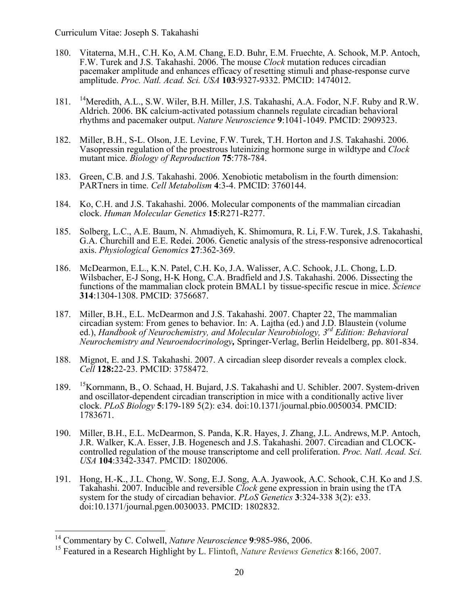- 180. Vitaterna, M.H., C.H. Ko, A.M. Chang, E.D. Buhr, E.M. Fruechte, A. Schook, M.P. Antoch, F.W. Turek and J.S. Takahashi. 2006. The mouse *Clock* mutation reduces circadian pacemaker amplitude and enhances efficacy of resetting stimuli and phase-response curve amplitude. *Proc. Natl. Acad. Sci. USA* **103**:9327-9332. PMCID: 1474012.
- 181. 14Meredith, A.L., S.W. Wiler, B.H. Miller, J.S. Takahashi, A.A. Fodor, N.F. Ruby and R.W. Aldrich. 2006. BK calcium-activated potassium channels regulate circadian behavioral rhythms and pacemaker output. *Nature Neuroscience* **9**:1041-1049. PMCID: 2909323.
- 182. Miller, B.H., S-L. Olson, J.E. Levine, F.W. Turek, T.H. Horton and J.S. Takahashi. 2006. Vasopressin regulation of the proestrous luteinizing hormone surge in wildtype and *Clock* mutant mice. *Biology of Reproduction* **75**:778-784.
- 183. Green, C.B. and J.S. Takahashi. 2006. Xenobiotic metabolism in the fourth dimension: PARTners in time. *Cell Metabolism* **4**:3-4. PMCID: 3760144.
- 184. Ko, C.H. and J.S. Takahashi. 2006. Molecular components of the mammalian circadian clock. *Human Molecular Genetics* **15**:R271-R277.
- 185. Solberg, L.C., A.E. Baum, N. Ahmadiyeh, K. Shimomura, R. Li, F.W. Turek, J.S. Takahashi, G.A. Churchill and E.E. Redei. 2006. Genetic analysis of the stress-responsive adrenocortical axis. *Physiological Genomics* **27**:362-369.
- 186. McDearmon, E.L., K.N. Patel, C.H. Ko, J.A. Walisser, A.C. Schook, J.L. Chong, L.D. Wilsbacher, E-J Song, H-K Hong, C.A. Bradfield and J.S. Takahashi. 2006. Dissecting the functions of the mammalian clock protein BMAL1 by tissue-specific rescue in mice. *Science* **314**:1304-1308. PMCID: 3756687.
- 187. Miller, B.H., E.L. McDearmon and J.S. Takahashi. 2007. Chapter 22, The mammalian circadian system: From genes to behavior. In: A. Lajtha (ed.) and J.D. Blaustein (volume ed.), *Handbook of Neurochemistry, and Molecular Neurobiology, 3rd Edition: Behavioral Neurochemistry and Neuroendocrinology,* Springer-Verlag, Berlin Heidelberg, pp. 801-834.
- 188. Mignot, E. and J.S. Takahashi. 2007. A circadian sleep disorder reveals a complex clock. *Cell* **128:**22-23. PMCID: 3758472.
- 189. 15Kornmann, B., O. Schaad, H. Bujard, J.S. Takahashi and U. Schibler. 2007. System-driven and oscillator-dependent circadian transcription in mice with a conditionally active liver clock. *PLoS Biology* **5**:179-189 5(2): e34. doi:10.1371/journal.pbio.0050034. PMCID: 1783671.
- 190. Miller, B.H., E.L. McDearmon, S. Panda, K.R. Hayes, J. Zhang, J.L. Andrews, M.P. Antoch, J.R. Walker, K.A. Esser, J.B. Hogenesch and J.S. Takahashi. 2007. Circadian and CLOCKcontrolled regulation of the mouse transcriptome and cell proliferation. *Proc. Natl. Acad. Sci. USA* **104**:3342-3347. PMCID: 1802006.
- 191. Hong, H.-K., J.L. Chong, W. Song, E.J. Song, A.A. Jyawook, A.C. Schook, C.H. Ko and J.S. Takahashi. 2007. Inducible and reversible *Clock* gene expression in brain using the tTA system for the study of circadian behavior. *PLoS Genetics* **3**:324-338 3(2): e33. doi:10.1371/journal.pgen.0030033. PMCID: 1802832.

 <sup>14</sup> Commentary by C. Colwell, *Nature Neuroscience* **<sup>9</sup>**:985-986, 2006.

<sup>15</sup> Featured in a Research Highlight by L. Flintoft, *Nature Reviews Genetics* **8**:166, 2007.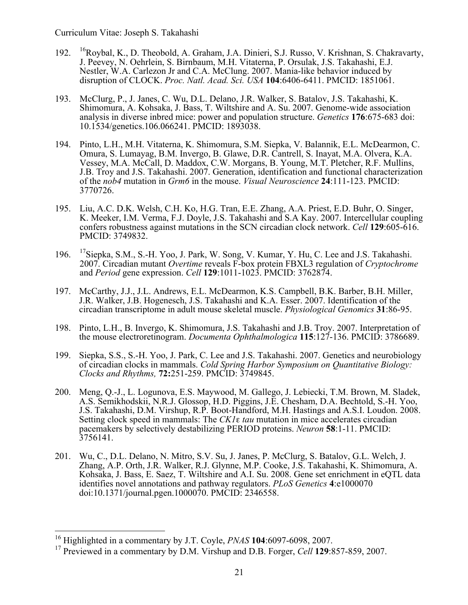- 192. <sup>16</sup>Rovbal, K., D. Theobold, A. Graham, J.A. Dinieri, S.J. Russo, V. Krishnan, S. Chakravarty, J. Peevey, N. Oehrlein, S. Birnbaum, M.H. Vitaterna, P. Orsulak, J.S. Takahashi, E.J. Nestler, W.A. Carlezon Jr and C.A. McClung. 2007. Mania-like behavior induced by disruption of CLOCK. *Proc. Natl. Acad. Sci. USA* **104**:6406-6411. PMCID: 1851061.
- 193. McClurg, P., J. Janes, C. Wu, D.L. Delano, J.R. Walker, S. Batalov, J.S. Takahashi, K. Shimomura, A. Kohsaka, J. Bass, T. Wiltshire and A. Su. 2007. Genome-wide association analysis in diverse inbred mice: power and population structure. *Genetics* **176**:675-683 doi: 10.1534/genetics.106.066241. PMCID: 1893038.
- 194. Pinto, L.H., M.H. Vitaterna, K. Shimomura, S.M. Siepka, V. Balannik, E.L. McDearmon, C. Omura, S. Lumayag, B.M. Invergo, B. Glawe, D.R. Cantrell, S. Inayat, M.A. Olvera, K.A. Vessey, M.A. McCall, D. Maddox, C.W. Morgans, B. Young, M.T. Pletcher, R.F. Mullins, J.B. Troy and J.S. Takahashi. 2007. Generation, identification and functional characterization of the *nob4* mutation in *Grm6* in the mouse. *Visual Neuroscience* **24**:111-123. PMCID: 3770726.
- 195. Liu, A.C. D.K. Welsh, C.H. Ko, H.G. Tran, E.E. Zhang, A.A. Priest, E.D. Buhr, O. Singer, K. Meeker, I.M. Verma, F.J. Doyle, J.S. Takahashi and S.A Kay. 2007. Intercellular coupling confers robustness against mutations in the SCN circadian clock network. *Cell* **129**:605-616. PMCID: 3749832.
- 196. 17Siepka, S.M., S.-H. Yoo, J. Park, W. Song, V. Kumar, Y. Hu, C. Lee and J.S. Takahashi. 2007. Circadian mutant *Overtime* reveals F-box protein FBXL3 regulation of *Cryptochrome*  and *Period* gene expression. *Cell* **129**:1011-1023. PMCID: 3762874.
- 197. McCarthy, J.J., J.L. Andrews, E.L. McDearmon, K.S. Campbell, B.K. Barber, B.H. Miller, J.R. Walker, J.B. Hogenesch, J.S. Takahashi and K.A. Esser. 2007. Identification of the circadian transcriptome in adult mouse skeletal muscle. *Physiological Genomics* **31**:86-95.
- 198. Pinto, L.H., B. Invergo, K. Shimomura, J.S. Takahashi and J.B. Troy. 2007. Interpretation of the mouse electroretinogram. *Documenta Ophthalmologica* **115**:127-136. PMCID: 3786689.
- 199. Siepka, S.S., S.-H. Yoo, J. Park, C. Lee and J.S. Takahashi. 2007. Genetics and neurobiology of circadian clocks in mammals. *Cold Spring Harbor Symposium on Quantitative Biology: Clocks and Rhythms,* **72:**251-259. PMCID: 3749845.
- 200. Meng, Q.-J., L. Logunova, E.S. Maywood, M. Gallego, J. Lebiecki, T.M. Brown, M. Sladek, A.S. Semikhodskii, N.R.J. Glossop, H.D. Piggins, J.E. Chesham, D.A. Bechtold, S.-H. Yoo, J.S. Takahashi, D.M. Virshup, R.P. Boot-Handford, M.H. Hastings and A.S.I. Loudon. 2008. Setting clock speed in mammals: The *CK1*ε *tau* mutation in mice accelerates circadian pacemakers by selectively destabilizing PERIOD proteins. *Neuron* **58**:1-11. PMCID: 3756141.
- 201. Wu, C., D.L. Delano, N. Mitro, S.V. Su, J. Janes, P. McClurg, S. Batalov, G.L. Welch, J. Zhang, A.P. Orth, J.R. Walker, R.J. Glynne, M.P. Cooke, J.S. Takahashi, K. Shimomura, A. Kohsaka, J. Bass, E. Saez, T. Wiltshire and A.I. Su. 2008. Gene set enrichment in eQTL data identifies novel annotations and pathway regulators. *PLoS Genetics* **4**:e1000070 doi:10.1371/journal.pgen.1000070. PMCID: 2346558.

 <sup>16</sup> Highlighted in a commentary by J.T. Coyle, *PNAS* **<sup>104</sup>**:6097-6098, 2007.

<sup>17</sup> Previewed in a commentary by D.M. Virshup and D.B. Forger, *Cell* **129**:857-859, 2007.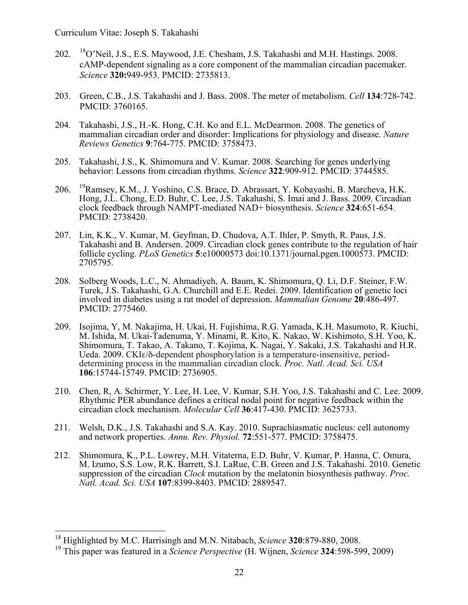- 202. 18O'Neil, J.S., E.S. Maywood, J.E. Chesham, J.S. Takahashi and M.H. Hastings. 2008. cAMP-dependent signaling as a core component of the mammalian circadian pacemaker. *Science* **320:**949-953. PMCID: 2735813.
- 203. Green, C.B., J.S. Takahashi and J. Bass. 2008. The meter of metabolism. *Cell* **134**:728-742. PMCID: 3760165.
- 204. Takahashi, J.S., H.-K. Hong, C.H. Ko and E.L. McDearmon. 2008. The genetics of mammalian circadian order and disorder: Implications for physiology and disease. *Nature Reviews Genetics* **9**:764-775. PMCID: 3758473.
- 205. Takahashi, J.S., K. Shimomura and V. Kumar. 2008. Searching for genes underlying behavior: Lessons from circadian rhythms. *Science* **322**:909-912. PMCID: 3744585.
- 206. 19Ramsey, K.M., J. Yoshino, C.S. Brace, D. Abrassart, Y. Kobayashi, B. Marcheva, H.K. Hong, J.L. Chong, E.D. Buhr, C. Lee, J.S. Takahashi, S. Imai and J. Bass. 2009. Circadian clock feedback through NAMPT-mediated NAD+ biosynthesis. *Science* **324**:651-654. PMCID: 2738420.
- 207. Lin, K.K., V. Kumar, M. Geyfman, D. Chudova, A.T. Ihler, P. Smyth, R. Paus, J.S. Takahashi and B. Andersen. 2009. Circadian clock genes contribute to the regulation of hair follicle cycling. *PLoS Genetics* **5**:e10000573 doi:10.1371/journal.pgen.1000573. PMCID: 2705795.
- 208. Solberg Woods, L.C., N. Ahmadiyeh, A. Baum, K. Shimomura, Q. Li, D.F. Steiner, F.W. Turek, J.S. Takahashi, G.A. Churchill and E.E. Redei. 2009. Identification of genetic loci involved in diabetes using a rat model of depression. *Mammalian Genome* **20**:486-497. PMCID: 2775460.
- 209. Isojima, Y, M. Nakajima, H. Ukai, H. Fujishima, R.G. Yamada, K.H. Masumoto, R. Kiuchi, M. Ishida, M. Ukai-Tadenuma, Y. Minami, R. Kito, K. Nakao, W. Kishimoto, S.H. Yoo, K. Shimomura, T. Takao, A. Takano, T. Kojima, K. Nagai, Y. Sakaki, J.S. Takahashi and H.R. Ueda. 2009. CKIε/δ-dependent phosphorylation is a temperature-insensitive, perioddetermining process in the mammalian circadian clock. *Proc. Natl. Acad. Sci. USA* **106**:15744-15749. PMCID: 2736905.
- 210. Chen, R, A. Schirmer, Y. Lee, H. Lee, V. Kumar, S.H. Yoo, J.S. Takahashi and C. Lee. 2009. Rhythmic PER abundance defines a critical nodal point for negative feedback within the circadian clock mechanism. *Molecular Cell* **36**:417-430. PMCID: 3625733.
- 211. Welsh, D.K., J.S. Takahashi and S.A. Kay. 2010. Suprachiasmatic nucleus: cell autonomy and network properties. *Annu. Rev. Physiol.* **72**:551-577. PMCID: 3758475.
- 212. Shimomura, K., P.L. Lowrey, M.H. Vitaterna, E.D. Buhr, V. Kumar, P. Hanna, C. Omura, M. Izumo, S.S. Low, R.K. Barrett, S.I. LaRue, C.B. Green and J.S. Takahashi. 2010. Genetic suppression of the circadian *Clock* mutation by the melatonin biosynthesis pathway. *Proc. Natl. Acad. Sci. USA* **107**:8399-8403. PMCID: 2889547.

 <sup>18</sup> Highlighted by M.C. Harrisingh and M.N. Nitabach, *Science* **<sup>320</sup>**:879-880, 2008.

<sup>19</sup> This paper was featured in a *Science Perspective* (H. Wijnen, *Science* **324**:598-599, 2009)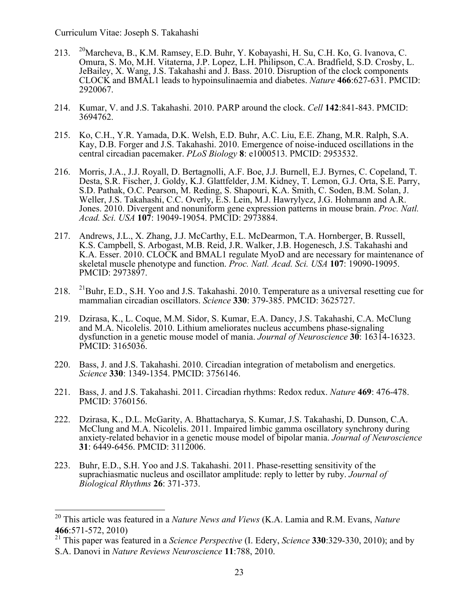- 213. 20Marcheva, B., K.M. Ramsey, E.D. Buhr, Y. Kobayashi, H. Su, C.H. Ko, G. Ivanova, C. Omura, S. Mo, M.H. Vitaterna, J.P. Lopez, L.H. Philipson, C.A. Bradfield, S.D. Crosby, L. JeBailey, X. Wang, J.S. Takahashi and J. Bass. 2010. Disruption of the clock components CLOCK and BMAL1 leads to hypoinsulinaemia and diabetes. *Nature* **466**:627-631. PMCID: 2920067.
- 214. Kumar, V. and J.S. Takahashi. 2010. PARP around the clock. *Cell* **142**:841-843. PMCID: 3694762.
- 215. Ko, C.H., Y.R. Yamada, D.K. Welsh, E.D. Buhr, A.C. Liu, E.E. Zhang, M.R. Ralph, S.A. Kay, D.B. Forger and J.S. Takahashi. 2010. Emergence of noise-induced oscillations in the central circadian pacemaker. *PLoS Biology* **8**: e1000513. PMCID: 2953532.
- 216. Morris, J.A., J.J. Royall, D. Bertagnolli, A.F. Boe, J.J. Burnell, E.J. Byrnes, C. Copeland, T. Desta, S.R. Fischer, J. Goldy, K.J. Glattfelder, J.M. Kidney, T. Lemon, G.J. Orta, S.E. Parry, S.D. Pathak, O.C. Pearson, M. Reding, S. Shapouri, K.A. Smith, C. Soden, B.M. Solan, J. Weller, J.S. Takahashi, C.C. Overly, E.S. Lein, M.J. Hawrylycz, J.G. Hohmann and A.R. Jones. 2010. Divergent and nonuniform gene expression patterns in mouse brain. *Proc. Natl. Acad. Sci. USA* **107**: 19049-19054. PMCID: 2973884.
- 217. Andrews, J.L., X. Zhang, J.J. McCarthy, E.L. McDearmon, T.A. Hornberger, B. Russell, K.S. Campbell, S. Arbogast, M.B. Reid, J.R. Walker, J.B. Hogenesch, J.S. Takahashi and K.A. Esser. 2010. CLOCK and BMAL1 regulate MyoD and are necessary for maintenance of skeletal muscle phenotype and function. *Proc. Natl. Acad. Sci. USA* **107**: 19090-19095. PMCID: 2973897.
- 218. 21Buhr, E.D., S.H. Yoo and J.S. Takahashi. 2010. Temperature as a universal resetting cue for mammalian circadian oscillators. *Science* **330**: 379-385. PMCID: 3625727.
- 219. Dzirasa, K., L. Coque, M.M. Sidor, S. Kumar, E.A. Dancy, J.S. Takahashi, C.A. McClung and M.A. Nicolelis. 2010. Lithium ameliorates nucleus accumbens phase-signaling dysfunction in a genetic mouse model of mania. *Journal of Neuroscience* **30**: 16314-16323. PMCID: 3165036.
- 220. Bass, J. and J.S. Takahashi. 2010. Circadian integration of metabolism and energetics. *Science* **330**: 1349-1354. PMCID: 3756146.
- 221. Bass, J. and J.S. Takahashi. 2011. Circadian rhythms: Redox redux. *Nature* **<sup>469</sup>**: 476-478. PMCID: 3760156.
- 222. Dzirasa, K., D.L. McGarity, A. Bhattacharya, S. Kumar, J.S. Takahashi, D. Dunson, C.A. McClung and M.A. Nicolelis. 2011. Impaired limbic gamma oscillatory synchrony during anxiety-related behavior in a genetic mouse model of bipolar mania. *Journal of Neuroscience* **31**: 6449-6456. PMCID: 3112006.
- 223. Buhr, E.D., S.H. Yoo and J.S. Takahashi. 2011. Phase-resetting sensitivity of the suprachiasmatic nucleus and oscillator amplitude: reply to letter by ruby. *Journal of Biological Rhythms* **26**: 371-373.

 <sup>20</sup> This article was featured in a *Nature News and Views* (K.A. Lamia and R.M. Evans, *Nature* **466**:571-572, 2010)

<sup>21</sup> This paper was featured in a *Science Perspective* (I. Edery, *Science* **330**:329-330, 2010); and by S.A. Danovi in *Nature Reviews Neuroscience* **11**:788, 2010.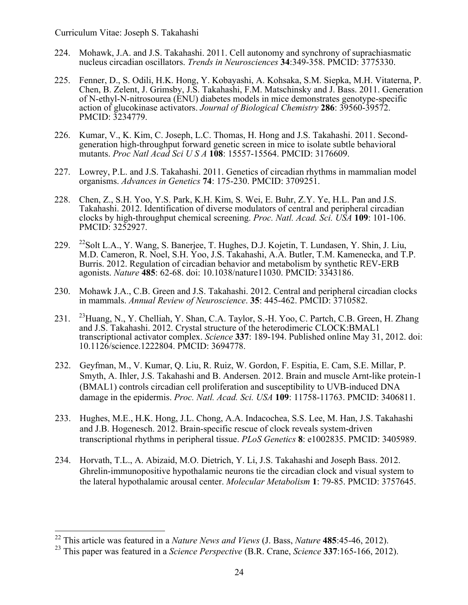- 224. Mohawk, J.A. and J.S. Takahashi. 2011. Cell autonomy and synchrony of suprachiasmatic nucleus circadian oscillators. *Trends in Neurosciences* **34**:349-358. PMCID: 3775330.
- 225. Fenner, D., S. Odili, H.K. Hong, Y. Kobayashi, A. Kohsaka, S.M. Siepka, M.H. Vitaterna, P. Chen, B. Zelent, J. Grimsby, J.S. Takahashi, F.M. Matschinsky and J. Bass. 2011. Generation of N-ethyl-N-nitrosourea (ENU) diabetes models in mice demonstrates genotype-specific action of glucokinase activators. *Journal of Biological Chemistry* **286**: 39560-39572. PMCID: 3234779.
- 226. Kumar, V., K. Kim, C. Joseph, L.C. Thomas, H. Hong and J.S. Takahashi. 2011. Secondgeneration high-throughput forward genetic screen in mice to isolate subtle behavioral mutants. *Proc Natl Acad Sci U S A* **108**: 15557-15564. PMCID: 3176609.
- 227. Lowrey, P.L. and J.S. Takahashi. 2011. Genetics of circadian rhythms in mammalian model organisms. *Advances in Genetics* **74**: 175-230. PMCID: 3709251.
- 228. Chen, Z., S.H. Yoo, Y.S. Park, K.H. Kim, S. Wei, E. Buhr, Z.Y. Ye, H.L. Pan and J.S. Takahashi. 2012. Identification of diverse modulators of central and peripheral circadian clocks by high-throughput chemical screening. *Proc. Natl. Acad. Sci. USA* **109**: 101-106. PMCID: 3252927.
- 229. <sup>22</sup>Solt L.A., Y. Wang, S. Banerjee, T. Hughes, D.J. Kojetin, T. Lundasen, Y. Shin, J. Liu, M.D. Cameron, R. Noel, S.H. Yoo, J.S. Takahashi, A.A. Butler, T.M. Kamenecka, and T.P. Burris. 2012. Regulation of circadian behavior and metabolism by synthetic REV-ERB agonists. *Nature* **485**: 62-68. doi: 10.1038/nature11030. PMCID: 3343186.
- 230. Mohawk J.A., C.B. Green and J.S. Takahashi. 2012. Central and peripheral circadian clocks in mammals. *Annual Review of Neuroscience*. **35**: 445-462. PMCID: 3710582.
- 231. 23Huang, N., Y. Chelliah, Y. Shan, C.A. Taylor, S.-H. Yoo, C. Partch, C.B. Green, H. Zhang and J.S. Takahashi. 2012. Crystal structure of the heterodimeric CLOCK:BMAL1 transcriptional activator complex. *Science* **337**: 189-194. Published online May 31, 2012. doi: 10.1126/science.1222804. PMCID: 3694778.
- 232. Geyfman, M., V. Kumar, Q. Liu, R. Ruiz, W. Gordon, F. Espitia, E. Cam, S.E. Millar, P. Smyth, A. Ihler, J.S. Takahashi and B. Andersen. 2012. Brain and muscle Arnt-like protein-1 (BMAL1) controls circadian cell proliferation and susceptibility to UVB-induced DNA damage in the epidermis. *Proc. Natl. Acad. Sci. USA* **109**: 11758-11763. PMCID: 3406811.
- 233. Hughes, M.E., H.K. Hong, J.L. Chong, A.A. Indacochea, S.S. Lee, M. Han, J.S. Takahashi and J.B. Hogenesch. 2012. Brain-specific rescue of clock reveals system-driven transcriptional rhythms in peripheral tissue. *PLoS Genetics* **8**: e1002835. PMCID: 3405989.
- 234. Horvath, T.L., A. Abizaid, M.O. Dietrich, Y. Li, J.S. Takahashi and Joseph Bass. 2012. Ghrelin-immunopositive hypothalamic neurons tie the circadian clock and visual system to the lateral hypothalamic arousal center. *Molecular Metabolism* **1**: 79-85. PMCID: 3757645.

 <sup>22</sup> This article was featured in a *Nature News and Views* (J. Bass, *Nature* **<sup>485</sup>**:45-46, 2012).

<sup>23</sup> This paper was featured in a *Science Perspective* (B.R. Crane, *Science* **337**:165-166, 2012).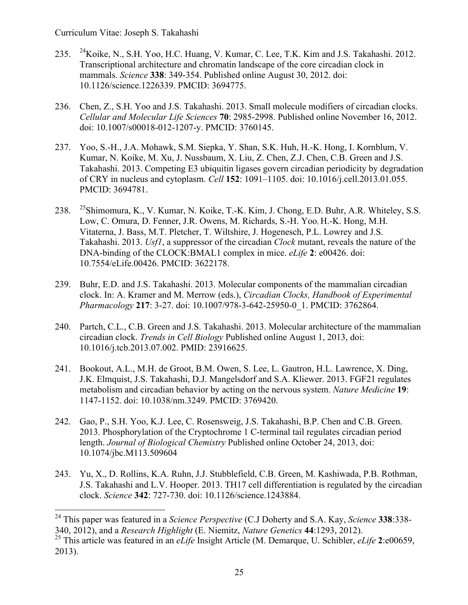- 235. 24Koike, N., S.H. Yoo, H.C. Huang, V. Kumar, C. Lee, T.K. Kim and J.S. Takahashi. 2012. Transcriptional architecture and chromatin landscape of the core circadian clock in mammals. *Science* **338**: 349-354. Published online August 30, 2012. doi: 10.1126/science.1226339. PMCID: 3694775.
- 236. Chen, Z., S.H. Yoo and J.S. Takahashi. 2013. Small molecule modifiers of circadian clocks. *Cellular and Molecular Life Sciences* **70**: 2985-2998. Published online November 16, 2012. doi: 10.1007/s00018-012-1207-y. PMCID: 3760145.
- 237. Yoo, S.-H., J.A. Mohawk, S.M. Siepka, Y. Shan, S.K. Huh, H.-K. Hong, I. Kornblum, V. Kumar, N. Koike, M. Xu, J. Nussbaum, X. Liu, Z. Chen, Z.J. Chen, C.B. Green and J.S. Takahashi. 2013. Competing E3 ubiquitin ligases govern circadian periodicity by degradation of CRY in nucleus and cytoplasm. *Cell* **152**: 1091–1105. doi: 10.1016/j.cell.2013.01.055. PMCID: 3694781.
- 238. 25Shimomura, K., V. Kumar, N. Koike, T.-K. Kim, J. Chong, E.D. Buhr, A.R. Whiteley, S.S. Low, C. Omura, D. Fenner, J.R. Owens, M. Richards, S.-H. Yoo, H.-K. Hong, M.H. Vitaterna, J. Bass, M.T. Pletcher, T. Wiltshire, J. Hogenesch, P.L. Lowrey and J.S. Takahashi. 2013. *Usf1*, a suppressor of the circadian *Clock* mutant, reveals the nature of the DNA-binding of the CLOCK:BMAL1 complex in mice. *eLife* **2**: e00426. doi: 10.7554/eLife.00426. PMCID: 3622178.
- 239. Buhr, E.D. and J.S. Takahashi. 2013. Molecular components of the mammalian circadian clock. In: A. Kramer and M. Merrow (eds.), *Circadian Clocks, Handbook of Experimental Pharmacology* **217**: 3-27. doi: 10.1007/978-3-642-25950-0\_1. PMCID: 3762864.
- 240. Partch, C.L., C.B. Green and J.S. Takahashi. 2013. Molecular architecture of the mammalian circadian clock. *Trends in Cell Biology* Published online August 1, 2013, doi: 10.1016/j.tcb.2013.07.002. PMID: 23916625.
- 241. Bookout, A.L., M.H. de Groot, B.M. Owen, S. Lee, L. Gautron, H.L. Lawrence, X. Ding, J.K. Elmquist, J.S. Takahashi, D.J. Mangelsdorf and S.A. Kliewer. 2013. FGF21 regulates metabolism and circadian behavior by acting on the nervous system. *Nature Medicine* **19**: 1147-1152. doi: 10.1038/nm.3249. PMCID: 3769420.
- 242. Gao, P., S.H. Yoo, K.J. Lee, C. Rosensweig, J.S. Takahashi, B.P. Chen and C.B. Green. 2013. Phosphorylation of the Cryptochrome 1 C-terminal tail regulates circadian period length. *Journal of Biological Chemistry* Published online October 24, 2013, doi: 10.1074/jbc.M113.509604
- 243. Yu, X., D. Rollins, K.A. Ruhn, J.J. Stubblefield, C.B. Green, M. Kashiwada, P.B. Rothman, J.S. Takahashi and L.V. Hooper. 2013. TH17 cell differentiation is regulated by the circadian clock. *Science* **342**: 727-730. doi: 10.1126/science.1243884.

 <sup>24</sup> This paper was featured in a *Science Perspective* (C.J Doherty and S.A. Kay, *Science* **<sup>338</sup>**:338- 340, 2012), and a *Research Highlight* (E. Niemitz, *Nature Genetics* **44**:1293, 2012).

<sup>25</sup> This article was featured in an *eLife* Insight Article (M. Demarque, U. Schibler, *eLife* **2**:e00659, 2013).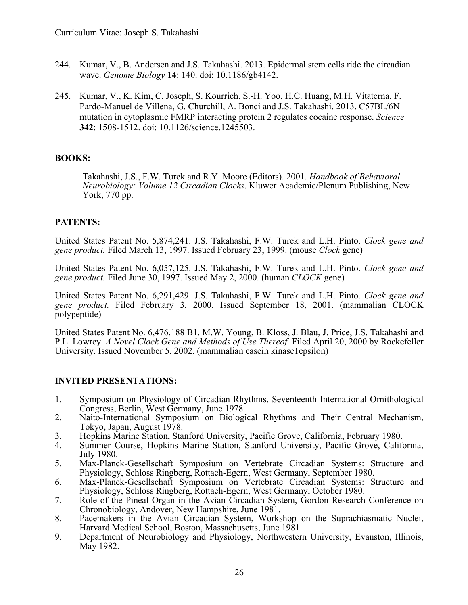- 244. Kumar, V., B. Andersen and J.S. Takahashi. 2013. Epidermal stem cells ride the circadian wave. *Genome Biology* **14**: 140. doi: 10.1186/gb4142.
- 245. Kumar, V., K. Kim, C. Joseph, S. Kourrich, S.-H. Yoo, H.C. Huang, M.H. Vitaterna, F. Pardo-Manuel de Villena, G. Churchill, A. Bonci and J.S. Takahashi. 2013. C57BL/6N mutation in cytoplasmic FMRP interacting protein 2 regulates cocaine response. *Science*  **342**: 1508-1512. doi: 10.1126/science.1245503.

## **BOOKS:**

Takahashi, J.S., F.W. Turek and R.Y. Moore (Editors). 2001. *Handbook of Behavioral Neurobiology: Volume 12 Circadian Clocks*. Kluwer Academic/Plenum Publishing, New York, 770 pp.

## **PATENTS:**

United States Patent No. 5,874,241. J.S. Takahashi, F.W. Turek and L.H. Pinto. *Clock gene and gene product.* Filed March 13, 1997. Issued February 23, 1999. (mouse *Clock* gene)

United States Patent No. 6,057,125. J.S. Takahashi, F.W. Turek and L.H. Pinto. *Clock gene and gene product.* Filed June 30, 1997. Issued May 2, 2000. (human *CLOCK* gene)

United States Patent No. 6,291,429. J.S. Takahashi, F.W. Turek and L.H. Pinto. *Clock gene and gene product.* Filed February 3, 2000. Issued September 18, 2001. (mammalian CLOCK polypeptide)

United States Patent No. 6,476,188 B1. M.W. Young, B. Kloss, J. Blau, J. Price, J.S. Takahashi and P.L. Lowrey. *A Novel Clock Gene and Methods of Use Thereof.* Filed April 20, 2000 by Rockefeller University. Issued November 5, 2002. (mammalian casein kinase1epsilon)

## **INVITED PRESENTATIONS:**

- 1. Symposium on Physiology of Circadian Rhythms, Seventeenth International Ornithological Congress, Berlin, West Germany, June 1978.
- 2. Naito-International Symposium on Biological Rhythms and Their Central Mechanism, Tokyo, Japan, August 1978.
- 3. Hopkins Marine Station, Stanford University, Pacific Grove, California, February 1980.
- Summer Course, Hopkins Marine Station, Stanford University, Pacific Grove, California, July 1980.
- 5. Max-Planck-Gesellschaft Symposium on Vertebrate Circadian Systems: Structure and Physiology, Schloss Ringberg, Rottach-Egern, West Germany, September 1980.
- 6. Max-Planck-Gesellschaft Symposium on Vertebrate Circadian Systems: Structure and Physiology, Schloss Ringberg, Rottach-Egern, West Germany, October 1980.
- 7. Role of the Pineal Organ in the Avian Circadian System, Gordon Research Conference on Chronobiology, Andover, New Hampshire, June 1981.
- 8. Pacemakers in the Avian Circadian System, Workshop on the Suprachiasmatic Nuclei, Harvard Medical School, Boston, Massachusetts, June 1981.
- 9. Department of Neurobiology and Physiology, Northwestern University, Evanston, Illinois, May 1982.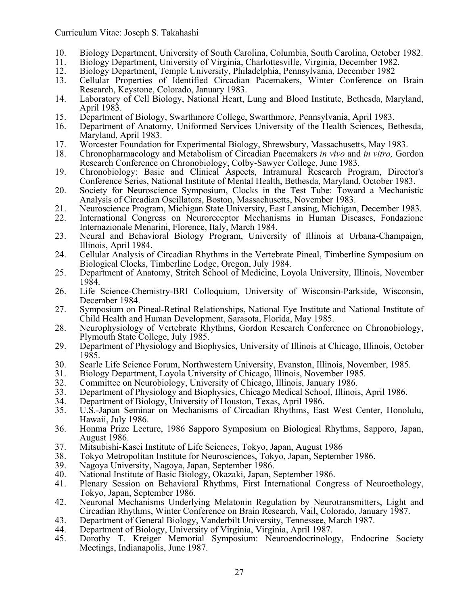- 10. Biology Department, University of South Carolina, Columbia, South Carolina, October 1982.
- 11. Biology Department, University of Virginia, Charlottesville, Virginia, December 1982.<br>12. Biology Department. Temple University. Philadelphia. Pennsylvania. December 1982.
- 12. Biology Department, Temple University, Philadelphia, Pennsylvania, December 1982<br>13. Cellular Properties of Identified Circadian Pacemakers, Winter Conference on
- 13. Cellular Properties of Identified Circadian Pacemakers, Winter Conference on Brain Research, Keystone, Colorado, January 1983.
- 14. Laboratory of Cell Biology, National Heart, Lung and Blood Institute, Bethesda, Maryland, April 1983.
- 15. Department of Biology, Swarthmore College, Swarthmore, Pennsylvania, April 1983.<br>16. Department of Anatomy, Uniformed Services University of the Health Sciences, Be
- 16. Department of Anatomy, Uniformed Services University of the Health Sciences, Bethesda, Maryland, April 1983.
- 17. Worcester Foundation for Experimental Biology, Shrewsbury, Massachusetts, May 1983.<br>18. Chronopharmacology and Metabolism of Circadian Pacemakers in vivo and in vitro. Gor
- 18. Chronopharmacology and Metabolism of Circadian Pacemakers *in vivo* and *in vitro,* Gordon Research Conference on Chronobiology, Colby-Sawyer College, June 1983.
- 19. Chronobiology: Basic and Clinical Aspects, Intramural Research Program, Director's Conference Series, National Institute of Mental Health, Bethesda, Maryland, October 1983.
- 20. Society for Neuroscience Symposium, Clocks in the Test Tube: Toward a Mechanistic Analysis of Circadian Oscillators, Boston, Massachusetts, November 1983.
- 21. Neuroscience Program, Michigan State University, East Lansing, Michigan, December 1983.
- 22. International Congress on Neuroreceptor Mechanisms in Human Diseases, Fondazione Internazionale Menarini, Florence, Italy, March 1984.
- 23. Neural and Behavioral Biology Program, University of Illinois at Urbana-Champaign, Illinois, April 1984.
- 24. Cellular Analysis of Circadian Rhythms in the Vertebrate Pineal, Timberline Symposium on Biological Clocks, Timberline Lodge, Oregon, July 1984.
- 25. Department of Anatomy, Stritch School of Medicine, Loyola University, Illinois, November 1984.
- 26. Life Science-Chemistry-BRI Colloquium, University of Wisconsin-Parkside, Wisconsin, December 1984.
- 27. Symposium on Pineal-Retinal Relationships, National Eye Institute and National Institute of Child Health and Human Development, Sarasota, Florida, May 1985.
- 28. Neurophysiology of Vertebrate Rhythms, Gordon Research Conference on Chronobiology, Plymouth State College, July 1985.
- 29. Department of Physiology and Biophysics, University of Illinois at Chicago, Illinois, October 1985.
- 30. Searle Life Science Forum, Northwestern University, Evanston, Illinois, November, 1985.
- 31. Biology Department, Loyola University of Chicago, Illinois, November 1985.
- 32. Committee on Neurobiology, University of Chicago, Illinois, January 1986.<br>33. Department of Physiology and Biophysics, Chicago Medical School, Illinois
- 33. Department of Physiology and Biophysics, Chicago Medical School, Illinois, April 1986.
- 34. Department of Biology, University of Houston, Texas, April 1986.<br>35. U.S.-Japan Seminar on Mechanisms of Circadian Rhythms. Eas
- 35. U.S.-Japan Seminar on Mechanisms of Circadian Rhythms, East West Center, Honolulu, Hawaii, July 1986.
- 36. Honma Prize Lecture, 1986 Sapporo Symposium on Biological Rhythms, Sapporo, Japan, August 1986.
- 37. Mitsubishi-Kasei Institute of Life Sciences, Tokyo, Japan, August 1986<br>38. Tokyo Metropolitan Institute for Neurosciences. Tokyo, Japan, Septemb
- 38. Tokyo Metropolitan Institute for Neurosciences, Tokyo, Japan, September 1986.
- 39. Nagoya University, Nagoya, Japan, September 1986.
- 40. National Institute of Basic Biology, Okazaki, Japan, September 1986.<br>41. Plenary Session on Behavioral Rhythms. First International Congr
- Plenary Session on Behavioral Rhythms, First International Congress of Neuroethology, Tokyo, Japan, September 1986.
- 42. Neuronal Mechanisms Underlying Melatonin Regulation by Neurotransmitters, Light and Circadian Rhythms, Winter Conference on Brain Research, Vail, Colorado, January 1987.
- 43. Department of General Biology, Vanderbilt University, Tennessee, March 1987.<br>44. Department of Biology, University of Virginia, Virginia, April 1987.
- Department of Biology, University of Virginia, Virginia, April 1987.
- 45. Dorothy T. Kreiger Memorial Symposium: Neuroendocrinology, Endocrine Society Meetings, Indianapolis, June 1987.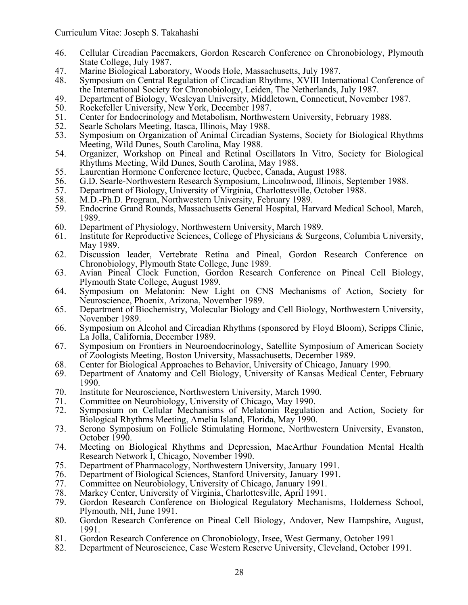- 46. Cellular Circadian Pacemakers, Gordon Research Conference on Chronobiology, Plymouth State College, July 1987.
- 47. Marine Biological Laboratory, Woods Hole, Massachusetts, July 1987.<br>48. Symposium on Central Regulation of Circadian Rhythms, XVIII Intern
- Symposium on Central Regulation of Circadian Rhythms, XVIII International Conference of the International Society for Chronobiology, Leiden, The Netherlands, July 1987.
- 49. Department of Biology, Wesleyan University, Middletown, Connecticut, November 1987.
- 50. Rockefeller University, New York, December 1987.<br>51. Center for Endocrinology and Metabolism. Northwes
- 51. Center for Endocrinology and Metabolism, Northwestern University, February 1988.<br>52. Searle Scholars Meeting, Itasca, Illinois, May 1988.
- 52. Searle Scholars Meeting, Itasca, Illinois, May 1988.<br>53. Symposium on Organization of Animal Circadian S
- Symposium on Organization of Animal Circadian Systems, Society for Biological Rhythms Meeting, Wild Dunes, South Carolina, May 1988.
- 54. Organizer, Workshop on Pineal and Retinal Oscillators In Vitro, Society for Biological Rhythms Meeting, Wild Dunes, South Carolina, May 1988.
- 55. Laurentian Hormone Conference lecture, Quebec, Canada, August 1988.<br>56. G.D. Searle-Northwestern Research Symposium, Lincolnwood, Illinois, S.
- 56. G.D. Searle-Northwestern Research Symposium, Lincolnwood, Illinois, September 1988.<br>57. Department of Biology, University of Virginia, Charlottesville, October 1988.
- 57. Department of Biology, University of Virginia, Charlottesville, October 1988.<br>58. M.D.-Ph.D. Program. Northwestern University. February 1989.
- 58. M.D.-Ph.D. Program, Northwestern University, February 1989.<br>59. Endocrine Grand Rounds, Massachusetts General Hospital, Har
- 59. Endocrine Grand Rounds, Massachusetts General Hospital, Harvard Medical School, March, 1989.
- 60. Department of Physiology, Northwestern University, March 1989.
- 61. Institute for Reproductive Sciences, College of Physicians & Surgeons, Columbia University, May 1989.
- 62. Discussion leader, Vertebrate Retina and Pineal, Gordon Research Conference on Chronobiology, Plymouth State College, June 1989.
- 63. Avian Pineal Clock Function, Gordon Research Conference on Pineal Cell Biology, Plymouth State College, August 1989.
- 64. Symposium on Melatonin: New Light on CNS Mechanisms of Action, Society for Neuroscience, Phoenix, Arizona, November 1989.
- 65. Department of Biochemistry, Molecular Biology and Cell Biology, Northwestern University, November 1989.
- 66. Symposium on Alcohol and Circadian Rhythms (sponsored by Floyd Bloom), Scripps Clinic, La Jolla, California, December 1989.
- 67. Symposium on Frontiers in Neuroendocrinology, Satellite Symposium of American Society of Zoologists Meeting, Boston University, Massachusetts, December 1989.
- 68. Center for Biological Approaches to Behavior, University of Chicago, January 1990.<br>69. Department of Anatomy and Cell Biology, University of Kansas Medical Center, I
- Department of Anatomy and Cell Biology, University of Kansas Medical Center, February 1990.
- 70. Institute for Neuroscience, Northwestern University, March 1990.
- 71. Committee on Neurobiology, University of Chicago, May 1990.
- 72. Symposium on Cellular Mechanisms of Melatonin Regulation and Action, Society for Biological Rhythms Meeting, Amelia Island, Florida, May 1990.
- 73. Serono Symposium on Follicle Stimulating Hormone, Northwestern University, Evanston, October 1990.
- 74. Meeting on Biological Rhythms and Depression, MacArthur Foundation Mental Health Research Network I, Chicago, November 1990.
- 75. Department of Pharmacology, Northwestern University, January 1991.
- 76. Department of Biological Sciences, Stanford University, January 1991.
- 77. Committee on Neurobiology, University of Chicago, January 1991.<br>78. Markey Center, University of Virginia, Charlottesville, April 1991.
- 78. Markey Center, University of Virginia, Charlottesville, April 1991.
- Gordon Research Conference on Biological Regulatory Mechanisms, Holderness School, Plymouth, NH, June 1991.
- 80. Gordon Research Conference on Pineal Cell Biology, Andover, New Hampshire, August, 1991.
- 81. Gordon Research Conference on Chronobiology, Irsee, West Germany, October 1991<br>82. Department of Neuroscience. Case Western Reserve University. Cleveland. October 1
- 82. Department of Neuroscience, Case Western Reserve University, Cleveland, October 1991.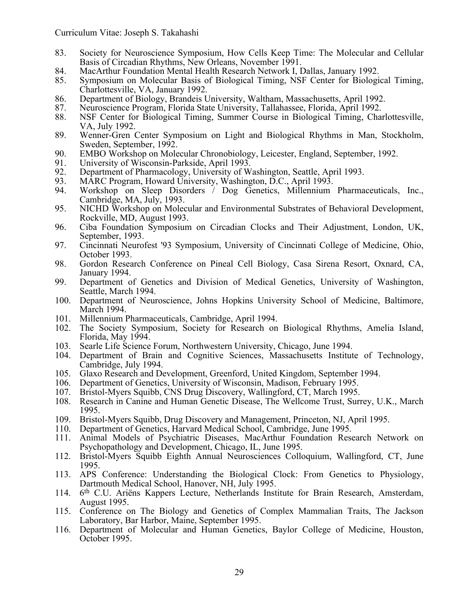- 83. Society for Neuroscience Symposium, How Cells Keep Time: The Molecular and Cellular Basis of Circadian Rhythms, New Orleans, November 1991.
- 84. MacArthur Foundation Mental Health Research Network I, Dallas, January 1992.<br>85. Symposium on Molecular Basis of Biological Timing, NSF Center for Biologi
- 85. Symposium on Molecular Basis of Biological Timing, NSF Center for Biological Timing, Charlottesville, VA, January 1992.
- 86. Department of Biology, Brandeis University, Waltham, Massachusetts, April 1992.
- 87. Neuroscience Program, Florida State University, Tallahassee, Florida, April 1992.<br>88. NSF Center for Biological Timing. Summer Course in Biological Timing. Char
- 88. NSF Center for Biological Timing, Summer Course in Biological Timing, Charlottesville, VA, July 1992.
- 89. Wenner-Gren Center Symposium on Light and Biological Rhythms in Man, Stockholm, Sweden, September, 1992.
- 90. EMBO Workshop on Molecular Chronobiology, Leicester, England, September, 1992.
- 91. University of Wisconsin-Parkside, April 1993.<br>92. Department of Pharmacology. University of W
- 92. Department of Pharmacology, University of Washington, Seattle, April 1993.<br>93. MARC Program, Howard University, Washington, D.C., April 1993.
- 93. MARC Program, Howard University, Washington, D.C., April 1993.<br>94. Workshop on Sleep Disorders / Dog Genetics. Millennium
- Workshop on Sleep Disorders / Dog Genetics, Millennium Pharmaceuticals, Inc., Cambridge, MA, July, 1993.
- 95. NICHD Workshop on Molecular and Environmental Substrates of Behavioral Development, Rockville, MD, August 1993.
- 96. Ciba Foundation Symposium on Circadian Clocks and Their Adjustment, London, UK, September, 1993.
- 97. Cincinnati Neurofest '93 Symposium, University of Cincinnati College of Medicine, Ohio, October 1993.
- 98. Gordon Research Conference on Pineal Cell Biology, Casa Sirena Resort, Oxnard, CA, January 1994.
- 99. Department of Genetics and Division of Medical Genetics, University of Washington, Seattle, March 1994.
- 100. Department of Neuroscience, Johns Hopkins University School of Medicine, Baltimore, March 1994.
- 101. Millennium Pharmaceuticals, Cambridge, April 1994.<br>102. The Society Symposium. Society for Research on
- The Society Symposium, Society for Research on Biological Rhythms, Amelia Island, Florida, May 1994.
- 103. Searle Life Science Forum, Northwestern University, Chicago, June 1994.
- 104. Department of Brain and Cognitive Sciences, Massachusetts Institute of Technology, Cambridge, July 1994.
- 105. Glaxo Research and Development, Greenford, United Kingdom, September 1994.<br>106. Department of Genetics. University of Wisconsin. Madison. February 1995.
- 106. Department of Genetics, University of Wisconsin, Madison, February 1995.<br>107. Bristol-Myers Squibb. CNS Drug Discovery, Wallingford, CT. March 1995.
- 107. Bristol-Myers Squibb, CNS Drug Discovery, Wallingford, CT, March 1995.
- 108. Research in Canine and Human Genetic Disease, The Wellcome Trust, Surrey, U.K., March 1995.
- 109. Bristol-Myers Squibb, Drug Discovery and Management, Princeton, NJ, April 1995.<br>110. Department of Genetics, Harvard Medical School, Cambridge, June 1995.
- Department of Genetics, Harvard Medical School, Cambridge, June 1995.
- 111. Animal Models of Psychiatric Diseases, MacArthur Foundation Research Network on Psychopathology and Development, Chicago, IL, June 1995.
- 112. Bristol-Myers Squibb Eighth Annual Neurosciences Colloquium, Wallingford, CT, June 1995.
- 113. APS Conference: Understanding the Biological Clock: From Genetics to Physiology, Dartmouth Medical School, Hanover, NH, July 1995.
- 114. 6th C.U. Ariëns Kappers Lecture, Netherlands Institute for Brain Research, Amsterdam, August 1995.
- 115. Conference on The Biology and Genetics of Complex Mammalian Traits, The Jackson Laboratory, Bar Harbor, Maine, September 1995.
- 116. Department of Molecular and Human Genetics, Baylor College of Medicine, Houston, October 1995.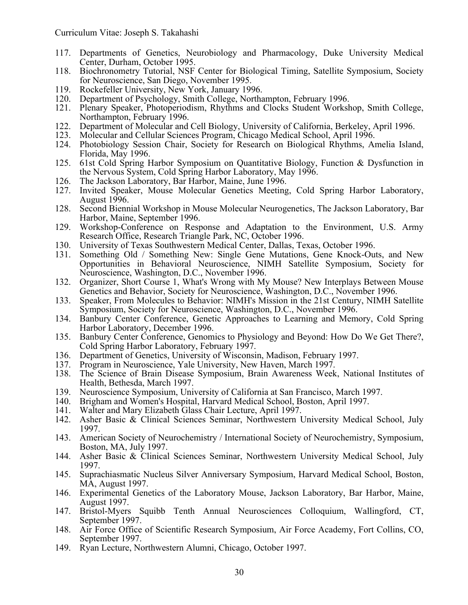- 117. Departments of Genetics, Neurobiology and Pharmacology, Duke University Medical Center, Durham, October 1995.
- 118. Biochronometry Tutorial, NSF Center for Biological Timing, Satellite Symposium, Society for Neuroscience, San Diego, November 1995.
- 119. Rockefeller University, New York, January 1996.
- 120. Department of Psychology, Smith College, Northampton, February 1996.
- 121. Plenary Speaker, Photoperiodism, Rhythms and Clocks Student Workshop, Smith College, Northampton, February 1996.
- 122. Department of Molecular and Cell Biology, University of California, Berkeley, April 1996.
- 123. Molecular and Cellular Sciences Program, Chicago Medical School, April 1996.<br>124. Photobiology Session Chair. Society for Research on Biological Rhythms. At
- 124. Photobiology Session Chair, Society for Research on Biological Rhythms, Amelia Island, Florida, May 1996.
- 125. 61st Cold Spring Harbor Symposium on Quantitative Biology, Function & Dysfunction in the Nervous System, Cold Spring Harbor Laboratory, May 1996.
- 126. The Jackson Laboratory, Bar Harbor, Maine, June 1996.<br>127. Invited Speaker. Mouse Molecular Genetics Meeting
- 127. Invited Speaker, Mouse Molecular Genetics Meeting, Cold Spring Harbor Laboratory, August 1996.
- 128. Second Biennial Workshop in Mouse Molecular Neurogenetics, The Jackson Laboratory, Bar Harbor, Maine, September 1996.
- 129. Workshop-Conference on Response and Adaptation to the Environment, U.S. Army Research Office, Research Triangle Park, NC, October 1996.
- 130. University of Texas Southwestern Medical Center, Dallas, Texas, October 1996.
- 131. Something Old / Something New: Single Gene Mutations, Gene Knock-Outs, and New Opportunities in Behavioral Neuroscience, NIMH Satellite Symposium, Society for Neuroscience, Washington, D.C., November 1996.
- 132. Organizer, Short Course 1, What's Wrong with My Mouse? New Interplays Between Mouse Genetics and Behavior, Society for Neuroscience, Washington, D.C., November 1996.
- 133. Speaker, From Molecules to Behavior: NIMH's Mission in the 21st Century, NIMH Satellite Symposium, Society for Neuroscience, Washington, D.C., November 1996.
- 134. Banbury Center Conference, Genetic Approaches to Learning and Memory, Cold Spring Harbor Laboratory, December 1996.
- 135. Banbury Center Conference, Genomics to Physiology and Beyond: How Do We Get There?, Cold Spring Harbor Laboratory, February 1997.
- 136. Department of Genetics, University of Wisconsin, Madison, February 1997.
- 137. Program in Neuroscience, Yale University, New Haven, March 1997.<br>138. The Science of Brain Disease Symposium, Brain Awareness Week
- The Science of Brain Disease Symposium, Brain Awareness Week, National Institutes of Health, Bethesda, March 1997.
- 139. Neuroscience Symposium, University of California at San Francisco, March 1997.
- 140. Brigham and Women's Hospital, Harvard Medical School, Boston, April 1997.
- 141. Walter and Mary Elizabeth Glass Chair Lecture, April 1997.
- 142. Asher Basic & Clinical Sciences Seminar, Northwestern University Medical School, July 1997.
- 143. American Society of Neurochemistry / International Society of Neurochemistry, Symposium, Boston, MA, July 1997.
- 144. Asher Basic & Clinical Sciences Seminar, Northwestern University Medical School, July 1997.
- 145. Suprachiasmatic Nucleus Silver Anniversary Symposium, Harvard Medical School, Boston, MA, August 1997.
- 146. Experimental Genetics of the Laboratory Mouse, Jackson Laboratory, Bar Harbor, Maine, August 1997.
- 147. Bristol-Myers Squibb Tenth Annual Neurosciences Colloquium, Wallingford, CT, September 1997.
- 148. Air Force Office of Scientific Research Symposium, Air Force Academy, Fort Collins, CO, September 1997.
- 149. Ryan Lecture, Northwestern Alumni, Chicago, October 1997.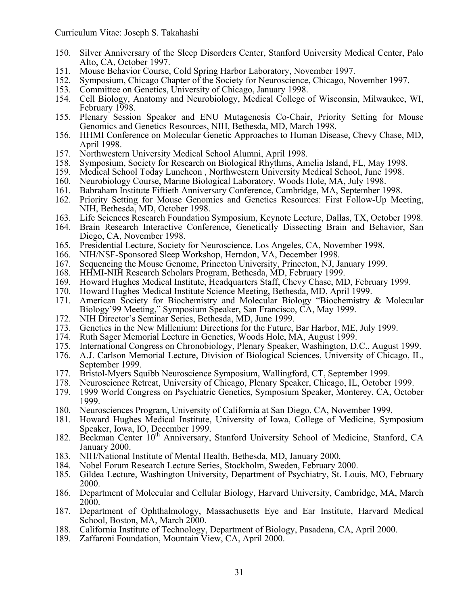- 150. Silver Anniversary of the Sleep Disorders Center, Stanford University Medical Center, Palo Alto, CA, October 1997.
- 151. Mouse Behavior Course, Cold Spring Harbor Laboratory, November 1997.<br>152. Symposium, Chicago Chapter of the Society for Neuroscience, Chicago, No
- 152. Symposium, Chicago Chapter of the Society for Neuroscience, Chicago, November 1997.<br>153. Committee on Genetics. University of Chicago. January 1998.
- 153. Committee on Genetics, University of Chicago, January 1998.
- 154. Cell Biology, Anatomy and Neurobiology, Medical College of Wisconsin, Milwaukee, WI, February 1998.
- 155. Plenary Session Speaker and ENU Mutagenesis Co-Chair, Priority Setting for Mouse Genomics and Genetics Resources, NIH, Bethesda, MD, March 1998.
- 156. HHMI Conference on Molecular Genetic Approaches to Human Disease, Chevy Chase, MD, April 1998.
- 157. Northwestern University Medical School Alumni, April 1998.
- 158. Symposium, Society for Research on Biological Rhythms, Amelia Island, FL, May 1998.<br>159. Medical School Today Luncheon, Northwestern University Medical School, June 1998.
- 159. Medical School Today Luncheon , Northwestern University Medical School, June 1998.
- 160. Neurobiology Course, Marine Biological Laboratory, Woods Hole, MA, July 1998.
- 161. Babraham Institute Fiftieth Anniversary Conference, Cambridge, MA, September 1998.
- 162. Priority Setting for Mouse Genomics and Genetics Resources: First Follow-Up Meeting, NIH, Bethesda, MD, October 1998.
- 163. Life Sciences Research Foundation Symposium, Keynote Lecture, Dallas, TX, October 1998.<br>164. Brain Research Interactive Conference, Genetically Dissecting Brain and Behavior, San
- Brain Research Interactive Conference, Genetically Dissecting Brain and Behavior, San Diego, CA, November 1998.
- 165. Presidential Lecture, Society for Neuroscience, Los Angeles, CA, November 1998.
- 166. NIH/NSF-Sponsored Sleep Workshop, Herndon, VA, December 1998.
- 167. Sequencing the Mouse Genome, Princeton University, Princeton, NJ, January 1999.
- 168. HHMI-NIH Research Scholars Program, Bethesda, MD, February 1999.
- 169. Howard Hughes Medical Institute, Headquarters Staff, Chevy Chase, MD, February 1999.<br>170. Howard Hughes Medical Institute Science Meeting. Bethesda, MD, April 1999.
- 170. Howard Hughes Medical Institute Science Meeting, Bethesda, MD, April 1999.<br>171. American Society for Biochemistry and Molecular Biology "Biochemistry"
- American Society for Biochemistry and Molecular Biology "Biochemistry & Molecular Biology'99 Meeting," Symposium Speaker, San Francisco, CA, May 1999.
- 172. NIH Director's Seminar Series, Bethesda, MD, June 1999.<br>173. Genetics in the New Millenium: Directions for the Future.
- Genetics in the New Millenium: Directions for the Future, Bar Harbor, ME, July 1999.
- 174. Ruth Sager Memorial Lecture in Genetics, Woods Hole, MA, August 1999.<br>175. International Congress on Chronobiology. Plenary Speaker. Washington. D.
- International Congress on Chronobiology, Plenary Speaker, Washington, D.C., August 1999.
- 176. A.J. Carlson Memorial Lecture, Division of Biological Sciences, University of Chicago, IL, September 1999.
- 177. Bristol-Myers Squibb Neuroscience Symposium, Wallingford, CT, September 1999.<br>178. Neuroscience Retreat, University of Chicago, Plenary Speaker, Chicago, IL, October
- 178. Neuroscience Retreat, University of Chicago, Plenary Speaker, Chicago, IL, October 1999.<br>179. 1999 World Congress on Psychiatric Genetics. Symposium Speaker, Monterey, CA. Octob
- 179. 1999 World Congress on Psychiatric Genetics, Symposium Speaker, Monterey, CA, October 1999.
- 180. Neurosciences Program, University of California at San Diego, CA, November 1999.
- 181. Howard Hughes Medical Institute, University of Iowa, College of Medicine, Symposium Speaker, Iowa, IO, December 1999.
- 182. Beckman Center 10<sup>th</sup> Anniversary, Stanford University School of Medicine, Stanford, CA January 2000.
- 183. NIH/National Institute of Mental Health, Bethesda, MD, January 2000.
- 
- 184. Nobel Forum Research Lecture Series, Stockholm, Sweden, February 2000.<br>185. Gildea Lecture, Washington University, Department of Psychiatry, St. Lou Gildea Lecture, Washington University, Department of Psychiatry, St. Louis, MO, February 2000.
- 186. Department of Molecular and Cellular Biology, Harvard University, Cambridge, MA, March 2000.
- 187. Department of Ophthalmology, Massachusetts Eye and Ear Institute, Harvard Medical School, Boston, MA, March 2000.
- 188. California Institute of Technology, Department of Biology, Pasadena, CA, April 2000.
- 189. Zaffaroni Foundation, Mountain View, CA, April 2000.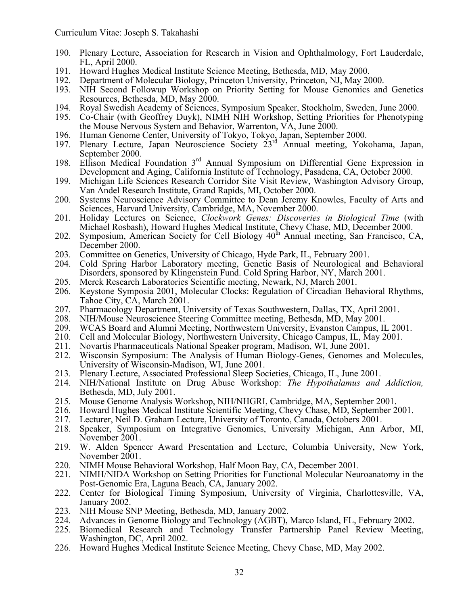- 190. Plenary Lecture, Association for Research in Vision and Ophthalmology, Fort Lauderdale, FL, April 2000.
- 191. Howard Hughes Medical Institute Science Meeting, Bethesda, MD, May 2000.<br>192. Department of Molecular Biology, Princeton University, Princeton, NJ, May 20
- 192. Department of Molecular Biology, Princeton University, Princeton, NJ, May 2000.<br>193. NIH Second Followup Workshop on Priority Setting for Mouse Genomics and
- 193. NIH Second Followup Workshop on Priority Setting for Mouse Genomics and Genetics Resources, Bethesda, MD, May 2000.
- 194. Royal Swedish Academy of Sciences, Symposium Speaker, Stockholm, Sweden, June 2000.<br>195. Co-Chair (with Geoffrey Duyk). NIMH NIH Workshop. Setting Priorities for Phenotyping
- 195. Co-Chair (with Geoffrey Duyk), NIMH NIH Workshop, Setting Priorities for Phenotyping the Mouse Nervous System and Behavior, Warrenton, VA, June 2000.
- 196. Human Genome Center, University of Tokyo, Tokyo, Japan, September 2000.
- 197. Plenary Lecture, Japan Neuroscience Society 23rd Annual meeting, Yokohama, Japan, September 2000.
- 198. Ellison Medical Foundation 3rd Annual Symposium on Differential Gene Expression in Development and Aging, California Institute of Technology, Pasadena, CA, October 2000.
- 199. Michigan Life Sciences Research Corridor Site Visit Review, Washington Advisory Group, Van Andel Research Institute, Grand Rapids, MI, October 2000.
- 200. Systems Neuroscience Advisory Committee to Dean Jeremy Knowles, Faculty of Arts and Sciences, Harvard University, Cambridge, MA, November 2000.
- 201. Holiday Lectures on Science, *Clockwork Genes: Discoveries in Biological Time* (with Michael Rosbash), Howard Hughes Medical Institute, Chevy Chase, MD, December 2000.
- 202. Symposium, American Society for Cell Biology  $40<sup>th</sup>$  Annual meeting, San Francisco, CA, December 2000.
- 203. Committee on Genetics, University of Chicago, Hyde Park, IL, February 2001.
- 204. Cold Spring Harbor Laboratory meeting, Genetic Basis of Neurological and Behavioral Disorders, sponsored by Klingenstein Fund. Cold Spring Harbor, NY, March 2001.
- 205. Merck Research Laboratories Scientific meeting, Newark, NJ, March 2001.
- 206. Keystone Symposia 2001, Molecular Clocks: Regulation of Circadian Behavioral Rhythms, Tahoe City, CA, March 2001.
- 207. Pharmacology Department, University of Texas Southwestern, Dallas, TX, April 2001.
- 208. NIH/Mouse Neuroscience Steering Committee meeting, Bethesda, MD, May 2001.<br>209. WCAS Board and Alumni Meeting, Northwestern University, Evanston Campus, II
- 209. WCAS Board and Alumni Meeting, Northwestern University, Evanston Campus, IL 2001.<br>210. Cell and Molecular Biology, Northwestern University, Chicago Campus, IL, May 2001.
- 210. Cell and Molecular Biology, Northwestern University, Chicago Campus, IL, May 2001.<br>211. Novartis Pharmaceuticals National Speaker program. Madison, WI, June 2001.
- 211. Novartis Pharmaceuticals National Speaker program, Madison, WI, June 2001.
- 212. Wisconsin Symposium: The Analysis of Human Biology-Genes, Genomes and Molecules, University of Wisconsin-Madison, WI, June 2001.
- 213. Plenary Lecture, Associated Professional Sleep Societies, Chicago, IL, June 2001.<br>214. NIH/National Institute on Drug Abuse Workshop: The Hypothalamus and
- 214. NIH/National Institute on Drug Abuse Workshop: *The Hypothalamus and Addiction,*  Bethesda, MD, July 2001.
- 215. Mouse Genome Analysis Workshop, NIH/NHGRI, Cambridge, MA, September 2001.
- 216. Howard Hughes Medical Institute Scientific Meeting, Chevy Chase, MD, September 2001.
- 217. Lecturer, Neil D. Graham Lecture, University of Toronto, Canada, Octobers 2001.<br>218. Speaker, Symposium on Integrative Genomics, University Michigan, Ann A
- Speaker, Symposium on Integrative Genomics, University Michigan, Ann Arbor, MI, November 2001.
- 219. W. Alden Spencer Award Presentation and Lecture, Columbia University, New York, November 2001.
- 220. NIMH Mouse Behavioral Workshop, Half Moon Bay, CA, December 2001.<br>221. NIMH/NIDA Workshop on Setting Priorities for Functional Molecular Neu
- NIMH/NIDA Workshop on Setting Priorities for Functional Molecular Neuroanatomy in the Post-Genomic Era, Laguna Beach, CA, January 2002.
- 222. Center for Biological Timing Symposium, University of Virginia, Charlottesville, VA, January 2002.
- 
- 223. NIH Mouse SNP Meeting, Bethesda, MD, January 2002.<br>224. Advances in Genome Biology and Technology (AGBT), Marco Island, FL, February 2002.
- 224. Advances in Genome Biology and Technology (AGBT), Marco Island, FL, February 2002. 225. Biomedical Research and Technology Transfer Partnership Panel Review Meeting, Washington, DC, April 2002.
- 226. Howard Hughes Medical Institute Science Meeting, Chevy Chase, MD, May 2002.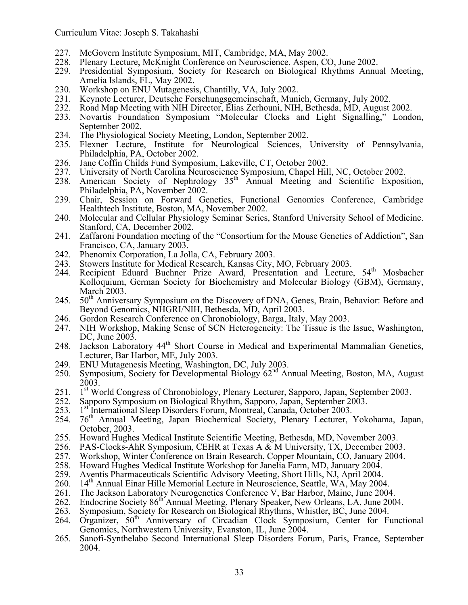- 227. McGovern Institute Symposium, MIT, Cambridge, MA, May 2002.
- 228. Plenary Lecture, McKnight Conference on Neuroscience, Aspen, CO, June 2002.<br>229. Presidential Symposium. Society for Research on Biological Rhythms Annua
- Presidential Symposium, Society for Research on Biological Rhythms Annual Meeting, Amelia Islands, FL, May 2002.
- 230. Workshop on ENU Mutagenesis, Chantilly, VA, July 2002.
- 
- 231. Keynote Lecturer, Deutsche Forschungsgemeinschaft, Munich, Germany, July 2002. 232. Road Map Meeting with NIH Director, Elias Zerhouni, NIH, Bethesda, MD, August 2002.<br>233. Novartis Foundation Symposium "Molecular Clocks and Light Signalling." Londe
- Novartis Foundation Symposium "Molecular Clocks and Light Signalling," London, September 2002.
- 234. The Physiological Society Meeting, London, September 2002.<br>235. Flexner Lecture. Institute for Neurological Sciences.
- Flexner Lecture, Institute for Neurological Sciences, University of Pennsylvania, Philadelphia, PA, October 2002.
- 236. Jane Coffin Childs Fund Symposium, Lakeville, CT, October 2002.
- 237. University of North Carolina Neuroscience Symposium, Chapel Hill, NC, October 2002.<br>238. American Society of Nephrology  $35<sup>th</sup>$  Annual Meeting and Scientific Exposi
- American Society of Nephrology  $35<sup>th</sup>$  Annual Meeting and Scientific Exposition, Philadelphia, PA, November 2002.
- 239. Chair, Session on Forward Genetics, Functional Genomics Conference, Cambridge Healthtech Institute, Boston, MA, November 2002.
- 240. Molecular and Cellular Physiology Seminar Series, Stanford University School of Medicine. Stanford, CA, December 2002.
- 241. Zaffaroni Foundation meeting of the "Consortium for the Mouse Genetics of Addiction", San Francisco, CA, January 2003.
- 242. Phenomix Corporation, La Jolla, CA, February 2003.
- 243. Stowers Institute for Medical Research, Kansas City, MO, February 2003.<br>244. Recipient Eduard Buchner Prize Award. Presentation and Lecture.
- Recipient Eduard Buchner Prize Award, Presentation and Lecture, 54<sup>th</sup> Mosbacher Kolloquium, German Society for Biochemistry and Molecular Biology (GBM), Germany, March 2003.
- 245.  $50<sup>th</sup>$  Anniversary Symposium on the Discovery of DNA. Genes, Brain, Behavior: Before and Beyond Genomics, NHGRI/NIH, Bethesda, MD, April 2003.
- 246. Gordon Research Conference on Chronobiology, Barga, Italy, May 2003.<br>247. NIH Workshop, Making Sense of SCN Heterogeneity: The Tissue is the
- NIH Workshop, Making Sense of SCN Heterogeneity: The Tissue is the Issue, Washington, DC, June 2003.
- 248. Jackson Laboratory 44<sup>th</sup> Short Course in Medical and Experimental Mammalian Genetics, Lecturer, Bar Harbor, ME, July 2003.
- 
- 249. ENU Mutagenesis Meeting, Washington, DC, July 2003.<br>250. Symposium, Society for Developmental Biology  $62<sup>nd</sup>$  Annual Meeting, Boston, MA, August 2003.
- 251. 1<sup>st</sup> World Congress of Chronobiology, Plenary Lecturer, Sapporo, Japan, September 2003.<br>252. Sapporo Symposium on Biological Rhythm, Sapporo, Japan, September 2003.<br>253. 1<sup>st</sup> International Sleep Disorders Forum, Mon
- 
- 
- 254. 76th Annual Meeting, Japan Biochemical Society, Plenary Lecturer, Yokohama, Japan, October, 2003.
- 255. Howard Hughes Medical Institute Scientific Meeting, Bethesda, MD, November 2003.<br>256. PAS-Clocks-AhR Symposium, CEHR at Texas A & M University, TX, December 200.
- 256. PAS-Clocks-AhR Symposium, CEHR at Texas A & M University, TX, December 2003.<br>257. Workshop, Winter Conference on Brain Research, Copper Mountain, CO, January 2004.
- 257. Workshop, Winter Conference on Brain Research, Copper Mountain, CO, January 2004.<br>258. Howard Hughes Medical Institute Workshop for Janelia Farm. MD. January 2004.
- 258. Howard Hughes Medical Institute Workshop for Janelia Farm, MD, January 2004.<br>259. Aventis Pharmaceuticals Scientific Advisory Meeting, Short Hills, NJ, April 2004.
- 259. Aventis Pharmaceuticals Scientific Advisory Meeting, Short Hills, NJ, April 2004.<br>260. 14<sup>th</sup> Annual Einar Hille Memorial Lecture in Neuroscience, Seattle, WA, May 2004.
- 260. 14<sup>th</sup> Annual Einar Hille Memorial Lecture in Neuroscience, Seattle, WA, May 2004.<br>261. The Jackson Laboratory Neurogenetics Conference V. Bar Harbor, Maine, June 2004
- 261. The Jackson Laboratory Neurogenetics Conference V, Bar Harbor, Maine, June 2004.
- 262. Endocrine Society 86<sup>th</sup> Annual Meeting, Plenary Speaker, New Orleans, LA, June 2004.
- 263. Symposium, Society for Research on Biological Rhythms, Whistler, BC, June 2004.<br>264. Organizer, 50<sup>th</sup> Anniversary of Circadian Clock Symposium. Center for Fi
- Organizer, 50<sup>th</sup> Anniversary of Circadian Clock Symposium, Center for Functional Genomics, Northwestern University, Evanston, IL, June 2004.
- 265. Sanofi-Synthelabo Second International Sleep Disorders Forum, Paris, France, September 2004.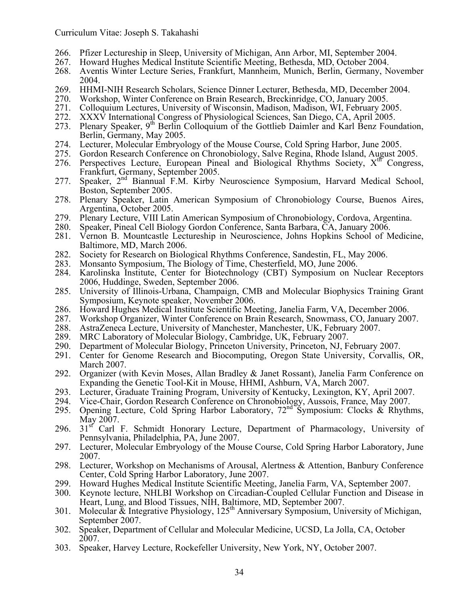- 266. Pfizer Lectureship in Sleep, University of Michigan, Ann Arbor, MI, September 2004.
- 267. Howard Hughes Medical Institute Scientific Meeting, Bethesda, MD, October 2004.
- 268. Aventis Winter Lecture Series, Frankfurt, Mannheim, Munich, Berlin, Germany, November 2004.
- 269. HHMI-NIH Research Scholars, Science Dinner Lecturer, Bethesda, MD, December 2004.<br>270. Workshop. Winter Conference on Brain Research. Breckinridge. CO. January 2005.
- 270. Workshop, Winter Conference on Brain Research, Breckinridge, CO, January 2005.
- 271. Colloquium Lectures, University of Wisconsin, Madison, Madison, WI, February 2005.<br>272. XXXV International Congress of Physiological Sciences. San Diego. CA. April 2005.
- 272. XXXV International Congress of Physiological Sciences, San Diego, CA, April 2005.
- 273. Plenary Speaker, 9<sup>th</sup> Berlin Colloquium of the Gottlieb Daimler and Karl Benz Foundation, Berlin, Germany, May 2005.
- 274. Lecturer, Molecular Embryology of the Mouse Course, Cold Spring Harbor, June 2005.<br>275. Gordon Research Conference on Chronobiology, Salve Regina, Rhode Island, August 20
- 275. Gordon Research Conference on Chronobiology, Salve Regina, Rhode Island, August 2005.
- 276. Perspectives Lecture, European Pineal and Biological Rhythms Society,  $X^{eff}$  Congress, Frankfurt, Germany, September 2005.
- 277. Speaker, 2<sup>nd</sup> Biannual F.M. Kirby Neuroscience Symposium, Harvard Medical School, Boston, September 2005.
- 278. Plenary Speaker, Latin American Symposium of Chronobiology Course, Buenos Aires, Argentina, October 2005.
- 279. Plenary Lecture, VIII Latin American Symposium of Chronobiology, Cordova, Argentina.<br>280. Speaker, Pineal Cell Biology Gordon Conference, Santa Barbara, CA, January 2006.
- 280. Speaker, Pineal Cell Biology Gordon Conference, Santa Barbara, CA, January 2006.<br>281. Vernon B. Mountcastle Lectureship in Neuroscience, Johns Hopkins School of M
- Vernon B. Mountcastle Lectureship in Neuroscience, Johns Hopkins School of Medicine, Baltimore, MD, March 2006.
- 282. Society for Research on Biological Rhythms Conference, Sandestin, FL, May 2006.
- 283. Monsanto Symposium, The Biology of Time, Chesterfield, MO, June 2006.<br>284. Karolinska Institute, Center for Biotechnology (CBT) Symposium on N
- Karolinska Institute, Center for Biotechnology (CBT) Symposium on Nuclear Receptors 2006, Huddinge, Sweden, September 2006.
- 285. University of Illinois-Urbana, Champaign, CMB and Molecular Biophysics Training Grant Symposium, Keynote speaker, November 2006.
- 286. Howard Hughes Medical Institute Scientific Meeting, Janelia Farm, VA, December 2006.
- 287. Workshop Organizer, Winter Conference on Brain Research, Snowmass, CO, January 2007.
- 288. AstraZeneca Lecture, University of Manchester, Manchester, UK, February 2007.<br>289. MRC Laboratory of Molecular Biology. Cambridge. UK. February 2007.
- 289. MRC Laboratory of Molecular Biology, Cambridge, UK, February 2007.
- 290. Department of Molecular Biology, Princeton University, Princeton, NJ, February 2007. 291. Center for Genome Research and Biocomputing, Oregon State University, Corvallis, OR,
- March 2007. 292. Organizer (with Kevin Moses, Allan Bradley & Janet Rossant), Janelia Farm Conference on
- Expanding the Genetic Tool-Kit in Mouse, HHMI, Ashburn, VA, March 2007.
- 293. Lecturer, Graduate Training Program, University of Kentucky, Lexington, KY, April 2007.<br>294 Vice-Chair Gordon Research Conference on Chronobiology, Aussois, France, May 2007.
- 294. Vice-Chair, Gordon Research Conference on Chronobiology, Aussois, France, May 2007.
- 295. Opening Lecture, Cold Spring Harbor Laboratory,  $72<sup>nd</sup>$  Symposium: Clocks & Rhythms, May 2007.
- 296. 31<sup>st</sup> Carl F. Schmidt Honorary Lecture, Department of Pharmacology, University of Pennsylvania, Philadelphia, PA, June 2007.
- 297. Lecturer, Molecular Embryology of the Mouse Course, Cold Spring Harbor Laboratory, June 2007.
- 298. Lecturer, Workshop on Mechanisms of Arousal, Alertness & Attention, Banbury Conference Center, Cold Spring Harbor Laboratory, June 2007.
- 299. Howard Hughes Medical Institute Scientific Meeting, Janelia Farm, VA, September 2007.
- 300. Keynote lecture, NHLBI Workshop on Circadian-Coupled Cellular Function and Disease in Heart, Lung, and Blood Tissues, NIH, Baltimore, MD, September 2007.
- 301. Molecular  $\&$  Integrative Physiology, 125<sup>th</sup> Anniversary Symposium, University of Michigan, September 2007.
- 302. Speaker, Department of Cellular and Molecular Medicine, UCSD, La Jolla, CA, October 2007.
- 303. Speaker, Harvey Lecture, Rockefeller University, New York, NY, October 2007.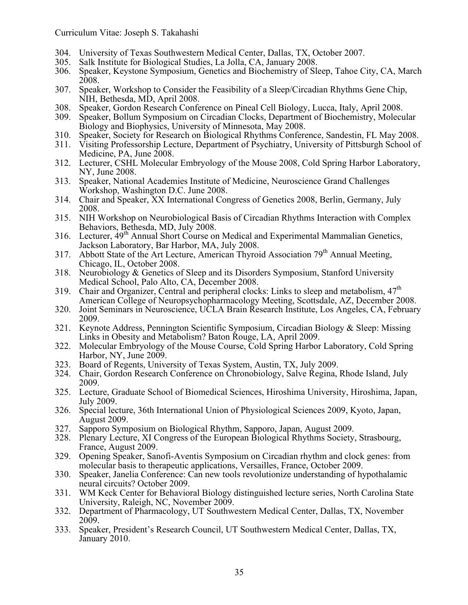- 304. University of Texas Southwestern Medical Center, Dallas, TX, October 2007.
- 305. Salk Institute for Biological Studies, La Jolla, CA, January 2008.
- Speaker, Keystone Symposium, Genetics and Biochemistry of Sleep, Tahoe City, CA, March 2008.
- 307. Speaker, Workshop to Consider the Feasibility of a Sleep/Circadian Rhythms Gene Chip, NIH, Bethesda, MD, April 2008.
- 308. Speaker, Gordon Research Conference on Pineal Cell Biology, Lucca, Italy, April 2008.
- 309. Speaker, Bollum Symposium on Circadian Clocks, Department of Biochemistry, Molecular Biology and Biophysics, University of Minnesota, May 2008.
- 310. Speaker, Society for Research on Biological Rhythms Conference, Sandestin, FL May 2008.
- Visiting Professorship Lecture, Department of Psychiatry, University of Pittsburgh School of Medicine, PA, June 2008.
- 312. Lecturer, CSHL Molecular Embryology of the Mouse 2008, Cold Spring Harbor Laboratory, NY, June 2008.
- 313. Speaker, National Academies Institute of Medicine, Neuroscience Grand Challenges Workshop, Washington D.C. June 2008.
- 314. Chair and Speaker, XX International Congress of Genetics 2008, Berlin, Germany, July 2008.
- 315. NIH Workshop on Neurobiological Basis of Circadian Rhythms Interaction with Complex Behaviors, Bethesda, MD, July 2008.
- 316. Lecturer,  $49<sup>th</sup>$  Annual Short Course on Medical and Experimental Mammalian Genetics, Jackson Laboratory, Bar Harbor, MA, July 2008.
- 317. Abbott State of the Art Lecture, American Thyroid Association  $79<sup>th</sup>$  Annual Meeting, Chicago, IL, October 2008.
- 318. Neurobiology & Genetics of Sleep and its Disorders Symposium, Stanford University Medical School, Palo Alto, CA, December 2008.
- 319. Chair and Organizer, Central and peripheral clocks: Links to sleep and metabolism,  $47<sup>th</sup>$ American College of Neuropsychopharmacology Meeting, Scottsdale, AZ, December 2008.
- 320. Joint Seminars in Neuroscience, UCLA Brain Research Institute, Los Angeles, CA, February 2009.
- 321. Keynote Address, Pennington Scientific Symposium, Circadian Biology & Sleep: Missing Links in Obesity and Metabolism? Baton Rouge, LA, April 2009.
- 322. Molecular Embryology of the Mouse Course, Cold Spring Harbor Laboratory, Cold Spring Harbor, NY, June 2009.
- 323. Board of Regents, University of Texas System, Austin, TX, July 2009.<br>324. Chair, Gordon Research Conference on Chronobiology, Salve Regina.
- 324. Chair, Gordon Research Conference on Chronobiology, Salve Regina, Rhode Island, July 2009.
- 325. Lecture, Graduate School of Biomedical Sciences, Hiroshima University, Hiroshima, Japan, July 2009.
- 326. Special lecture, 36th International Union of Physiological Sciences 2009, Kyoto, Japan, August 2009.
- 327. Sapporo Symposium on Biological Rhythm, Sapporo, Japan, August 2009.
- 328. Plenary Lecture, XI Congress of the European Biological Rhythms Society, Strasbourg, France, August 2009.
- 329. Opening Speaker, Sanofi-Aventis Symposium on Circadian rhythm and clock genes: from molecular basis to therapeutic applications, Versailles, France, October 2009.
- 330. Speaker, Janelia Conference: Can new tools revolutionize understanding of hypothalamic neural circuits? October 2009.
- 331. WM Keck Center for Behavioral Biology distinguished lecture series, North Carolina State University, Raleigh, NC, November 2009.
- 332. Department of Pharmacology, UT Southwestern Medical Center, Dallas, TX, November 2009.
- 333. Speaker, President's Research Council, UT Southwestern Medical Center, Dallas, TX, January 2010.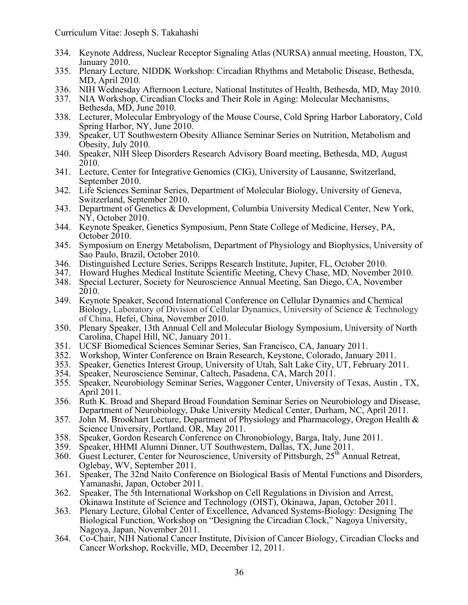- 334. Keynote Address, Nuclear Receptor Signaling Atlas (NURSA) annual meeting, Houston, TX, January 2010.
- 335. Plenary Lecture, NIDDK Workshop: Circadian Rhythms and Metabolic Disease, Bethesda, MD, April 2010.
- 336. NIH Wednesday Afternoon Lecture, National Institutes of Health, Bethesda, MD, May 2010.
- 337. NIA Workshop, Circadian Clocks and Their Role in Aging: Molecular Mechanisms, Bethesda, MD, June 2010.
- 338. Lecturer, Molecular Embryology of the Mouse Course, Cold Spring Harbor Laboratory, Cold Spring Harbor, NY, June 2010.
- 339. Speaker, UT Southwestern Obesity Alliance Seminar Series on Nutrition, Metabolism and Obesity, July 2010.
- 340. Speaker, NIH Sleep Disorders Research Advisory Board meeting, Bethesda, MD, August 2010.
- 341. Lecture, Center for Integrative Genomics (CIG), University of Lausanne, Switzerland, September 2010.
- 342. Life Sciences Seminar Series, Department of Molecular Biology, University of Geneva, Switzerland, September 2010.
- 343. Department of Genetics & Development, Columbia University Medical Center, New York, NY, October 2010.
- 344. Keynote Speaker, Genetics Symposium, Penn State College of Medicine, Hersey, PA, October 2010.
- 345. Symposium on Energy Metabolism, Department of Physiology and Biophysics, University of Sao Paulo, Brazil, October 2010.
- 346. Distinguished Lecture Series, Scripps Research Institute, Jupiter, FL, October 2010.<br>347. Howard Hughes Medical Institute Scientific Meeting. Chevy Chase. MD. November
- 347. Howard Hughes Medical Institute Scientific Meeting, Chevy Chase, MD, November 2010.<br>348. Special Lecturer, Society for Neuroscience Annual Meeting, San Diego, CA, November
- Special Lecturer, Society for Neuroscience Annual Meeting, San Diego, CA, November 2010.
- 349. Keynote Speaker, Second International Conference on Cellular Dynamics and Chemical Biology, Laboratory of Division of Cellular Dynamics, University of Science & Technology of China, Hefei, China, November 2010.
- 350. Plenary Speaker, 13th Annual Cell and Molecular Biology Symposium, University of North Carolina, Chapel Hill, NC, January 2011.
- 351. UCSF Biomedical Sciences Seminar Series, San Francisco, CA, January 2011.
- 352. Workshop, Winter Conference on Brain Research, Keystone, Colorado, January 2011.
- 353. Speaker, Genetics Interest Group, University of Utah, Salt Lake City, UT, February 2011.
- 354. Speaker, Neuroscience Seminar, Caltech, Pasadena, CA, March 2011.
- 355. Speaker, Neurobiology Seminar Series, Waggoner Center, University of Texas, Austin , TX, April 2011.
- 356. Ruth K. Broad and Shepard Broad Foundation Seminar Series on Neurobiology and Disease, Department of Neurobiology, Duke University Medical Center, Durham, NC, April 2011.
- 357. John M. Brookhart Lecture, Department of Physiology and Pharmacology, Oregon Health & Science University, Portland. OR, May 2011.
- 358. Speaker, Gordon Řesearch Conference on Chronobiology, Barga, Italy, June 2011.<br>359. Speaker. HHMI Alumni Dinner, UT Southwestern, Dallas, TX, June 2011.
- 359. Speaker, HHMI Alumni Dinner, UT Southwestern, Dallas, TX, June 2011.
- 360. Guest Lecturer, Center for Neuroscience, University of Pittsburgh, 25<sup>th</sup> Annual Retreat, Oglebay, WV, September 2011.
- 361. Speaker, The 32nd Naito Conference on Biological Basis of Mental Functions and Disorders, Yamanashi, Japan, October 2011.
- 362. Speaker, The 5th International Workshop on Cell Regulations in Division and Arrest, Okinawa Institute of Science and Technology (OIST), Okinawa, Japan, October 2011.
- 363. Plenary Lecture, Global Center of Excellence, Advanced Systems-Biology: Designing The Biological Function, Workshop on "Designing the Circadian Clock," Nagoya University, Nagoya, Japan, November 2011.
- 364. Co-Chair, NIH National Cancer Institute, Division of Cancer Biology, Circadian Clocks and Cancer Workshop, Rockville, MD, December 12, 2011.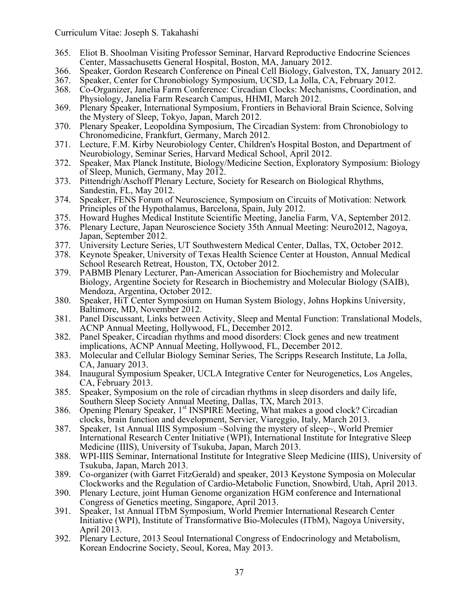- 365. Eliot B. Shoolman Visiting Professor Seminar, Harvard Reproductive Endocrine Sciences Center, Massachusetts General Hospital, Boston, MA, January 2012.
- 366. Speaker, Gordon Research Conference on Pineal Cell Biology, Galveston, TX, January 2012.
- Speaker, Center for Chronobiology Symposium, UCSD, La Jolla, CA, February 2012.
- 368. Co-Organizer, Janelia Farm Conference: Circadian Clocks: Mechanisms, Coordination, and Physiology, Janelia Farm Research Campus, HHMI, March 2012.
- 369. Plenary Speaker, International Symposium, Frontiers in Behavioral Brain Science, Solving the Mystery of Sleep, Tokyo, Japan, March 2012.
- 370. Plenary Speaker, Leopoldina Symposium, The Circadian System: from Chronobiology to Chronomedicine, Frankfurt, Germany, March 2012.
- 371. Lecture, F.M. Kirby Neurobiology Center, Children's Hospital Boston, and Department of Neurobiology, Seminar Series, Harvard Medical School, April 2012.
- 372. Speaker, Max Planck Institute, Biology/Medicine Section, Exploratory Symposium: Biology of Sleep, Munich, Germany, May 2012.
- 373. Pittendrigh/Aschoff Plenary Lecture, Society for Research on Biological Rhythms, Sandestin, FL, May 2012.
- 374. Speaker, FENS Forum of Neuroscience, Symposium on Circuits of Motivation: Network Principles of the Hypothalamus, Barcelona, Spain, July 2012.
- 375. Howard Hughes Medical Institute Scientific Meeting, Janelia Farm, VA, September 2012.
- 376. Plenary Lecture, Japan Neuroscience Society 35th Annual Meeting: Neuro2012, Nagoya, Japan, September 2012.
- 377. University Lecture Series, UT Southwestern Medical Center, Dallas, TX, October 2012.
- Keynote Speaker, University of Texas Health Science Center at Houston, Annual Medical School Research Retreat, Houston, TX, October 2012.
- 379. PABMB Plenary Lecturer, Pan-American Association for Biochemistry and Molecular Biology, Argentine Society for Research in Biochemistry and Molecular Biology (SAIB), Mendoza, Argentina, October 2012.
- 380. Speaker, HiT Center Symposium on Human System Biology, Johns Hopkins University, Baltimore, MD, November 2012.
- 381. Panel Discussant, Links between Activity, Sleep and Mental Function: Translational Models, ACNP Annual Meeting, Hollywood, FL, December 2012.
- 382. Panel Speaker, Circadian rhythms and mood disorders: Clock genes and new treatment implications, ACNP Annual Meeting, Hollywood, FL, December 2012.
- 383. Molecular and Cellular Biology Seminar Series, The Scripps Research Institute, La Jolla, CA, January 2013.
- 384. Inaugural Symposium Speaker, UCLA Integrative Center for Neurogenetics, Los Angeles, CA, February 2013.<br>Speaker, Symposium on the role of circadian rhythms in sleep disorders and daily life.
- 385. Speaker, Symposium on the role of circadian rhythms in sleep diso<br>Southern Sleep Society Annual Meeting, Dallas, TX, March 2013.
- 386. Opening Plenary Speaker, 1<sup>st</sup> INSPIRE Meeting, What makes a good clock? Circadian clocks, brain function and development, Servier, Viareggio, Italy, March 2013.
- 387. Speaker, 1st Annual IIIS Symposium ~Solving the mystery of sleep~, World Premier International Research Center Initiative (WPI), International Institute for Integrative Sleep Medicine (IIIS), University of Tsukuba, Japan, March 2013.
- 388. WPI-IIIS Seminar, International Institute for Integrative Sleep Medicine (IIIS), University of Tsukuba, Japan, March 2013.
- 389. Co-organizer (with Garret FitzGerald) and speaker, 2013 Keystone Symposia on Molecular Clockworks and the Regulation of Cardio-Metabolic Function, Snowbird, Utah, April 2013.
- 390. Plenary Lecture, joint Human Genome organization HGM conference and International Congress of Genetics meeting, Singapore, April 2013.
- 391. Speaker, 1st Annual ITbM Symposium, World Premier International Research Center Initiative (WPI), Institute of Transformative Bio-Molecules (ITbM), Nagoya University, April 2013.
- 392. Plenary Lecture, 2013 Seoul International Congress of Endocrinology and Metabolism, Korean Endocrine Society, Seoul, Korea, May 2013.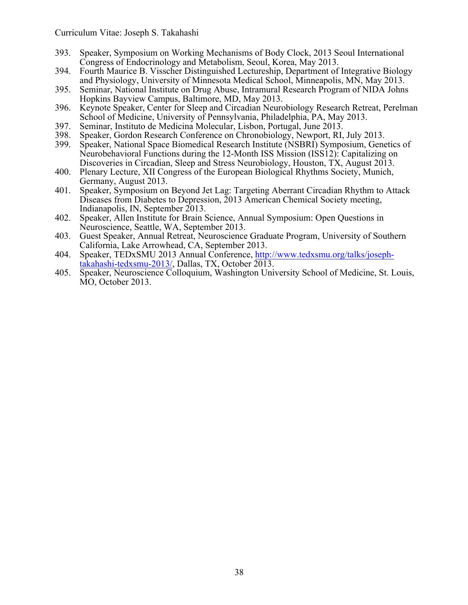- 393. Speaker, Symposium on Working Mechanisms of Body Clock, 2013 Seoul International Congress of Endocrinology and Metabolism, Seoul, Korea, May 2013.
- 394. Fourth Maurice B. Visscher Distinguished Lectureship, Department of Integrative Biology and Physiology, University of Minnesota Medical School, Minneapolis, MN, May 2013.
- 395. Seminar, National Institute on Drug Abuse, Intramural Research Program of NIDA Johns Hopkins Bayview Campus, Baltimore, MD, May 2013.
- 396. Keynote Speaker, Center for Sleep and Circadian Neurobiology Research Retreat, Perelman School of Medicine, University of Pennsylvania, Philadelphia, PA, May 2013.
- 397. Seminar, Instituto de Medicina Molecular, Lisbon, Portugal, June 2013.
- 398. Speaker, Gordon Research Conference on Chronobiology, Newport, RI, July 2013.
- Speaker, National Space Biomedical Research Institute (NSBRI) Symposium, Genetics of Neurobehavioral Functions during the 12-Month ISS Mission (ISS12): Capitalizing on Discoveries in Circadian, Sleep and Stress Neurobiology, Houston, TX, August 2013.
- 400. Plenary Lecture, XII Congress of the European Biological Rhythms Society, Munich, Germany, August 2013.
- 401. Speaker, Symposium on Beyond Jet Lag: Targeting Aberrant Circadian Rhythm to Attack Diseases from Diabetes to Depression, 2013 American Chemical Society meeting, Indianapolis, IN, September 2013.
- 402. Speaker, Allen Institute for Brain Science, Annual Symposium: Open Questions in Neuroscience, Seattle, WA, September 2013.
- 403. Guest Speaker, Annual Retreat, Neuroscience Graduate Program, University of Southern California, Lake Arrowhead, CA, September 2013.
- 404. Speaker, TEDxSMU 2013 Annual Conference, http://www.tedxsmu.org/talks/josephtakahashi-tedxsmu-2013/, Dallas, TX, October 2013.
- 405. Speaker, Neuroscience Colloquium, Washington University School of Medicine, St. Louis, MO, October 2013.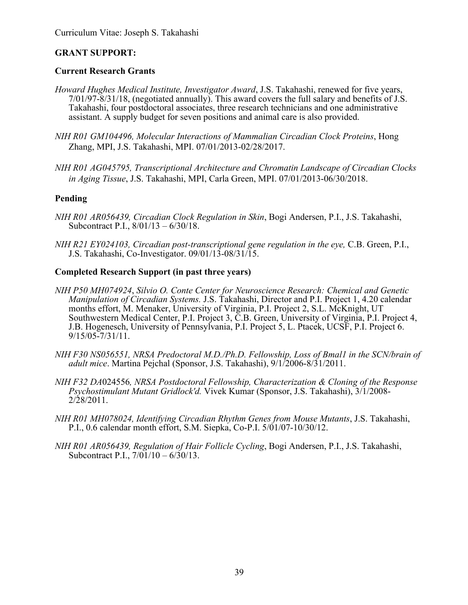## **GRANT SUPPORT:**

## **Current Research Grants**

- *Howard Hughes Medical Institute, Investigator Award*, J.S. Takahashi, renewed for five years, 7/01/97-8/31/18, (negotiated annually). This award covers the full salary and benefits of J.S. Takahashi, four postdoctoral associates, three research technicians and one administrative assistant. A supply budget for seven positions and animal care is also provided.
- *NIH R01 GM104496, Molecular Interactions of Mammalian Circadian Clock Proteins*, Hong Zhang, MPI, J.S. Takahashi, MPI. 07/01/2013-02/28/2017.
- *NIH R01 AG045795, Transcriptional Architecture and Chromatin Landscape of Circadian Clocks in Aging Tissue*, J.S. Takahashi, MPI, Carla Green, MPI. 07/01/2013-06/30/2018.

## **Pending**

- *NIH R01 AR056439, Circadian Clock Regulation in Skin*, Bogi Andersen, P.I., J.S. Takahashi, Subcontract P.I., 8/01/13 – 6/30/18.
- *NIH R21 EY024103, Circadian post-transcriptional gene regulation in the eye,* C.B. Green, P.I., J.S. Takahashi, Co-Investigator. 09/01/13-08/31/15.

### **Completed Research Support (in past three years)**

- *NIH P50 MH074924*, *Silvio O. Conte Center for Neuroscience Research: Chemical and Genetic Manipulation of Circadian Systems.* J.S. Takahashi, Director and P.I. Project 1, 4.20 calendar months effort, M. Menaker, University of Virginia, P.I. Project 2, S.L. McKnight, UT Southwestern Medical Center, P.I. Project 3, C.B. Green, University of Virginia, P.I. Project 4, J.B. Hogenesch, University of Pennsylvania, P.I. Project 5, L. Ptacek, UCSF, P.I. Project 6. 9/15/05-7/31/11.
- *NIH F30 NS056551, NRSA Predoctoral M.D./Ph.D. Fellowship, Loss of Bmal1 in the SCN/brain of adult mice*. Martina Pejchal (Sponsor, J.S. Takahashi), 9/1/2006-8/31/2011.
- *NIH F32 DA*024556*, NRSA Postdoctoral Fellowship, Characterization & Cloning of the Response Psychostimulant Mutant Gridlock'd.* Vivek Kumar (Sponsor, J.S. Takahashi), 3/1/2008- 2/28/2011.
- *NIH R01 MH078024, Identifying Circadian Rhythm Genes from Mouse Mutants*, J.S. Takahashi, P.I., 0.6 calendar month effort, S.M. Siepka, Co-P.I. 5/01/07-10/30/12.
- *NIH R01 AR056439, Regulation of Hair Follicle Cycling*, Bogi Andersen, P.I., J.S. Takahashi, Subcontract P.I.,  $7/01/10 - 6/30/13$ .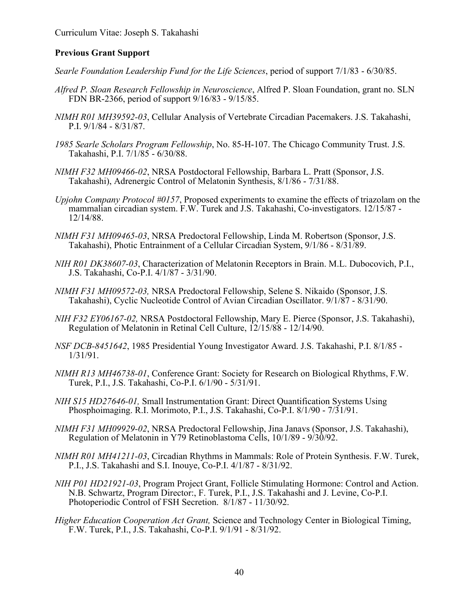## **Previous Grant Support**

*Searle Foundation Leadership Fund for the Life Sciences*, period of support 7/1/83 - 6/30/85.

- *Alfred P. Sloan Research Fellowship in Neuroscience*, Alfred P. Sloan Foundation, grant no. SLN FDN BR-2366, period of support 9/16/83 - 9/15/85.
- *NIMH R01 MH39592-03*, Cellular Analysis of Vertebrate Circadian Pacemakers. J.S. Takahashi, P.I. 9/1/84 - 8/31/87.
- *1985 Searle Scholars Program Fellowship*, No. 85-H-107. The Chicago Community Trust. J.S. Takahashi, P.I. 7/1/85 - 6/30/88.
- *NIMH F32 MH09466-02*, NRSA Postdoctoral Fellowship, Barbara L. Pratt (Sponsor, J.S. Takahashi), Adrenergic Control of Melatonin Synthesis, 8/1/86 - 7/31/88.
- *Upjohn Company Protocol #0157*, Proposed experiments to examine the effects of triazolam on the mammalian circadian system. F.W. Turek and J.S. Takahashi, Co-investigators. 12/15/87 - 12/14/88.
- *NIMH F31 MH09465-03*, NRSA Predoctoral Fellowship, Linda M. Robertson (Sponsor, J.S. Takahashi), Photic Entrainment of a Cellular Circadian System, 9/1/86 - 8/31/89.
- *NIH R01 DK38607-03*, Characterization of Melatonin Receptors in Brain. M.L. Dubocovich, P.I., J.S. Takahashi, Co-P.I. 4/1/87 - 3/31/90.
- *NIMH F31 MH09572-03,* NRSA Predoctoral Fellowship, Selene S. Nikaido (Sponsor, J.S. Takahashi), Cyclic Nucleotide Control of Avian Circadian Oscillator. 9/1/87 - 8/31/90.
- *NIH F32 EY06167-02,* NRSA Postdoctoral Fellowship, Mary E. Pierce (Sponsor, J.S. Takahashi), Regulation of Melatonin in Retinal Cell Culture,  $12/15/88 - 12/14/90$ .
- *NSF DCB-8451642*, 1985 Presidential Young Investigator Award. J.S. Takahashi, P.I. 8/1/85 1/31/91.
- *NIMH R13 MH46738-01*, Conference Grant: Society for Research on Biological Rhythms, F.W. Turek, P.I., J.S. Takahashi, Co-P.I. 6/1/90 - 5/31/91.
- *NIH S15 HD27646-01,* Small Instrumentation Grant: Direct Quantification Systems Using Phosphoimaging. R.I. Morimoto, P.I., J.S. Takahashi, Co-P.I. 8/1/90 - 7/31/91.
- *NIMH F31 MH09929-02*, NRSA Predoctoral Fellowship, Jina Janavs (Sponsor, J.S. Takahashi), Regulation of Melatonin in Y79 Retinoblastoma Cells, 10/1/89 - 9/30/92.
- *NIMH R01 MH41211-03*, Circadian Rhythms in Mammals: Role of Protein Synthesis. F.W. Turek, P.I., J.S. Takahashi and S.I. Inouye, Co-P.I. 4/1/87 - 8/31/92.
- *NIH P01 HD21921-03*, Program Project Grant, Follicle Stimulating Hormone: Control and Action. N.B. Schwartz, Program Director:, F. Turek, P.I., J.S. Takahashi and J. Levine, Co-P.I. Photoperiodic Control of FSH Secretion. 8/1/87 - 11/30/92.
- *Higher Education Cooperation Act Grant,* Science and Technology Center in Biological Timing, F.W. Turek, P.I., J.S. Takahashi, Co-P.I. 9/1/91 - 8/31/92.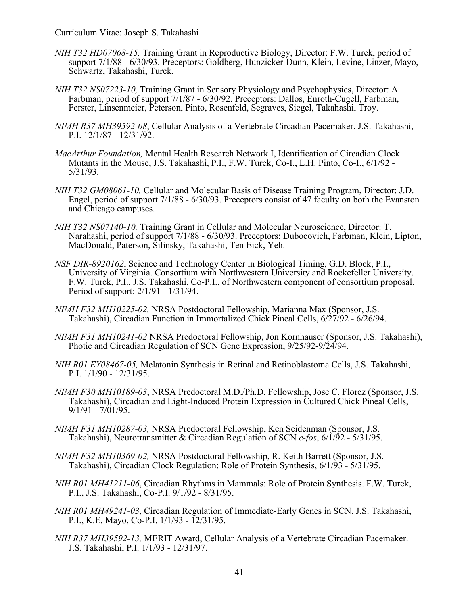- *NIH T32 HD07068-15,* Training Grant in Reproductive Biology, Director: F.W. Turek, period of support 7/1/88 - 6/30/93. Preceptors: Goldberg, Hunzicker-Dunn, Klein, Levine, Linzer, Mayo, Schwartz, Takahashi, Turek.
- *NIH T32 NS07223-10,* Training Grant in Sensory Physiology and Psychophysics, Director: A. Farbman, period of support 7/1/87 - 6/30/92. Preceptors: Dallos, Enroth-Cugell, Farbman, Ferster, Linsenmeier, Peterson, Pinto, Rosenfeld, Segraves, Siegel, Takahashi, Troy.
- *NIMH R37 MH39592-08*, Cellular Analysis of a Vertebrate Circadian Pacemaker. J.S. Takahashi, P.I. 12/1/87 - 12/31/92.
- *MacArthur Foundation,* Mental Health Research Network I, Identification of Circadian Clock Mutants in the Mouse, J.S. Takahashi, P.I., F.W. Turek, Co-I., L.H. Pinto, Co-I., 6/1/92 - 5/31/93.
- *NIH T32 GM08061-10,* Cellular and Molecular Basis of Disease Training Program, Director: J.D. Engel, period of support 7/1/88 - 6/30/93. Preceptors consist of 47 faculty on both the Evanston and Chicago campuses.
- *NIH T32 NS07140-10,* Training Grant in Cellular and Molecular Neuroscience, Director: T. Narahashi, period of support 7/1/88 - 6/30/93. Preceptors: Dubocovich, Farbman, Klein, Lipton, MacDonald, Paterson, Silinsky, Takahashi, Ten Eick, Yeh.
- *NSF DIR-8920162*, Science and Technology Center in Biological Timing, G.D. Block, P.I., University of Virginia. Consortium with Northwestern University and Rockefeller University. F.W. Turek, P.I., J.S. Takahashi, Co-P.I., of Northwestern component of consortium proposal. Period of support: 2/1/91 - 1/31/94.
- *NIMH F32 MH10225-02,* NRSA Postdoctoral Fellowship, Marianna Max (Sponsor, J.S. Takahashi), Circadian Function in Immortalized Chick Pineal Cells, 6/27/92 - 6/26/94.
- *NIMH F31 MH10241-02* NRSA Predoctoral Fellowship, Jon Kornhauser (Sponsor, J.S. Takahashi), Photic and Circadian Regulation of SCN Gene Expression, 9/25/92-9/24/94.
- *NIH R01 EY08467-05,* Melatonin Synthesis in Retinal and Retinoblastoma Cells, J.S. Takahashi, P.I. 1/1/90 - 12/31/95.
- *NIMH F30 MH10189-03*, NRSA Predoctoral M.D./Ph.D. Fellowship, Jose C. Florez (Sponsor, J.S. Takahashi), Circadian and Light-Induced Protein Expression in Cultured Chick Pineal Cells, 9/1/91 - 7/01/95.
- *NIMH F31 MH10287-03,* NRSA Predoctoral Fellowship, Ken Seidenman (Sponsor, J.S. Takahashi), Neurotransmitter & Circadian Regulation of SCN *c-fos*, 6/1/92 - 5/31/95.
- *NIMH F32 MH10369-02,* NRSA Postdoctoral Fellowship, R. Keith Barrett (Sponsor, J.S. Takahashi), Circadian Clock Regulation: Role of Protein Synthesis, 6/1/93 - 5/31/95.
- *NIH R01 MH41211-06*, Circadian Rhythms in Mammals: Role of Protein Synthesis. F.W. Turek, P.I., J.S. Takahashi, Co-P.I. 9/1/92 - 8/31/95.
- *NIH R01 MH49241-03*, Circadian Regulation of Immediate-Early Genes in SCN. J.S. Takahashi, P.I., K.E. Mayo, Co-P.I. 1/1/93 - 12/31/95.
- *NIH R37 MH39592-13,* MERIT Award, Cellular Analysis of a Vertebrate Circadian Pacemaker. J.S. Takahashi, P.I. 1/1/93 - 12/31/97.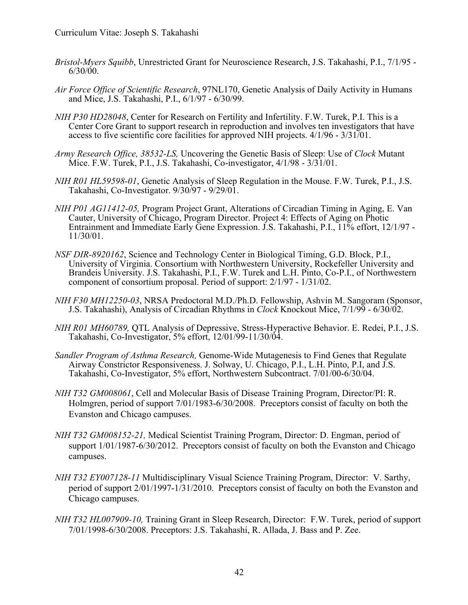- *Bristol-Myers Squibb*, Unrestricted Grant for Neuroscience Research, J.S. Takahashi, P.I., 7/1/95  $6/30/00$ .
- *Air Force Office of Scientific Research*, 97NL170, Genetic Analysis of Daily Activity in Humans and Mice, J.S. Takahashi, P.I., 6/1/97 - 6/30/99.
- *NIH P30 HD28048*, Center for Research on Fertility and Infertility. F.W. Turek, P.I. This is a Center Core Grant to support research in reproduction and involves ten investigators that have access to five scientific core facilities for approved NIH projects. 4/1/96 - 3/31/01.
- *Army Research Office, 38532-LS,* Uncovering the Genetic Basis of Sleep: Use of *Clock* Mutant Mice. F.W. Turek, P.I., J.S. Takahashi, Co-investigator,  $4/1/98 - 3/31/01$ .
- *NIH R01 HL59598-01*, Genetic Analysis of Sleep Regulation in the Mouse. F.W. Turek, P.I., J.S. Takahashi, Co-Investigator. 9/30/97 - 9/29/01.
- *NIH P01 AG11412-05,* Program Project Grant, Alterations of Circadian Timing in Aging, E. Van Cauter, University of Chicago, Program Director. Project 4: Effects of Aging on Photic Entrainment and Immediate Early Gene Expression. J.S. Takahashi, P.I., 11% effort, 12/1/97 -11/30/01.
- *NSF DIR-8920162*, Science and Technology Center in Biological Timing, G.D. Block, P.I., University of Virginia. Consortium with Northwestern University, Rockefeller University and Brandeis University. J.S. Takahashi, P.I., F.W. Turek and L.H. Pinto, Co-P.I., of Northwestern component of consortium proposal. Period of support: 2/1/97 - 1/31/02.
- *NIH F30 MH12250-03*, NRSA Predoctoral M.D./Ph.D. Fellowship, Ashvin M. Sangoram (Sponsor, J.S. Takahashi), Analysis of Circadian Rhythms in *Clock* Knockout Mice, 7/1/99 - 6/30/02.
- *NIH R01 MH60789,* QTL Analysis of Depressive, Stress-Hyperactive Behavior. E. Redei, P.I., J.S. Takahashi, Co-Investigator, 5% effort, 12/01/99-11/30/04.
- *Sandler Program of Asthma Research,* Genome-Wide Mutagenesis to Find Genes that Regulate Airway Constrictor Responsiveness. J. Solway, U. Chicago, P.I., L.H. Pinto, P.I, and J.S. Takahashi, Co-Investigator, 5% effort, Northwestern Subcontract. 7/01/00-6/30/04.
- *NIH T32 GM008061*, Cell and Molecular Basis of Disease Training Program, Director/PI: R. Holmgren, period of support 7/01/1983-6/30/2008. Preceptors consist of faculty on both the Evanston and Chicago campuses.
- *NIH T32 GM008152-21,* Medical Scientist Training Program, Director: D. Engman, period of support  $1/01/1987-6/30/2012$ . Preceptors consist of faculty on both the Evanston and Chicago campuses.
- *NIH T32 EY007128-11* Multidisciplinary Visual Science Training Program, Director: V. Sarthy, period of support 2/01/1997-1/31/2010. Preceptors consist of faculty on both the Evanston and Chicago campuses.
- *NIH T32 HL007909-10,* Training Grant in Sleep Research, Director: F.W. Turek, period of support 7/01/1998-6/30/2008. Preceptors: J.S. Takahashi, R. Allada, J. Bass and P. Zee.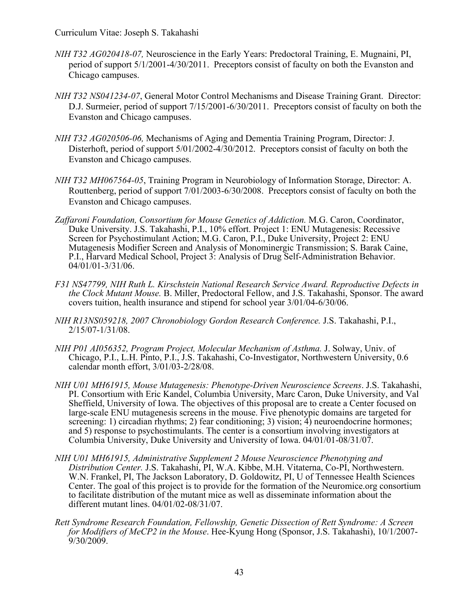- *NIH T32 AG020418-07,* Neuroscience in the Early Years: Predoctoral Training, E. Mugnaini, PI, period of support 5/1/2001-4/30/2011. Preceptors consist of faculty on both the Evanston and Chicago campuses.
- *NIH T32 NS041234-07*, General Motor Control Mechanisms and Disease Training Grant. Director: D.J. Surmeier, period of support 7/15/2001-6/30/2011. Preceptors consist of faculty on both the Evanston and Chicago campuses.
- *NIH T32 AG020506-06,* Mechanisms of Aging and Dementia Training Program, Director: J. Disterhoft, period of support 5/01/2002-4/30/2012. Preceptors consist of faculty on both the Evanston and Chicago campuses.
- *NIH T32 MH067564-05*, Training Program in Neurobiology of Information Storage, Director: A. Routtenberg, period of support 7/01/2003-6/30/2008. Preceptors consist of faculty on both the Evanston and Chicago campuses.
- *Zaffaroni Foundation, Consortium for Mouse Genetics of Addiction.* M.G. Caron, Coordinator, Duke University. J.S. Takahashi, P.I., 10% effort. Project 1: ENU Mutagenesis: Recessive Screen for Psychostimulant Action; M.G. Caron, P.I., Duke University, Project 2: ENU Mutagenesis Modifier Screen and Analysis of Monominergic Transmission; S. Barak Caine, P.I., Harvard Medical School, Project 3: Analysis of Drug Self-Administration Behavior. 04/01/01-3/31/06.
- *F31 NS47799, NIH Ruth L. Kirschstein National Research Service Award. Reproductive Defects in the Clock Mutant Mouse.* B. Miller, Predoctoral Fellow, and J.S. Takahashi, Sponsor. The award covers tuition, health insurance and stipend for school year 3/01/04-6/30/06.
- *NIH R13NS059218, 2007 Chronobiology Gordon Research Conference.* J.S. Takahashi, P.I., 2/15/07-1/31/08.
- *NIH P01 AI056352, Program Project, Molecular Mechanism of Asthma.* J. Solway, Univ. of Chicago, P.I., L.H. Pinto, P.I., J.S. Takahashi, Co-Investigator, Northwestern University, 0.6 calendar month effort, 3/01/03-2/28/08.
- *NIH U01 MH61915, Mouse Mutagenesis: Phenotype-Driven Neuroscience Screens*. J.S. Takahashi, PI. Consortium with Eric Kandel, Columbia University, Marc Caron, Duke University, and Val Sheffield, University of Iowa. The objectives of this proposal are to create a Center focused on large-scale ENU mutagenesis screens in the mouse. Five phenotypic domains are targeted for screening: 1) circadian rhythms; 2) fear conditioning; 3) vision; 4) neuroendocrine hormones; and 5) response to psychostimulants. The center is a consortium involving investigators at Columbia University, Duke University and University of Iowa. 04/01/01-08/31/07.
- *NIH U01 MH61915, Administrative Supplement 2 Mouse Neuroscience Phenotyping and Distribution Center.* J.S. Takahashi, PI, W.A. Kibbe, M.H. Vitaterna, Co-PI, Northwestern. W.N. Frankel, PI, The Jackson Laboratory, D. Goldowitz, PI, U of Tennessee Health Sciences Center. The goal of this project is to provide for the formation of the Neuromice.org consortium to facilitate distribution of the mutant mice as well as disseminate information about the different mutant lines. 04/01/02-08/31/07.
- *Rett Syndrome Research Foundation, Fellowship, Genetic Dissection of Rett Syndrome: A Screen for Modifiers of MeCP2 in the Mouse*. Hee-Kyung Hong (Sponsor, J.S. Takahashi), 10/1/2007- 9/30/2009.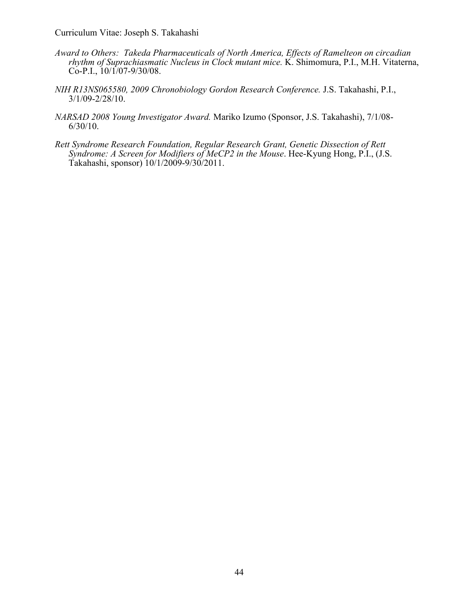- *Award to Others: Takeda Pharmaceuticals of North America, Effects of Ramelteon on circadian rhythm of Suprachiasmatic Nucleus in Clock mutant mice.* K. Shimomura, P.I., M.H. Vitaterna,  $Co-P.I., 10/1/07-9/30/08.$
- *NIH R13NS065580, 2009 Chronobiology Gordon Research Conference.* J.S. Takahashi, P.I., 3/1/09-2/28/10.
- *NARSAD 2008 Young Investigator Award.* Mariko Izumo (Sponsor, J.S. Takahashi), 7/1/08- 6/30/10.
- *Rett Syndrome Research Foundation, Regular Research Grant, Genetic Dissection of Rett Syndrome: A Screen for Modifiers of MeCP2 in the Mouse*. Hee-Kyung Hong, P.I., (J.S. Takahashi, sponsor) 10/1/2009-9/30/2011.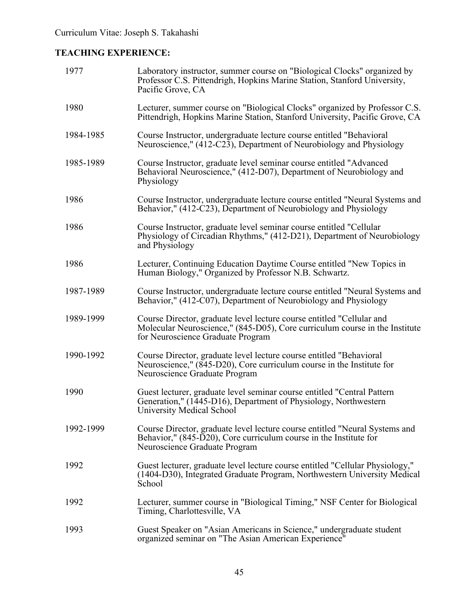# **TEACHING EXPERIENCE:**

| 1977      | Laboratory instructor, summer course on "Biological Clocks" organized by<br>Professor C.S. Pittendrigh, Hopkins Marine Station, Stanford University,<br>Pacific Grove, CA                 |  |  |
|-----------|-------------------------------------------------------------------------------------------------------------------------------------------------------------------------------------------|--|--|
| 1980      | Lecturer, summer course on "Biological Clocks" organized by Professor C.S.<br>Pittendrigh, Hopkins Marine Station, Stanford University, Pacific Grove, CA                                 |  |  |
| 1984-1985 | Course Instructor, undergraduate lecture course entitled "Behavioral<br>Neuroscience," (412-C23), Department of Neurobiology and Physiology                                               |  |  |
| 1985-1989 | Course Instructor, graduate level seminar course entitled "Advanced"<br>Behavioral Neuroscience," (412-D07), Department of Neurobiology and<br>Physiology                                 |  |  |
| 1986      | Course Instructor, undergraduate lecture course entitled "Neural Systems and<br>Behavior," (412-C23), Department of Neurobiology and Physiology                                           |  |  |
| 1986      | Course Instructor, graduate level seminar course entitled "Cellular<br>Physiology of Circadian Rhythms," (412-D21), Department of Neurobiology<br>and Physiology                          |  |  |
| 1986      | Lecturer, Continuing Education Daytime Course entitled "New Topics in<br>Human Biology," Organized by Professor N.B. Schwartz.                                                            |  |  |
| 1987-1989 | Course Instructor, undergraduate lecture course entitled "Neural Systems and<br>Behavior," (412-C07), Department of Neurobiology and Physiology                                           |  |  |
| 1989-1999 | Course Director, graduate level lecture course entitled "Cellular and<br>Molecular Neuroscience," (845-D05), Core curriculum course in the Institute<br>for Neuroscience Graduate Program |  |  |
| 1990-1992 | Course Director, graduate level lecture course entitled "Behavioral<br>Neuroscience," (845-D20), Core curriculum course in the Institute for<br>Neuroscience Graduate Program             |  |  |
| 1990      | Guest lecturer, graduate level seminar course entitled "Central Pattern<br>Generation," (1445-D16), Department of Physiology, Northwestern<br>University Medical School                   |  |  |
| 1992-1999 | Course Director, graduate level lecture course entitled "Neural Systems and<br>Behavior," (845-D20), Core curriculum course in the Institute for<br>Neuroscience Graduate Program         |  |  |
| 1992      | Guest lecturer, graduate level lecture course entitled "Cellular Physiology,"<br>(1404-D30), Integrated Graduate Program, Northwestern University Medical<br>School                       |  |  |
| 1992      | Lecturer, summer course in "Biological Timing," NSF Center for Biological<br>Timing, Charlottesville, VA                                                                                  |  |  |
| 1993      | Guest Speaker on "Asian Americans in Science," undergraduate student<br>organized seminar on "The Asian American Experience"                                                              |  |  |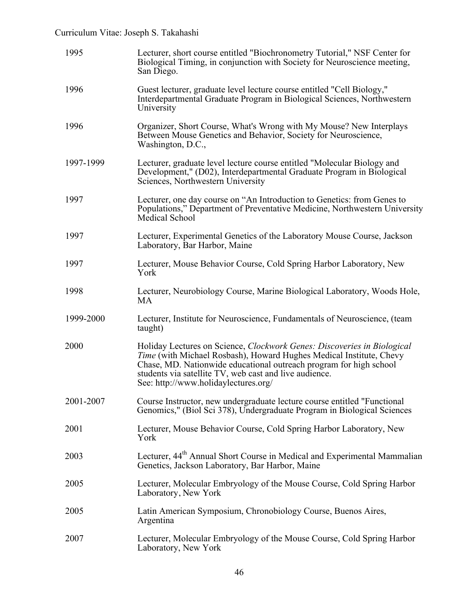| 1995      | Lecturer, short course entitled "Biochronometry Tutorial," NSF Center for<br>Biological Timing, in conjunction with Society for Neuroscience meeting,<br>San Diego.                                                                                                                                                    |  |  |
|-----------|------------------------------------------------------------------------------------------------------------------------------------------------------------------------------------------------------------------------------------------------------------------------------------------------------------------------|--|--|
| 1996      | Guest lecturer, graduate level lecture course entitled "Cell Biology,"<br>Interdepartmental Graduate Program in Biological Sciences, Northwestern<br>University                                                                                                                                                        |  |  |
| 1996      | Organizer, Short Course, What's Wrong with My Mouse? New Interplays<br>Between Mouse Genetics and Behavior, Society for Neuroscience,<br>Washington, D.C.,                                                                                                                                                             |  |  |
| 1997-1999 | Lecturer, graduate level lecture course entitled "Molecular Biology and<br>Development," (D02), Interdepartmental Graduate Program in Biological<br>Sciences, Northwestern University                                                                                                                                  |  |  |
| 1997      | Lecturer, one day course on "An Introduction to Genetics: from Genes to<br>Populations," Department of Preventative Medicine, Northwestern University<br>Medical School                                                                                                                                                |  |  |
| 1997      | Lecturer, Experimental Genetics of the Laboratory Mouse Course, Jackson<br>Laboratory, Bar Harbor, Maine                                                                                                                                                                                                               |  |  |
| 1997      | Lecturer, Mouse Behavior Course, Cold Spring Harbor Laboratory, New<br>York                                                                                                                                                                                                                                            |  |  |
| 1998      | Lecturer, Neurobiology Course, Marine Biological Laboratory, Woods Hole,<br>MA                                                                                                                                                                                                                                         |  |  |
| 1999-2000 | Lecturer, Institute for Neuroscience, Fundamentals of Neuroscience, (team<br>taught)                                                                                                                                                                                                                                   |  |  |
| 2000      | Holiday Lectures on Science, Clockwork Genes: Discoveries in Biological<br>Time (with Michael Rosbash), Howard Hughes Medical Institute, Chevy<br>Chase, MD. Nationwide educational outreach program for high school<br>students via satellite TV, web cast and live audience.<br>See: http://www.holidaylectures.org/ |  |  |
| 2001-2007 | Course Instructor, new undergraduate lecture course entitled "Functional<br>Genomics," (Biol Sci 378), Undergraduate Program in Biological Sciences                                                                                                                                                                    |  |  |
| 2001      | Lecturer, Mouse Behavior Course, Cold Spring Harbor Laboratory, New<br>York                                                                                                                                                                                                                                            |  |  |
| 2003      | Lecturer, 44 <sup>th</sup> Annual Short Course in Medical and Experimental Mammalian<br>Genetics, Jackson Laboratory, Bar Harbor, Maine                                                                                                                                                                                |  |  |
| 2005      | Lecturer, Molecular Embryology of the Mouse Course, Cold Spring Harbor<br>Laboratory, New York                                                                                                                                                                                                                         |  |  |
| 2005      | Latin American Symposium, Chronobiology Course, Buenos Aires,<br>Argentina                                                                                                                                                                                                                                             |  |  |
| 2007      | Lecturer, Molecular Embryology of the Mouse Course, Cold Spring Harbor<br>Laboratory, New York                                                                                                                                                                                                                         |  |  |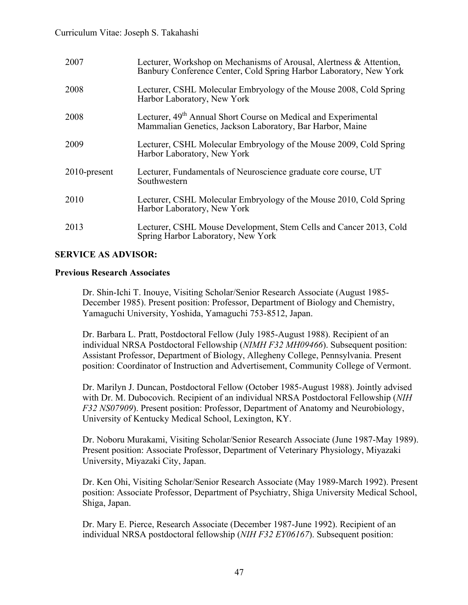| 2007            | Lecturer, Workshop on Mechanisms of Arousal, Alertness & Attention,<br>Banbury Conference Center, Cold Spring Harbor Laboratory, New York |
|-----------------|-------------------------------------------------------------------------------------------------------------------------------------------|
| 2008            | Lecturer, CSHL Molecular Embryology of the Mouse 2008, Cold Spring<br>Harbor Laboratory, New York                                         |
| 2008            | Lecturer, 49 <sup>th</sup> Annual Short Course on Medical and Experimental<br>Mammalian Genetics, Jackson Laboratory, Bar Harbor, Maine   |
| 2009            | Lecturer, CSHL Molecular Embryology of the Mouse 2009, Cold Spring<br>Harbor Laboratory, New York                                         |
| $2010$ -present | Lecturer, Fundamentals of Neuroscience graduate core course, UT<br>Southwestern                                                           |
| 2010            | Lecturer, CSHL Molecular Embryology of the Mouse 2010, Cold Spring<br>Harbor Laboratory, New York                                         |
| 2013            | Lecturer, CSHL Mouse Development, Stem Cells and Cancer 2013, Cold<br>Spring Harbor Laboratory, New York                                  |

## **SERVICE AS ADVISOR:**

## **Previous Research Associates**

Dr. Shin-Ichi T. Inouye, Visiting Scholar/Senior Research Associate (August 1985- December 1985). Present position: Professor, Department of Biology and Chemistry, Yamaguchi University, Yoshida, Yamaguchi 753-8512, Japan.

Dr. Barbara L. Pratt, Postdoctoral Fellow (July 1985-August 1988). Recipient of an individual NRSA Postdoctoral Fellowship (*NIMH F32 MH09466*). Subsequent position: Assistant Professor, Department of Biology, Allegheny College, Pennsylvania. Present position: Coordinator of Instruction and Advertisement, Community College of Vermont.

Dr. Marilyn J. Duncan, Postdoctoral Fellow (October 1985-August 1988). Jointly advised with Dr. M. Dubocovich. Recipient of an individual NRSA Postdoctoral Fellowship (*NIH F32 NS07909*). Present position: Professor, Department of Anatomy and Neurobiology, University of Kentucky Medical School, Lexington, KY.

Dr. Noboru Murakami, Visiting Scholar/Senior Research Associate (June 1987-May 1989). Present position: Associate Professor, Department of Veterinary Physiology, Miyazaki University, Miyazaki City, Japan.

Dr. Ken Ohi, Visiting Scholar/Senior Research Associate (May 1989-March 1992). Present position: Associate Professor, Department of Psychiatry, Shiga University Medical School, Shiga, Japan.

Dr. Mary E. Pierce, Research Associate (December 1987-June 1992). Recipient of an individual NRSA postdoctoral fellowship (*NIH F32 EY06167*). Subsequent position: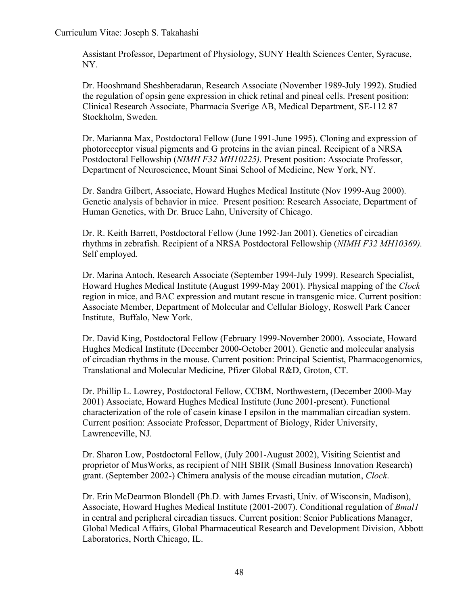Assistant Professor, Department of Physiology, SUNY Health Sciences Center, Syracuse, NY.

Dr. Hooshmand Sheshberadaran, Research Associate (November 1989-July 1992). Studied the regulation of opsin gene expression in chick retinal and pineal cells. Present position: Clinical Research Associate, Pharmacia Sverige AB, Medical Department, SE-112 87 Stockholm, Sweden.

Dr. Marianna Max, Postdoctoral Fellow (June 1991-June 1995). Cloning and expression of photoreceptor visual pigments and G proteins in the avian pineal. Recipient of a NRSA Postdoctoral Fellowship (*NIMH F32 MH10225).* Present position: Associate Professor, Department of Neuroscience, Mount Sinai School of Medicine, New York, NY.

Dr. Sandra Gilbert, Associate, Howard Hughes Medical Institute (Nov 1999-Aug 2000). Genetic analysis of behavior in mice. Present position: Research Associate, Department of Human Genetics, with Dr. Bruce Lahn, University of Chicago.

Dr. R. Keith Barrett, Postdoctoral Fellow (June 1992-Jan 2001). Genetics of circadian rhythms in zebrafish. Recipient of a NRSA Postdoctoral Fellowship (*NIMH F32 MH10369).* Self employed.

Dr. Marina Antoch, Research Associate (September 1994-July 1999). Research Specialist, Howard Hughes Medical Institute (August 1999-May 2001). Physical mapping of the *Clock* region in mice, and BAC expression and mutant rescue in transgenic mice. Current position: Associate Member, Department of Molecular and Cellular Biology, Roswell Park Cancer Institute, Buffalo, New York.

Dr. David King, Postdoctoral Fellow (February 1999-November 2000). Associate, Howard Hughes Medical Institute (December 2000-October 2001). Genetic and molecular analysis of circadian rhythms in the mouse. Current position: Principal Scientist, Pharmacogenomics, Translational and Molecular Medicine, Pfizer Global R&D, Groton, CT.

Dr. Phillip L. Lowrey, Postdoctoral Fellow, CCBM, Northwestern, (December 2000-May 2001) Associate, Howard Hughes Medical Institute (June 2001-present). Functional characterization of the role of casein kinase I epsilon in the mammalian circadian system. Current position: Associate Professor, Department of Biology, Rider University, Lawrenceville, NJ.

Dr. Sharon Low, Postdoctoral Fellow, (July 2001-August 2002), Visiting Scientist and proprietor of MusWorks, as recipient of NIH SBIR (Small Business Innovation Research) grant. (September 2002-) Chimera analysis of the mouse circadian mutation, *Clock*.

Dr. Erin McDearmon Blondell (Ph.D. with James Ervasti, Univ. of Wisconsin, Madison), Associate, Howard Hughes Medical Institute (2001-2007). Conditional regulation of *Bmal1* in central and peripheral circadian tissues. Current position: Senior Publications Manager, Global Medical Affairs, Global Pharmaceutical Research and Development Division, Abbott Laboratories, North Chicago, IL.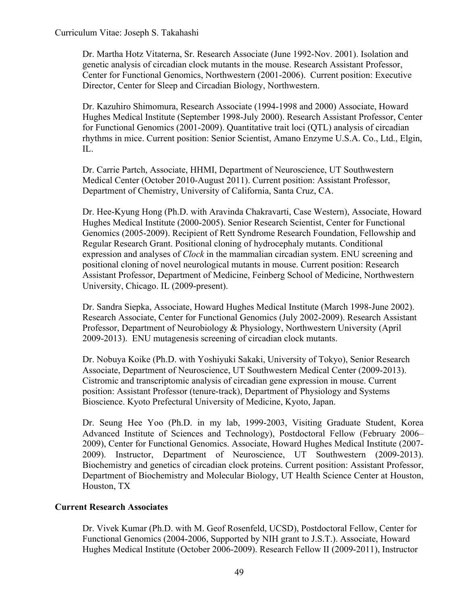Dr. Martha Hotz Vitaterna, Sr. Research Associate (June 1992-Nov. 2001). Isolation and genetic analysis of circadian clock mutants in the mouse. Research Assistant Professor, Center for Functional Genomics, Northwestern (2001-2006). Current position: Executive Director, Center for Sleep and Circadian Biology, Northwestern.

Dr. Kazuhiro Shimomura, Research Associate (1994-1998 and 2000) Associate, Howard Hughes Medical Institute (September 1998-July 2000). Research Assistant Professor, Center for Functional Genomics (2001-2009). Quantitative trait loci (QTL) analysis of circadian rhythms in mice. Current position: Senior Scientist, Amano Enzyme U.S.A. Co., Ltd., Elgin, IL.

Dr. Carrie Partch, Associate, HHMI, Department of Neuroscience, UT Southwestern Medical Center (October 2010-August 2011). Current position: Assistant Professor, Department of Chemistry, University of California, Santa Cruz, CA.

Dr. Hee-Kyung Hong (Ph.D. with Aravinda Chakravarti, Case Western), Associate, Howard Hughes Medical Institute (2000-2005). Senior Research Scientist, Center for Functional Genomics (2005-2009). Recipient of Rett Syndrome Research Foundation, Fellowship and Regular Research Grant. Positional cloning of hydrocephaly mutants. Conditional expression and analyses of *Clock* in the mammalian circadian system. ENU screening and positional cloning of novel neurological mutants in mouse. Current position: Research Assistant Professor, Department of Medicine, Feinberg School of Medicine, Northwestern University, Chicago. IL (2009-present).

Dr. Sandra Siepka, Associate, Howard Hughes Medical Institute (March 1998-June 2002). Research Associate, Center for Functional Genomics (July 2002-2009). Research Assistant Professor, Department of Neurobiology & Physiology, Northwestern University (April 2009-2013). ENU mutagenesis screening of circadian clock mutants.

Dr. Nobuya Koike (Ph.D. with Yoshiyuki Sakaki, University of Tokyo), Senior Research Associate, Department of Neuroscience, UT Southwestern Medical Center (2009-2013). Cistromic and transcriptomic analysis of circadian gene expression in mouse. Current position: Assistant Professor (tenure-track), Department of Physiology and Systems Bioscience. Kyoto Prefectural University of Medicine, Kyoto, Japan.

Dr. Seung Hee Yoo (Ph.D. in my lab, 1999-2003, Visiting Graduate Student, Korea Advanced Institute of Sciences and Technology), Postdoctoral Fellow (February 2006– 2009), Center for Functional Genomics. Associate, Howard Hughes Medical Institute (2007- 2009). Instructor, Department of Neuroscience, UT Southwestern (2009-2013). Biochemistry and genetics of circadian clock proteins. Current position: Assistant Professor, Department of Biochemistry and Molecular Biology, UT Health Science Center at Houston, Houston, TX

## **Current Research Associates**

Dr. Vivek Kumar (Ph.D. with M. Geof Rosenfeld, UCSD), Postdoctoral Fellow, Center for Functional Genomics (2004-2006, Supported by NIH grant to J.S.T.). Associate, Howard Hughes Medical Institute (October 2006-2009). Research Fellow II (2009-2011), Instructor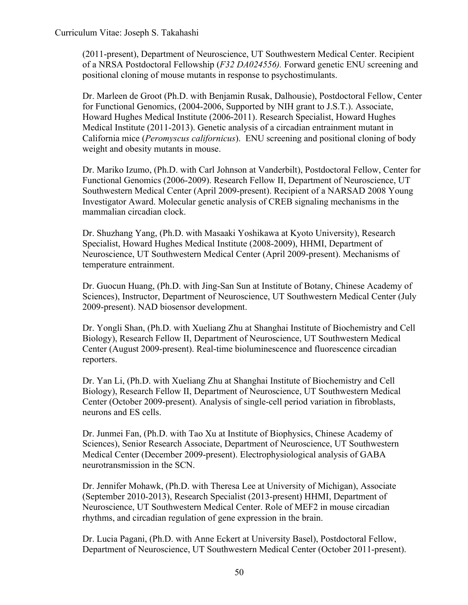(2011-present), Department of Neuroscience, UT Southwestern Medical Center. Recipient of a NRSA Postdoctoral Fellowship (*F32 DA024556).* Forward genetic ENU screening and positional cloning of mouse mutants in response to psychostimulants.

Dr. Marleen de Groot (Ph.D. with Benjamin Rusak, Dalhousie), Postdoctoral Fellow, Center for Functional Genomics, (2004-2006, Supported by NIH grant to J.S.T.). Associate, Howard Hughes Medical Institute (2006-2011). Research Specialist, Howard Hughes Medical Institute (2011-2013). Genetic analysis of a circadian entrainment mutant in California mice (*Peromyscus californicus*). ENU screening and positional cloning of body weight and obesity mutants in mouse.

Dr. Mariko Izumo, (Ph.D. with Carl Johnson at Vanderbilt), Postdoctoral Fellow, Center for Functional Genomics (2006-2009). Research Fellow II, Department of Neuroscience, UT Southwestern Medical Center (April 2009-present). Recipient of a NARSAD 2008 Young Investigator Award. Molecular genetic analysis of CREB signaling mechanisms in the mammalian circadian clock.

Dr. Shuzhang Yang, (Ph.D. with Masaaki Yoshikawa at Kyoto University), Research Specialist, Howard Hughes Medical Institute (2008-2009), HHMI, Department of Neuroscience, UT Southwestern Medical Center (April 2009-present). Mechanisms of temperature entrainment.

Dr. Guocun Huang, (Ph.D. with Jing-San Sun at Institute of Botany, Chinese Academy of Sciences), Instructor, Department of Neuroscience, UT Southwestern Medical Center (July 2009-present). NAD biosensor development.

Dr. Yongli Shan, (Ph.D. with Xueliang Zhu at Shanghai Institute of Biochemistry and Cell Biology), Research Fellow II, Department of Neuroscience, UT Southwestern Medical Center (August 2009-present). Real-time bioluminescence and fluorescence circadian reporters.

Dr. Yan Li, (Ph.D. with Xueliang Zhu at Shanghai Institute of Biochemistry and Cell Biology), Research Fellow II, Department of Neuroscience, UT Southwestern Medical Center (October 2009-present). Analysis of single-cell period variation in fibroblasts, neurons and ES cells.

Dr. Junmei Fan, (Ph.D. with Tao Xu at Institute of Biophysics, Chinese Academy of Sciences), Senior Research Associate, Department of Neuroscience, UT Southwestern Medical Center (December 2009-present). Electrophysiological analysis of GABA neurotransmission in the SCN.

Dr. Jennifer Mohawk, (Ph.D. with Theresa Lee at University of Michigan), Associate (September 2010-2013), Research Specialist (2013-present) HHMI, Department of Neuroscience, UT Southwestern Medical Center. Role of MEF2 in mouse circadian rhythms, and circadian regulation of gene expression in the brain.

Dr. Lucia Pagani, (Ph.D. with Anne Eckert at University Basel), Postdoctoral Fellow, Department of Neuroscience, UT Southwestern Medical Center (October 2011-present).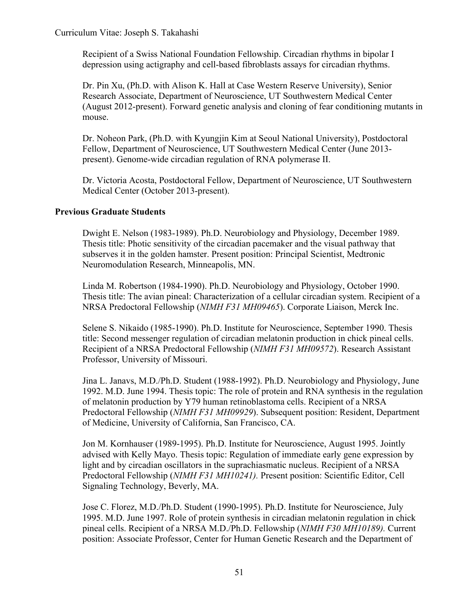Recipient of a Swiss National Foundation Fellowship. Circadian rhythms in bipolar I depression using actigraphy and cell-based fibroblasts assays for circadian rhythms.

Dr. Pin Xu, (Ph.D. with Alison K. Hall at Case Western Reserve University), Senior Research Associate, Department of Neuroscience, UT Southwestern Medical Center (August 2012-present). Forward genetic analysis and cloning of fear conditioning mutants in mouse.

Dr. Noheon Park, (Ph.D. with Kyungjin Kim at Seoul National University), Postdoctoral Fellow, Department of Neuroscience, UT Southwestern Medical Center (June 2013 present). Genome-wide circadian regulation of RNA polymerase II.

Dr. Victoria Acosta, Postdoctoral Fellow, Department of Neuroscience, UT Southwestern Medical Center (October 2013-present).

## **Previous Graduate Students**

Dwight E. Nelson (1983-1989). Ph.D. Neurobiology and Physiology, December 1989. Thesis title: Photic sensitivity of the circadian pacemaker and the visual pathway that subserves it in the golden hamster. Present position: Principal Scientist, Medtronic Neuromodulation Research, Minneapolis, MN.

Linda M. Robertson (1984-1990). Ph.D. Neurobiology and Physiology, October 1990. Thesis title: The avian pineal: Characterization of a cellular circadian system. Recipient of a NRSA Predoctoral Fellowship (*NIMH F31 MH09465*). Corporate Liaison, Merck Inc.

Selene S. Nikaido (1985-1990). Ph.D. Institute for Neuroscience, September 1990. Thesis title: Second messenger regulation of circadian melatonin production in chick pineal cells. Recipient of a NRSA Predoctoral Fellowship (*NIMH F31 MH09572*). Research Assistant Professor, University of Missouri.

Jina L. Janavs, M.D./Ph.D. Student (1988-1992). Ph.D. Neurobiology and Physiology, June 1992. M.D. June 1994. Thesis topic: The role of protein and RNA synthesis in the regulation of melatonin production by Y79 human retinoblastoma cells. Recipient of a NRSA Predoctoral Fellowship (*NIMH F31 MH09929*). Subsequent position: Resident, Department of Medicine, University of California, San Francisco, CA.

Jon M. Kornhauser (1989-1995). Ph.D. Institute for Neuroscience, August 1995. Jointly advised with Kelly Mayo. Thesis topic: Regulation of immediate early gene expression by light and by circadian oscillators in the suprachiasmatic nucleus. Recipient of a NRSA Predoctoral Fellowship (*NIMH F31 MH10241).* Present position: Scientific Editor, Cell Signaling Technology, Beverly, MA.

Jose C. Florez, M.D./Ph.D. Student (1990-1995). Ph.D. Institute for Neuroscience, July 1995. M.D. June 1997. Role of protein synthesis in circadian melatonin regulation in chick pineal cells. Recipient of a NRSA M.D./Ph.D. Fellowship (*NIMH F30 MH10189).* Current position: Associate Professor, Center for Human Genetic Research and the Department of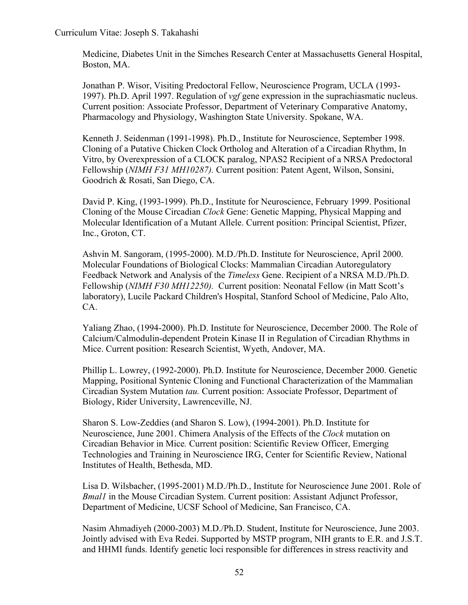Medicine, Diabetes Unit in the Simches Research Center at Massachusetts General Hospital, Boston, MA.

Jonathan P. Wisor, Visiting Predoctoral Fellow, Neuroscience Program, UCLA (1993- 1997). Ph.D. April 1997. Regulation of *vgf* gene expression in the suprachiasmatic nucleus. Current position: Associate Professor, Department of Veterinary Comparative Anatomy, Pharmacology and Physiology, Washington State University. Spokane, WA.

Kenneth J. Seidenman (1991-1998). Ph.D., Institute for Neuroscience, September 1998. Cloning of a Putative Chicken Clock Ortholog and Alteration of a Circadian Rhythm, In Vitro, by Overexpression of a CLOCK paralog, NPAS2 Recipient of a NRSA Predoctoral Fellowship (*NIMH F31 MH10287).* Current position: Patent Agent, Wilson, Sonsini, Goodrich & Rosati, San Diego, CA.

David P. King, (1993-1999). Ph.D., Institute for Neuroscience, February 1999. Positional Cloning of the Mouse Circadian *Clock* Gene: Genetic Mapping, Physical Mapping and Molecular Identification of a Mutant Allele. Current position: Principal Scientist, Pfizer, Inc., Groton, CT.

Ashvin M. Sangoram, (1995-2000). M.D./Ph.D. Institute for Neuroscience, April 2000. Molecular Foundations of Biological Clocks: Mammalian Circadian Autoregulatory Feedback Network and Analysis of the *Timeless* Gene. Recipient of a NRSA M.D./Ph.D. Fellowship (*NIMH F30 MH12250).* Current position: Neonatal Fellow (in Matt Scott's laboratory), Lucile Packard Children's Hospital, Stanford School of Medicine, Palo Alto, CA.

Yaliang Zhao, (1994-2000). Ph.D. Institute for Neuroscience, December 2000. The Role of Calcium/Calmodulin-dependent Protein Kinase II in Regulation of Circadian Rhythms in Mice. Current position: Research Scientist, Wyeth, Andover, MA.

Phillip L. Lowrey, (1992-2000). Ph.D. Institute for Neuroscience, December 2000. Genetic Mapping, Positional Syntenic Cloning and Functional Characterization of the Mammalian Circadian System Mutation *tau.* Current position: Associate Professor, Department of Biology, Rider University, Lawrenceville, NJ.

Sharon S. Low-Zeddies (and Sharon S. Low), (1994-2001). Ph.D. Institute for Neuroscience, June 2001. Chimera Analysis of the Effects of the *Clock* mutation on Circadian Behavior in Mice*.* Current position: Scientific Review Officer, Emerging Technologies and Training in Neuroscience IRG, Center for Scientific Review, National Institutes of Health, Bethesda, MD.

Lisa D. Wilsbacher, (1995-2001) M.D./Ph.D., Institute for Neuroscience June 2001. Role of *Bmal1* in the Mouse Circadian System. Current position: Assistant Adjunct Professor, Department of Medicine, UCSF School of Medicine, San Francisco, CA.

Nasim Ahmadiyeh (2000-2003) M.D./Ph.D. Student, Institute for Neuroscience, June 2003. Jointly advised with Eva Redei. Supported by MSTP program, NIH grants to E.R. and J.S.T. and HHMI funds. Identify genetic loci responsible for differences in stress reactivity and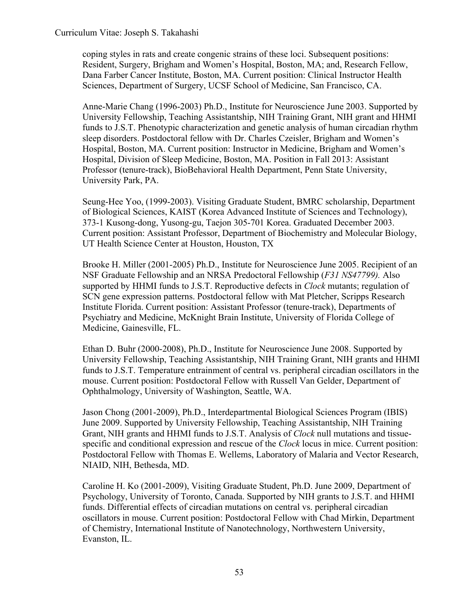coping styles in rats and create congenic strains of these loci. Subsequent positions: Resident, Surgery, Brigham and Women's Hospital, Boston, MA; and, Research Fellow, Dana Farber Cancer Institute, Boston, MA. Current position: Clinical Instructor Health Sciences, Department of Surgery, UCSF School of Medicine, San Francisco, CA.

Anne-Marie Chang (1996-2003) Ph.D., Institute for Neuroscience June 2003. Supported by University Fellowship, Teaching Assistantship, NIH Training Grant, NIH grant and HHMI funds to J.S.T. Phenotypic characterization and genetic analysis of human circadian rhythm sleep disorders. Postdoctoral fellow with Dr. Charles Czeisler, Brigham and Women's Hospital, Boston, MA. Current position: Instructor in Medicine, Brigham and Women's Hospital, Division of Sleep Medicine, Boston, MA. Position in Fall 2013: Assistant Professor (tenure-track), BioBehavioral Health Department, Penn State University, University Park, PA.

Seung-Hee Yoo, (1999-2003). Visiting Graduate Student, BMRC scholarship, Department of Biological Sciences, KAIST (Korea Advanced Institute of Sciences and Technology), 373-1 Kusong-dong, Yusong-gu, Taejon 305-701 Korea. Graduated December 2003. Current position: Assistant Professor, Department of Biochemistry and Molecular Biology, UT Health Science Center at Houston, Houston, TX

Brooke H. Miller (2001-2005) Ph.D., Institute for Neuroscience June 2005. Recipient of an NSF Graduate Fellowship and an NRSA Predoctoral Fellowship (*F31 NS47799).* Also supported by HHMI funds to J.S.T. Reproductive defects in *Clock* mutants; regulation of SCN gene expression patterns. Postdoctoral fellow with Mat Pletcher, Scripps Research Institute Florida. Current position: Assistant Professor (tenure-track), Departments of Psychiatry and Medicine, McKnight Brain Institute, University of Florida College of Medicine, Gainesville, FL.

Ethan D. Buhr (2000-2008), Ph.D., Institute for Neuroscience June 2008. Supported by University Fellowship, Teaching Assistantship, NIH Training Grant, NIH grants and HHMI funds to J.S.T. Temperature entrainment of central vs. peripheral circadian oscillators in the mouse. Current position: Postdoctoral Fellow with Russell Van Gelder, Department of Ophthalmology, University of Washington, Seattle, WA.

Jason Chong (2001-2009), Ph.D., Interdepartmental Biological Sciences Program (IBIS) June 2009. Supported by University Fellowship, Teaching Assistantship, NIH Training Grant, NIH grants and HHMI funds to J.S.T. Analysis of *Clock* null mutations and tissuespecific and conditional expression and rescue of the *Clock* locus in mice. Current position: Postdoctoral Fellow with Thomas E. Wellems, Laboratory of Malaria and Vector Research, NIAID, NIH, Bethesda, MD.

Caroline H. Ko (2001-2009), Visiting Graduate Student, Ph.D. June 2009, Department of Psychology, University of Toronto, Canada. Supported by NIH grants to J.S.T. and HHMI funds. Differential effects of circadian mutations on central vs. peripheral circadian oscillators in mouse. Current position: Postdoctoral Fellow with Chad Mirkin, Department of Chemistry, International Institute of Nanotechnology, Northwestern University, Evanston, IL.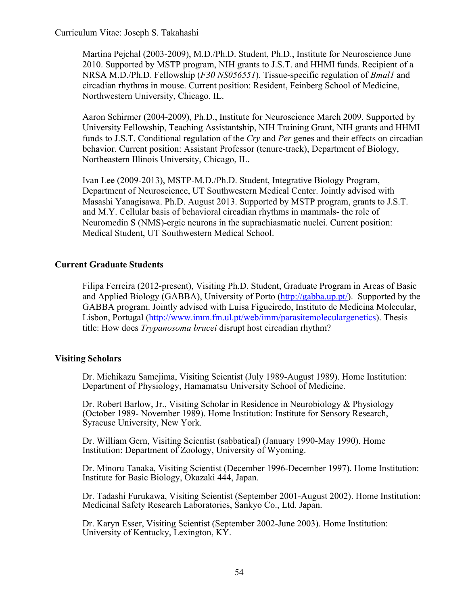Martina Pejchal (2003-2009), M.D./Ph.D. Student, Ph.D., Institute for Neuroscience June 2010. Supported by MSTP program, NIH grants to J.S.T. and HHMI funds. Recipient of a NRSA M.D./Ph.D. Fellowship (*F30 NS056551*). Tissue-specific regulation of *Bmal1* and circadian rhythms in mouse. Current position: Resident, Feinberg School of Medicine, Northwestern University, Chicago. IL.

Aaron Schirmer (2004-2009), Ph.D., Institute for Neuroscience March 2009. Supported by University Fellowship, Teaching Assistantship, NIH Training Grant, NIH grants and HHMI funds to J.S.T. Conditional regulation of the *Cry* and *Per* genes and their effects on circadian behavior. Current position: Assistant Professor (tenure-track), Department of Biology, Northeastern Illinois University, Chicago, IL.

Ivan Lee (2009-2013), MSTP-M.D./Ph.D. Student, Integrative Biology Program, Department of Neuroscience, UT Southwestern Medical Center. Jointly advised with Masashi Yanagisawa. Ph.D. August 2013. Supported by MSTP program, grants to J.S.T. and M.Y. Cellular basis of behavioral circadian rhythms in mammals- the role of Neuromedin S (NMS)-ergic neurons in the suprachiasmatic nuclei. Current position: Medical Student, UT Southwestern Medical School.

## **Current Graduate Students**

Filipa Ferreira (2012-present), Visiting Ph.D. Student, Graduate Program in Areas of Basic and Applied Biology (GABBA), University of Porto (http://gabba.up.pt/). Supported by the GABBA program. Jointly advised with Luisa Figueiredo, Instituto de Medicina Molecular, Lisbon, Portugal (http://www.imm.fm.ul.pt/web/imm/parasitemoleculargenetics). Thesis title: How does *Trypanosoma brucei* disrupt host circadian rhythm?

## **Visiting Scholars**

Dr. Michikazu Samejima, Visiting Scientist (July 1989-August 1989). Home Institution: Department of Physiology, Hamamatsu University School of Medicine.

Dr. Robert Barlow, Jr., Visiting Scholar in Residence in Neurobiology & Physiology (October 1989- November 1989). Home Institution: Institute for Sensory Research, Syracuse University, New York.

Dr. William Gern, Visiting Scientist (sabbatical) (January 1990-May 1990). Home Institution: Department of Zoology, University of Wyoming.

Dr. Minoru Tanaka, Visiting Scientist (December 1996-December 1997). Home Institution: Institute for Basic Biology, Okazaki 444, Japan.

Dr. Tadashi Furukawa, Visiting Scientist (September 2001-August 2002). Home Institution: Medicinal Safety Research Laboratories, Sankyo Co., Ltd. Japan.

Dr. Karyn Esser, Visiting Scientist (September 2002-June 2003). Home Institution: University of Kentucky, Lexington, KY.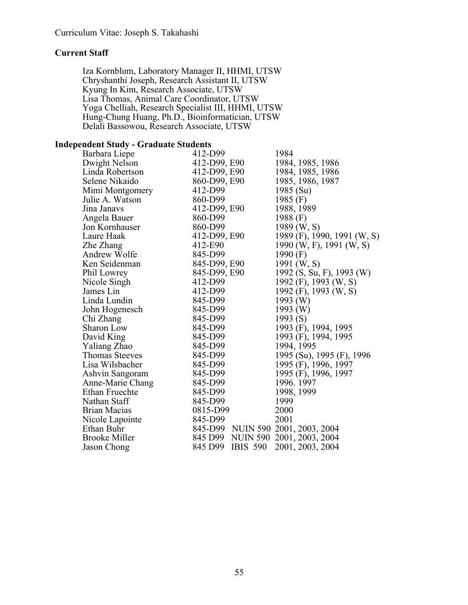## **Current Staff**

Iza Kornblum, Laboratory Manager II, HHMI, UTSW Chryshanthi Joseph, Research Assistant II, UTSW Kyung In Kim, Research Associate, UTSW Lisa Thomas, Animal Care Coordinator, UTSW Yoga Chelliah, Research Specialist III, HHMI, UTSW Hung-Chung Huang, Ph.D., Bioinformatician, UTSW Delali Bassowou, Research Associate, UTSW

## **Independent Study - Graduate Students**

| Barbara Liepe         | 412-D99      |                 | 1984                              |
|-----------------------|--------------|-----------------|-----------------------------------|
| Dwight Nelson         | 412-D99, E90 |                 | 1984, 1985, 1986                  |
| Linda Robertson       | 412-D99, E90 |                 | 1984, 1985, 1986                  |
| Selene Nikaido        | 860-D99, E90 |                 | 1985, 1986, 1987                  |
| Mimi Montgomery       | 412-D99      |                 | 1985 (Su)                         |
| Julie A. Watson       | 860-D99      |                 | 1985 $(F)$                        |
| Jina Janavs           | 412-D99, E90 |                 | 1988, 1989                        |
| Angela Bauer          | 860-D99      |                 | 1988 $(F)$                        |
| Jon Kornhauser        | 860-D99      |                 | $1989 \, (W, S)$                  |
| Laure Haak            | 412-D99, E90 |                 | 1989 (F), 1990, 1991 (W, S)       |
| Zhe Zhang             | 412-E90      |                 | 1990 (W, F), 1991 (W, S)          |
| Andrew Wolfe          | 845-D99      |                 | 1990 $(F)$                        |
| Ken Seidenman         | 845-D99, E90 |                 | 1991 $(W, S)$                     |
| Phil Lowrey           | 845-D99, E90 |                 | 1992 (S, Su, F), 1993 (W)         |
| Nicole Singh          | 412-D99      |                 | 1992 (F), 1993 (W, S)             |
| James Lin             | 412-D99      |                 | 1992 (F), 1993 (W, S)             |
| Linda Lundin          | 845-D99      |                 | $1993 \, (W)$                     |
| John Hogenesch        | 845-D99      |                 | $1993$ (W)                        |
| Chi Zhang             | 845-D99      |                 | 1993 $(S)$                        |
| Sharon Low            | 845-D99      |                 | 1993 (F), 1994, 1995              |
| David King            | 845-D99      |                 | 1993 (F), 1994, 1995              |
| Yaliang Zhao          | 845-D99      |                 | 1994, 1995                        |
| <b>Thomas Steeves</b> | 845-D99      |                 | 1995 (Su), 1995 (F), 1996         |
| Lisa Wilsbacher       | 845-D99      |                 | 1995 (F), 1996, 1997              |
| Ashvin Sangoram       | 845-D99      |                 | 1995 (F), 1996, 1997              |
| Anne-Marie Chang      | 845-D99      |                 | 1996. 1997                        |
| Ethan Fruechte        | 845-D99      |                 | 1998, 1999                        |
| Nathan Staff          | 845-D99      |                 | 1999                              |
| Brian Macias          | 0815-D99     |                 | 2000                              |
| Nicole Lapointe       | 845-D99      |                 | 2001                              |
| Ethan Buhr            |              |                 | 845-D99 NUIN 590 2001, 2003, 2004 |
| <b>Brooke Miller</b>  |              |                 | 845 D99 NUIN 590 2001, 2003, 2004 |
| Jason Chong           | 845 D99      | <b>IBIS 590</b> | 2001, 2003, 2004                  |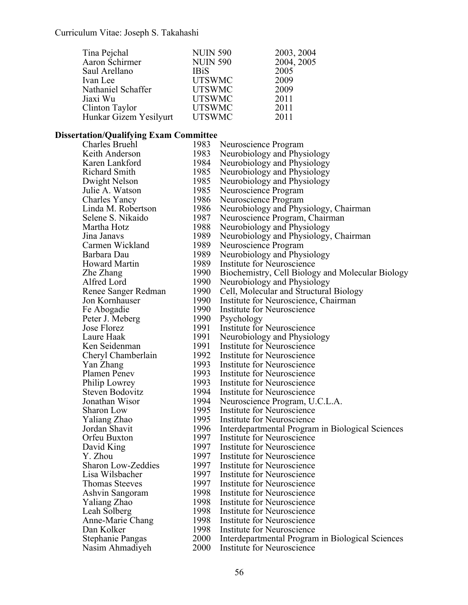| Tina Pejchal           | <b>NUIN 590</b> | 2003, 2004 |
|------------------------|-----------------|------------|
| Aaron Schirmer         | <b>NUIN 590</b> | 2004, 2005 |
| Saul Arellano          | <b>IBiS</b>     | 2005       |
| Ivan Lee               | <b>UTSWMC</b>   | 2009       |
| Nathaniel Schaffer     | <b>UTSWMC</b>   | 2009       |
| Jiaxi Wu               | <b>UTSWMC</b>   | 2011       |
| Clinton Taylor         | <b>UTSWMC</b>   | 2011       |
| Hunkar Gizem Yesilyurt | <b>UTSWMC</b>   | 2011       |

# **Dissertation/Qualifying Exam Committee**

| <b>Charles Bruehl</b> | 1983                                                                                                                                                                                                                                                                                                                                                                                                                                               | Neuroscience Program                                                                                                         |
|-----------------------|----------------------------------------------------------------------------------------------------------------------------------------------------------------------------------------------------------------------------------------------------------------------------------------------------------------------------------------------------------------------------------------------------------------------------------------------------|------------------------------------------------------------------------------------------------------------------------------|
| Keith Anderson        | 1983                                                                                                                                                                                                                                                                                                                                                                                                                                               | Neurobiology and Physiology                                                                                                  |
| Karen Lankford        | 1984                                                                                                                                                                                                                                                                                                                                                                                                                                               | Neurobiology and Physiology                                                                                                  |
| Richard Smith         | 1985                                                                                                                                                                                                                                                                                                                                                                                                                                               | Neurobiology and Physiology                                                                                                  |
|                       | 1985                                                                                                                                                                                                                                                                                                                                                                                                                                               | Neurobiology and Physiology                                                                                                  |
| Julie A. Watson       | 1985                                                                                                                                                                                                                                                                                                                                                                                                                                               | Neuroscience Program                                                                                                         |
|                       | 1986                                                                                                                                                                                                                                                                                                                                                                                                                                               | Neuroscience Program                                                                                                         |
| Linda M. Robertson    | 1986                                                                                                                                                                                                                                                                                                                                                                                                                                               | Neurobiology and Physiology, Chairman                                                                                        |
| Selene S. Nikaido     | 1987                                                                                                                                                                                                                                                                                                                                                                                                                                               | Neuroscience Program, Chairman                                                                                               |
| Martha Hotz           | 1988                                                                                                                                                                                                                                                                                                                                                                                                                                               | Neurobiology and Physiology                                                                                                  |
| Jina Janavs           | 1989                                                                                                                                                                                                                                                                                                                                                                                                                                               | Neurobiology and Physiology, Chairman                                                                                        |
|                       |                                                                                                                                                                                                                                                                                                                                                                                                                                                    | Neuroscience Program                                                                                                         |
| Barbara Dau           | 1989                                                                                                                                                                                                                                                                                                                                                                                                                                               | Neurobiology and Physiology                                                                                                  |
|                       | 1989                                                                                                                                                                                                                                                                                                                                                                                                                                               | Institute for Neuroscience                                                                                                   |
|                       | 1990                                                                                                                                                                                                                                                                                                                                                                                                                                               | Biochemistry, Cell Biology and Molecular Biology                                                                             |
| Alfred Lord           | 1990                                                                                                                                                                                                                                                                                                                                                                                                                                               | Neurobiology and Physiology                                                                                                  |
|                       | 1990                                                                                                                                                                                                                                                                                                                                                                                                                                               | Cell, Molecular and Structural Biology                                                                                       |
| Jon Kornhauser        | 1990                                                                                                                                                                                                                                                                                                                                                                                                                                               | Institute for Neuroscience, Chairman                                                                                         |
|                       | 1990                                                                                                                                                                                                                                                                                                                                                                                                                                               | Institute for Neuroscience                                                                                                   |
|                       | 1990                                                                                                                                                                                                                                                                                                                                                                                                                                               | Psychology                                                                                                                   |
| Jose Florez           | 1991                                                                                                                                                                                                                                                                                                                                                                                                                                               | Institute for Neuroscience                                                                                                   |
| Laure Haak            | 1991                                                                                                                                                                                                                                                                                                                                                                                                                                               | Neurobiology and Physiology                                                                                                  |
| Ken Seidenman         | 1991                                                                                                                                                                                                                                                                                                                                                                                                                                               | Institute for Neuroscience                                                                                                   |
|                       | 1992                                                                                                                                                                                                                                                                                                                                                                                                                                               | Institute for Neuroscience                                                                                                   |
| Yan Zhang             | 1993                                                                                                                                                                                                                                                                                                                                                                                                                                               | Institute for Neuroscience                                                                                                   |
| Plamen Penev          | 1993                                                                                                                                                                                                                                                                                                                                                                                                                                               | Institute for Neuroscience                                                                                                   |
| Philip Lowrey         | 1993                                                                                                                                                                                                                                                                                                                                                                                                                                               | Institute for Neuroscience                                                                                                   |
| Steven Bodovitz       | 1994                                                                                                                                                                                                                                                                                                                                                                                                                                               | Institute for Neuroscience                                                                                                   |
| Jonathan Wisor        | 1994                                                                                                                                                                                                                                                                                                                                                                                                                                               | Neuroscience Program, U.C.L.A.                                                                                               |
|                       |                                                                                                                                                                                                                                                                                                                                                                                                                                                    | Institute for Neuroscience                                                                                                   |
| Yaliang Zhao          |                                                                                                                                                                                                                                                                                                                                                                                                                                                    | Institute for Neuroscience                                                                                                   |
|                       |                                                                                                                                                                                                                                                                                                                                                                                                                                                    | Interdepartmental Program in Biological Sciences                                                                             |
|                       |                                                                                                                                                                                                                                                                                                                                                                                                                                                    | Institute for Neuroscience                                                                                                   |
|                       |                                                                                                                                                                                                                                                                                                                                                                                                                                                    | Institute for Neuroscience                                                                                                   |
|                       |                                                                                                                                                                                                                                                                                                                                                                                                                                                    | Institute for Neuroscience                                                                                                   |
|                       |                                                                                                                                                                                                                                                                                                                                                                                                                                                    | Institute for Neuroscience                                                                                                   |
|                       |                                                                                                                                                                                                                                                                                                                                                                                                                                                    | Institute for Neuroscience                                                                                                   |
|                       |                                                                                                                                                                                                                                                                                                                                                                                                                                                    | 1997 Institute for Neuroscience                                                                                              |
|                       |                                                                                                                                                                                                                                                                                                                                                                                                                                                    | Institute for Neuroscience                                                                                                   |
|                       |                                                                                                                                                                                                                                                                                                                                                                                                                                                    | Institute for Neuroscience                                                                                                   |
|                       |                                                                                                                                                                                                                                                                                                                                                                                                                                                    | Institute for Neuroscience                                                                                                   |
|                       |                                                                                                                                                                                                                                                                                                                                                                                                                                                    | Institute for Neuroscience                                                                                                   |
|                       |                                                                                                                                                                                                                                                                                                                                                                                                                                                    | Institute for Neuroscience                                                                                                   |
|                       |                                                                                                                                                                                                                                                                                                                                                                                                                                                    | Interdepartmental Program in Biological Sciences                                                                             |
|                       |                                                                                                                                                                                                                                                                                                                                                                                                                                                    | Institute for Neuroscience                                                                                                   |
|                       | Dwight Nelson<br>Charles Yancy<br>Carmen Wickland<br><b>Howard Martin</b><br>Zhe Zhang<br>Renee Sanger Redman<br>Fe Abogadie<br>Peter J. Meberg<br>Cheryl Chamberlain<br>Sharon Low<br>Jordan Shavit<br>Orfeu Buxton<br>David King<br>Y. Zhou<br>Sharon Low-Zeddies<br>Lisa Wilsbacher<br><b>Thomas Steeves</b><br>Ashvin Sangoram<br>Yaliang Zhao<br>Leah Solberg<br>Anne-Marie Chang<br>Dan Kolker<br><b>Stephanie Pangas</b><br>Nasim Ahmadiyeh | 1989<br>1995<br>1995<br>1996<br>1997<br>1997<br>1997<br>1997<br>1997<br>1998<br>1998<br>1998<br>1998<br>1998<br>2000<br>2000 |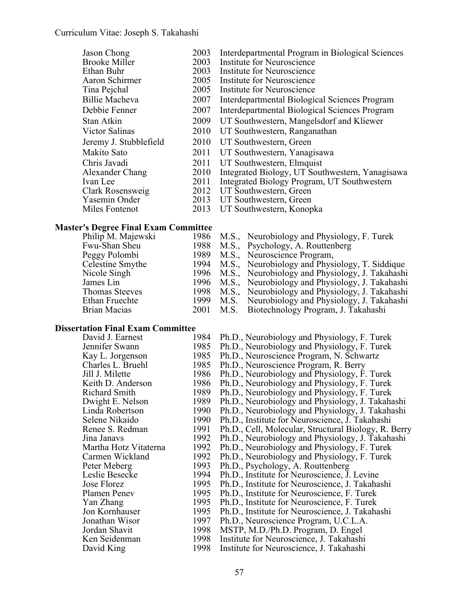| Jason Chong            | 2003 | Interdepartmental Program in Biological Sciences |  |
|------------------------|------|--------------------------------------------------|--|
| <b>Brooke Miller</b>   | 2003 | Institute for Neuroscience                       |  |
| Ethan Buhr             | 2003 | Institute for Neuroscience                       |  |
| Aaron Schirmer         | 2005 | Institute for Neuroscience                       |  |
| Tina Pejchal           | 2005 | Institute for Neuroscience                       |  |
| <b>Billie Macheva</b>  | 2007 | Interdepartmental Biological Sciences Program    |  |
| Debbie Fenner          | 2007 | Interdepartmental Biological Sciences Program    |  |
| Stan Atkin             | 2009 | UT Southwestern, Mangelsdorf and Kliewer         |  |
| Victor Salinas         | 2010 | UT Southwestern, Ranganathan                     |  |
| Jeremy J. Stubblefield | 2010 | UT Southwestern, Green                           |  |
| Makito Sato            | 2011 | UT Southwestern, Yanagisawa                      |  |
| Chris Javadi           | 2011 | UT Southwestern, Elmquist                        |  |
| Alexander Chang        | 2010 | Integrated Biology, UT Southwestern, Yanagisawa  |  |
| Ivan Lee               | 2011 | Integrated Biology Program, UT Southwestern      |  |
| Clark Rosensweig       | 2012 | UT Southwestern, Green                           |  |
| Yasemin Onder          | 2013 | UT Southwestern, Green                           |  |
| Miles Fontenot         | 2013 | UT Southwestern, Konopka                         |  |

## **Master's Degree Final Exam Committee**

| Philip M. Majewski    |      | 1986 M.S., Neurobiology and Physiology, F. Turek     |
|-----------------------|------|------------------------------------------------------|
| Fwu-Shan Sheu         |      | 1988 M.S., Psychology, A. Routtenberg                |
| Peggy Polombi         |      | 1989 M.S., Neuroscience Program,                     |
| Celestine Smythe      |      | 1994 M.S., Neurobiology and Physiology, T. Siddique  |
| Nicole Singh          |      | 1996 M.S., Neurobiology and Physiology, J. Takahashi |
| James Lin             |      | 1996 M.S., Neurobiology and Physiology, J. Takahashi |
| <b>Thomas Steeves</b> |      | 1998 M.S., Neurobiology and Physiology, J. Takahashi |
| Ethan Fruechte        | 1999 | M.S. Neurobiology and Physiology, J. Takahashi       |
| <b>Brian Macias</b>   |      | 2001 M.S. Biotechnology Program, J. Takahashi        |

## **Dissertation Final Exam Committee**

| David J. Earnest      | 1984 | Ph.D., Neurobiology and Physiology, F. Turek         |
|-----------------------|------|------------------------------------------------------|
| Jennifer Swann        | 1985 | Ph.D., Neurobiology and Physiology, F. Turek         |
| Kay L. Jorgenson      | 1985 | Ph.D., Neuroscience Program, N. Schwartz             |
| Charles L. Bruehl     | 1985 | Ph.D., Neuroscience Program, R. Berry                |
| Jill J. Milette       | 1986 | Ph.D., Neurobiology and Physiology, F. Turek         |
| Keith D. Anderson     | 1986 | Ph.D., Neurobiology and Physiology, F. Turek         |
| <b>Richard Smith</b>  | 1989 | Ph.D., Neurobiology and Physiology, F. Turek         |
| Dwight E. Nelson      | 1989 | Ph.D., Neurobiology and Physiology, J. Takahashi     |
| Linda Robertson       | 1990 | Ph.D., Neurobiology and Physiology, J. Takahashi     |
| Selene Nikaido        | 1990 | Ph.D., Institute for Neuroscience, J. Takahashi      |
| Renee S. Redman       | 1991 | Ph.D., Cell, Molecular, Structural Biology, R. Berry |
| Jina Janavs           | 1992 | Ph.D., Neurobiology and Physiology, J. Takahashi     |
| Martha Hotz Vitaterna | 1992 | Ph.D., Neurobiology and Physiology, F. Turek         |
| Carmen Wickland       | 1992 | Ph.D., Neurobiology and Physiology, F. Turek         |
| Peter Meberg          | 1993 | Ph.D., Psychology, A. Routtenberg                    |
| Leslie Besecke        | 1994 | Ph.D., Institute for Neuroscience, J. Levine         |
| Jose Florez           | 1995 | Ph.D., Institute for Neuroscience, J. Takahashi      |
| Plamen Penev          | 1995 | Ph.D., Institute for Neuroscience, F. Turek          |
| Yan Zhang             | 1995 | Ph.D., Institute for Neuroscience, F. Turek          |
| Jon Kornhauser        | 1995 | Ph.D., Institute for Neuroscience, J. Takahashi      |
| Jonathan Wisor        | 1997 | Ph.D., Neuroscience Program, U.C.L.A.                |
| Jordan Shavit         | 1998 | MSTP, M.D./Ph.D. Program, D. Engel                   |
| Ken Seidenman         | 1998 | Institute for Neuroscience, J. Takahashi             |
| David King            | 1998 | Institute for Neuroscience, J. Takahashi             |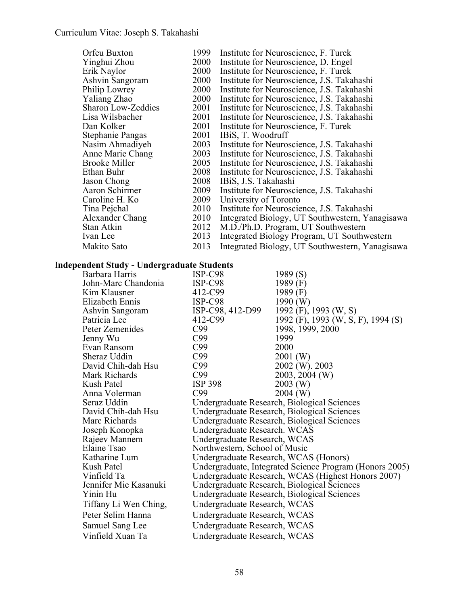| Orfeu Buxton         | 1999 | Institute for Neuroscience, F. Turek            |
|----------------------|------|-------------------------------------------------|
| Yinghui Zhou         | 2000 | Institute for Neuroscience, D. Engel            |
| Erik Naylor          | 2000 | Institute for Neuroscience, F. Turek            |
| Ashvin Sangoram      | 2000 | Institute for Neuroscience, J.S. Takahashi      |
| Philip Lowrey        | 2000 | Institute for Neuroscience, J.S. Takahashi      |
| Yaliang Zhao         | 2000 | Institute for Neuroscience, J.S. Takahashi      |
| Sharon Low-Zeddies   | 2001 | Institute for Neuroscience, J.S. Takahashi      |
| Lisa Wilsbacher      | 2001 | Institute for Neuroscience, J.S. Takahashi      |
| Dan Kolker           | 2001 | Institute for Neuroscience, F. Turek            |
| Stephanie Pangas     | 2001 | IBiS, T. Woodruff                               |
| Nasim Ahmadiyeh      | 2003 | Institute for Neuroscience, J.S. Takahashi      |
| Anne Marie Chang     | 2003 | Institute for Neuroscience, J.S. Takahashi      |
| <b>Brooke Miller</b> | 2005 | Institute for Neuroscience, J.S. Takahashi      |
| Ethan Buhr           | 2008 | Institute for Neuroscience, J.S. Takahashi      |
| Jason Chong          | 2008 | IBiS, J.S. Takahashi                            |
| Aaron Schirmer       | 2009 | Institute for Neuroscience, J.S. Takahashi      |
| Caroline H. Ko       | 2009 | University of Toronto                           |
| Tina Pejchal         | 2010 | Institute for Neuroscience, J.S. Takahashi      |
| Alexander Chang      | 2010 | Integrated Biology, UT Southwestern, Yanagisawa |
| Stan Atkin           | 2012 | M.D./Ph.D. Program, UT Southwestern             |
| Ivan Lee             | 2013 | Integrated Biology Program, UT Southwestern     |
| Makito Sato          | 2013 | Integrated Biology, UT Southwestern, Yanagisawa |
|                      |      |                                                 |

# I**ndependent Study - Undergraduate Students**

| ISP-C98                               | 1989(S)                                                 |
|---------------------------------------|---------------------------------------------------------|
| $ISP-C98$                             | 1989 $(F)$                                              |
| 412-C99                               | 1989 $(F)$                                              |
| ISP-C98                               | 1990 $(W)$                                              |
|                                       | 1992 (F), 1993 (W, S)                                   |
| 412-C99                               | 1992 (F), 1993 (W, S, F), 1994 (S)                      |
| C99                                   | 1998, 1999, 2000                                        |
| C99                                   | 1999                                                    |
| C99                                   | 2000                                                    |
| C99                                   | 2001 (W)                                                |
| C99                                   | 2002 (W). 2003                                          |
| C99                                   | 2003, 2004 (W)                                          |
| <b>ISP 398</b>                        | $2003$ (W)                                              |
| C99                                   | $2004$ (W)                                              |
|                                       | Undergraduate Research, Biological Sciences             |
|                                       | Undergraduate Research, Biological Sciences             |
|                                       | Undergraduate Research, Biological Sciences             |
| Undergraduate Research. WCAS          |                                                         |
| Undergraduate Research, WCAS          |                                                         |
| Northwestern, School of Music         |                                                         |
| Undergraduate Research, WCAS (Honors) |                                                         |
|                                       | Undergraduate, Integrated Science Program (Honors 2005) |
|                                       | Undergraduate Research, WCAS (Highest Honors 2007)      |
|                                       | Undergraduate Research, Biological Sciences             |
|                                       | Undergraduate Research, Biological Sciences             |
| Undergraduate Research, WCAS          |                                                         |
| Undergraduate Research, WCAS          |                                                         |
| Undergraduate Research, WCAS          |                                                         |
| Undergraduate Research, WCAS          |                                                         |
|                                       | ISP-C98, 412-D99                                        |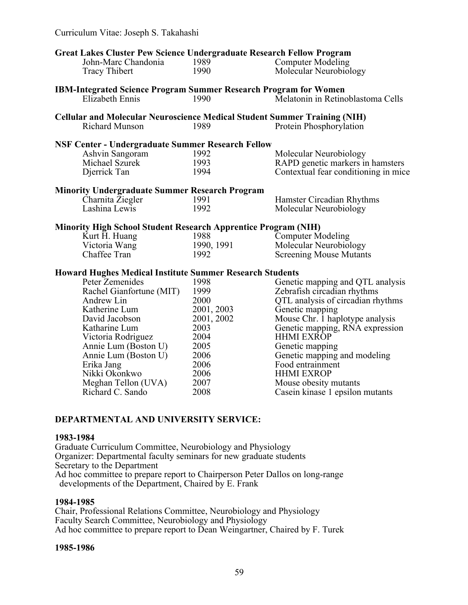| Curriculum Vitae: Joseph S. Takahashi                                                                                       |              |                                                    |  |
|-----------------------------------------------------------------------------------------------------------------------------|--------------|----------------------------------------------------|--|
| <b>Great Lakes Cluster Pew Science Undergraduate Research Fellow Program</b><br>John-Marc Chandonia<br><b>Tracy Thibert</b> | 1989<br>1990 | <b>Computer Modeling</b><br>Molecular Neurobiology |  |
| <b>IBM-Integrated Science Program Summer Research Program for Women</b><br>Elizabeth Ennis                                  | 1990         | Melatonin in Retinoblastoma Cells                  |  |
| <b>Cellular and Molecular Neuroscience Medical Student Summer Training (NIH)</b>                                            |              |                                                    |  |
| <b>Richard Munson</b>                                                                                                       | 1989         | Protein Phosphorylation                            |  |
| <b>NSF Center - Undergraduate Summer Research Fellow</b>                                                                    |              |                                                    |  |
| Ashvin Sangoram                                                                                                             | 1992         | Molecular Neurobiology                             |  |
| Michael Szurek                                                                                                              | 1993         | RAPD genetic markers in hamsters                   |  |
| Djerrick Tan                                                                                                                | 1994         | Contextual fear conditioning in mice               |  |
| <b>Minority Undergraduate Summer Research Program</b>                                                                       |              |                                                    |  |
| Charnita Ziegler                                                                                                            | 1991         | Hamster Circadian Rhythms                          |  |
| Lashina Lewis                                                                                                               | 1992         | Molecular Neurobiology                             |  |
| <b>Minority High School Student Research Apprentice Program (NIH)</b>                                                       |              |                                                    |  |
| Kurt H. Huang                                                                                                               | 1988         | <b>Computer Modeling</b>                           |  |
| Victoria Wang                                                                                                               | 1990, 1991   | Molecular Neurobiology                             |  |
| Chaffee Tran                                                                                                                | 1992         | <b>Screening Mouse Mutants</b>                     |  |
| <b>Howard Hughes Medical Institute Summer Research Students</b>                                                             |              |                                                    |  |
| Peter Zemenides                                                                                                             | 1998         | Genetic mapping and QTL analysis                   |  |
| Rachel Gianfortune (MIT)                                                                                                    | 1999         | Zebrafish circadian rhythms                        |  |
| Andrew Lin                                                                                                                  | 2000         | QTL analysis of circadian rhythms                  |  |
| Katherine Lum                                                                                                               | 2001, 2003   | Genetic mapping                                    |  |
| David Jacobson                                                                                                              | 2001, 2002   | Mouse Chr. 1 haplotype analysis                    |  |
| Katharine Lum                                                                                                               | 2003         | Genetic mapping, RNA expression                    |  |
| Victoria Rodriguez                                                                                                          | 2004         | <b>HHMI EXROP</b>                                  |  |
| Annie Lum (Boston U)                                                                                                        | 2005         | Genetic mapping                                    |  |
| Annie Lum (Boston U)                                                                                                        | 2006         | Genetic mapping and modeling                       |  |
| Erika Jang                                                                                                                  | 2006         | Food entrainment                                   |  |
| Nikki Okonkwo                                                                                                               | 2006         | <b>HHMI EXROP</b>                                  |  |
| Meghan Tellon (UVA)                                                                                                         | 2007         | Mouse obesity mutants                              |  |
| Richard C. Sando                                                                                                            | 2008         | Casein kinase 1 epsilon mutants                    |  |

## **DEPARTMENTAL AND UNIVERSITY SERVICE:**

#### **1983-1984**

Graduate Curriculum Committee, Neurobiology and Physiology Organizer: Departmental faculty seminars for new graduate students Secretary to the Department Ad hoc committee to prepare report to Chairperson Peter Dallos on long-range developments of the Department, Chaired by E. Frank

### **1984-1985**

Chair, Professional Relations Committee, Neurobiology and Physiology Faculty Search Committee, Neurobiology and Physiology Ad hoc committee to prepare report to Dean Weingartner, Chaired by F. Turek

#### **1985-1986**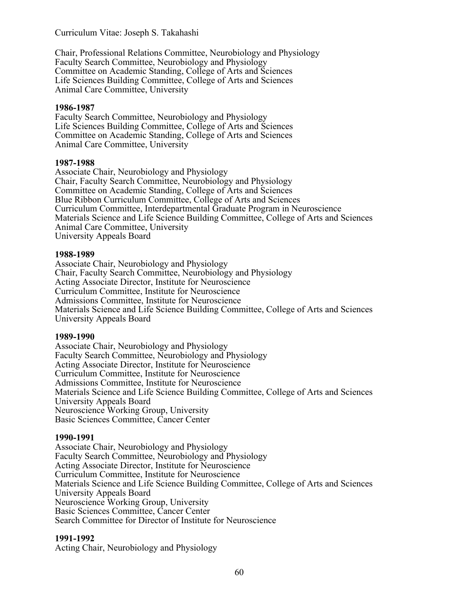Chair, Professional Relations Committee, Neurobiology and Physiology Faculty Search Committee, Neurobiology and Physiology Committee on Academic Standing, College of Arts and Sciences Life Sciences Building Committee, College of Arts and Sciences Animal Care Committee, University

#### **1986-1987**

Faculty Search Committee, Neurobiology and Physiology Life Sciences Building Committee, College of Arts and Sciences Committee on Academic Standing, College of Arts and Sciences Animal Care Committee, University

#### **1987-1988**

Associate Chair, Neurobiology and Physiology Chair, Faculty Search Committee, Neurobiology and Physiology Committee on Academic Standing, College of Arts and Sciences Blue Ribbon Curriculum Committee, College of Arts and Sciences Curriculum Committee, Interdepartmental Graduate Program in Neuroscience Materials Science and Life Science Building Committee, College of Arts and Sciences Animal Care Committee, University University Appeals Board

### **1988-1989**

Associate Chair, Neurobiology and Physiology Chair, Faculty Search Committee, Neurobiology and Physiology Acting Associate Director, Institute for Neuroscience Curriculum Committee, Institute for Neuroscience Admissions Committee, Institute for Neuroscience Materials Science and Life Science Building Committee, College of Arts and Sciences University Appeals Board

#### **1989-1990**

Associate Chair, Neurobiology and Physiology Faculty Search Committee, Neurobiology and Physiology Acting Associate Director, Institute for Neuroscience Curriculum Committee, Institute for Neuroscience Admissions Committee, Institute for Neuroscience Materials Science and Life Science Building Committee, College of Arts and Sciences University Appeals Board Neuroscience Working Group, University Basic Sciences Committee, Cancer Center

#### **1990-1991**

Associate Chair, Neurobiology and Physiology Faculty Search Committee, Neurobiology and Physiology Acting Associate Director, Institute for Neuroscience Curriculum Committee, Institute for Neuroscience Materials Science and Life Science Building Committee, College of Arts and Sciences University Appeals Board Neuroscience Working Group, University Basic Sciences Committee, Cancer Center Search Committee for Director of Institute for Neuroscience

## **1991-1992**

Acting Chair, Neurobiology and Physiology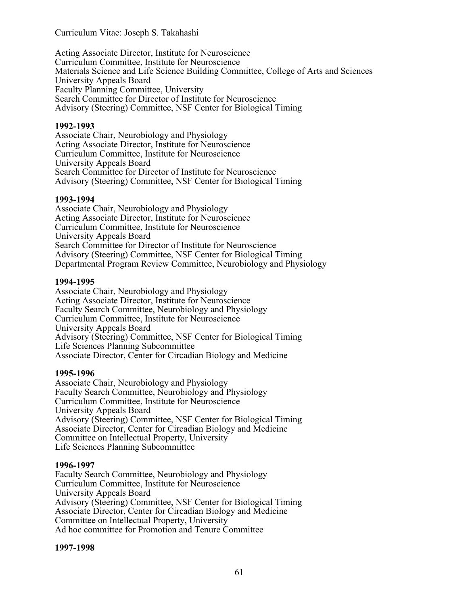Acting Associate Director, Institute for Neuroscience Curriculum Committee, Institute for Neuroscience Materials Science and Life Science Building Committee, College of Arts and Sciences University Appeals Board Faculty Planning Committee, University Search Committee for Director of Institute for Neuroscience Advisory (Steering) Committee, NSF Center for Biological Timing

### **1992-1993**

Associate Chair, Neurobiology and Physiology Acting Associate Director, Institute for Neuroscience Curriculum Committee, Institute for Neuroscience University Appeals Board Search Committee for Director of Institute for Neuroscience Advisory (Steering) Committee, NSF Center for Biological Timing

#### **1993-1994**

Associate Chair, Neurobiology and Physiology Acting Associate Director, Institute for Neuroscience Curriculum Committee, Institute for Neuroscience University Appeals Board Search Committee for Director of Institute for Neuroscience Advisory (Steering) Committee, NSF Center for Biological Timing Departmental Program Review Committee, Neurobiology and Physiology

#### **1994-1995**

Associate Chair, Neurobiology and Physiology Acting Associate Director, Institute for Neuroscience Faculty Search Committee, Neurobiology and Physiology Curriculum Committee, Institute for Neuroscience University Appeals Board Advisory (Steering) Committee, NSF Center for Biological Timing Life Sciences Planning Subcommittee Associate Director, Center for Circadian Biology and Medicine

#### **1995-1996**

Associate Chair, Neurobiology and Physiology Faculty Search Committee, Neurobiology and Physiology Curriculum Committee, Institute for Neuroscience University Appeals Board Advisory (Steering) Committee, NSF Center for Biological Timing Associate Director, Center for Circadian Biology and Medicine Committee on Intellectual Property, University Life Sciences Planning Subcommittee

#### **1996-1997**

Faculty Search Committee, Neurobiology and Physiology Curriculum Committee, Institute for Neuroscience University Appeals Board Advisory (Steering) Committee, NSF Center for Biological Timing Associate Director, Center for Circadian Biology and Medicine Committee on Intellectual Property, University Ad hoc committee for Promotion and Tenure Committee

#### **1997-1998**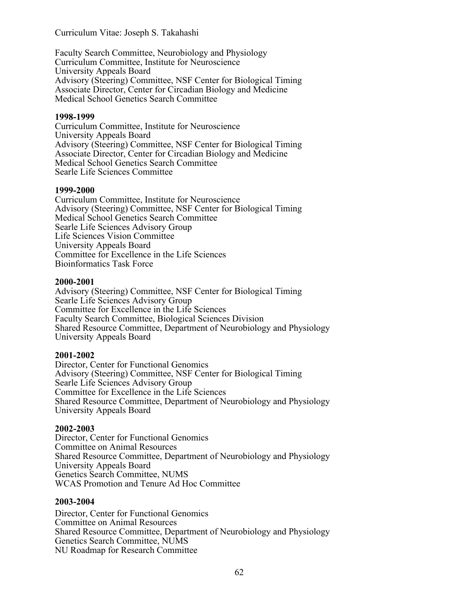Faculty Search Committee, Neurobiology and Physiology Curriculum Committee, Institute for Neuroscience University Appeals Board Advisory (Steering) Committee, NSF Center for Biological Timing Associate Director, Center for Circadian Biology and Medicine Medical School Genetics Search Committee

#### **1998-1999**

Curriculum Committee, Institute for Neuroscience University Appeals Board Advisory (Steering) Committee, NSF Center for Biological Timing Associate Director, Center for Circadian Biology and Medicine Medical School Genetics Search Committee Searle Life Sciences Committee

#### **1999-2000**

Curriculum Committee, Institute for Neuroscience Advisory (Steering) Committee, NSF Center for Biological Timing Medical School Genetics Search Committee Searle Life Sciences Advisory Group Life Sciences Vision Committee University Appeals Board Committee for Excellence in the Life Sciences Bioinformatics Task Force

#### **2000-2001**

Advisory (Steering) Committee, NSF Center for Biological Timing Searle Life Sciences Advisory Group Committee for Excellence in the Life Sciences Faculty Search Committee, Biological Sciences Division Shared Resource Committee, Department of Neurobiology and Physiology University Appeals Board

#### **2001-2002**

Director, Center for Functional Genomics Advisory (Steering) Committee, NSF Center for Biological Timing Searle Life Sciences Advisory Group Committee for Excellence in the Life Sciences Shared Resource Committee, Department of Neurobiology and Physiology University Appeals Board

#### **2002-2003**

Director, Center for Functional Genomics Committee on Animal Resources Shared Resource Committee, Department of Neurobiology and Physiology University Appeals Board Genetics Search Committee, NUMS WCAS Promotion and Tenure Ad Hoc Committee

#### **2003-2004**

Director, Center for Functional Genomics Committee on Animal Resources Shared Resource Committee, Department of Neurobiology and Physiology Genetics Search Committee, NUMS NU Roadmap for Research Committee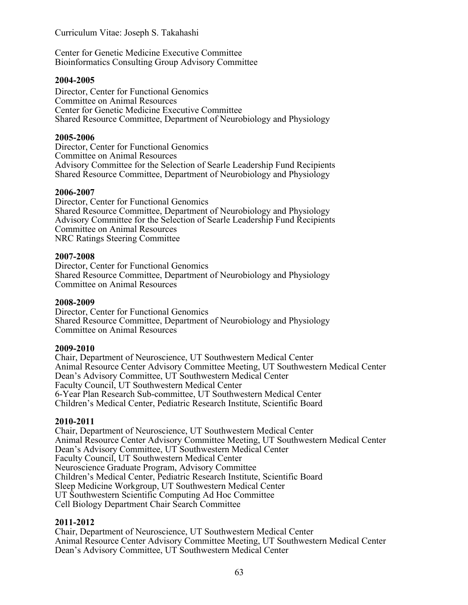Center for Genetic Medicine Executive Committee Bioinformatics Consulting Group Advisory Committee

## **2004-2005**

Director, Center for Functional Genomics Committee on Animal Resources Center for Genetic Medicine Executive Committee Shared Resource Committee, Department of Neurobiology and Physiology

### **2005-2006**

Director, Center for Functional Genomics Committee on Animal Resources Advisory Committee for the Selection of Searle Leadership Fund Recipients Shared Resource Committee, Department of Neurobiology and Physiology

#### **2006-2007**

Director, Center for Functional Genomics Shared Resource Committee, Department of Neurobiology and Physiology Advisory Committee for the Selection of Searle Leadership Fund Recipients Committee on Animal Resources NRC Ratings Steering Committee

#### **2007-2008**

Director, Center for Functional Genomics Shared Resource Committee, Department of Neurobiology and Physiology Committee on Animal Resources

#### **2008-2009**

Director, Center for Functional Genomics Shared Resource Committee, Department of Neurobiology and Physiology Committee on Animal Resources

#### **2009-2010**

Chair, Department of Neuroscience, UT Southwestern Medical Center Animal Resource Center Advisory Committee Meeting, UT Southwestern Medical Center Dean's Advisory Committee, UT Southwestern Medical Center Faculty Council, UT Southwestern Medical Center 6-Year Plan Research Sub-committee, UT Southwestern Medical Center Children's Medical Center, Pediatric Research Institute, Scientific Board

#### **2010-2011**

Chair, Department of Neuroscience, UT Southwestern Medical Center Animal Resource Center Advisory Committee Meeting, UT Southwestern Medical Center Dean's Advisory Committee, UT Southwestern Medical Center Faculty Council, UT Southwestern Medical Center Neuroscience Graduate Program, Advisory Committee Children's Medical Center, Pediatric Research Institute, Scientific Board Sleep Medicine Workgroup, UT Southwestern Medical Center UT Southwestern Scientific Computing Ad Hoc Committee Cell Biology Department Chair Search Committee

## **2011-2012**

Chair, Department of Neuroscience, UT Southwestern Medical Center Animal Resource Center Advisory Committee Meeting, UT Southwestern Medical Center Dean's Advisory Committee, UT Southwestern Medical Center